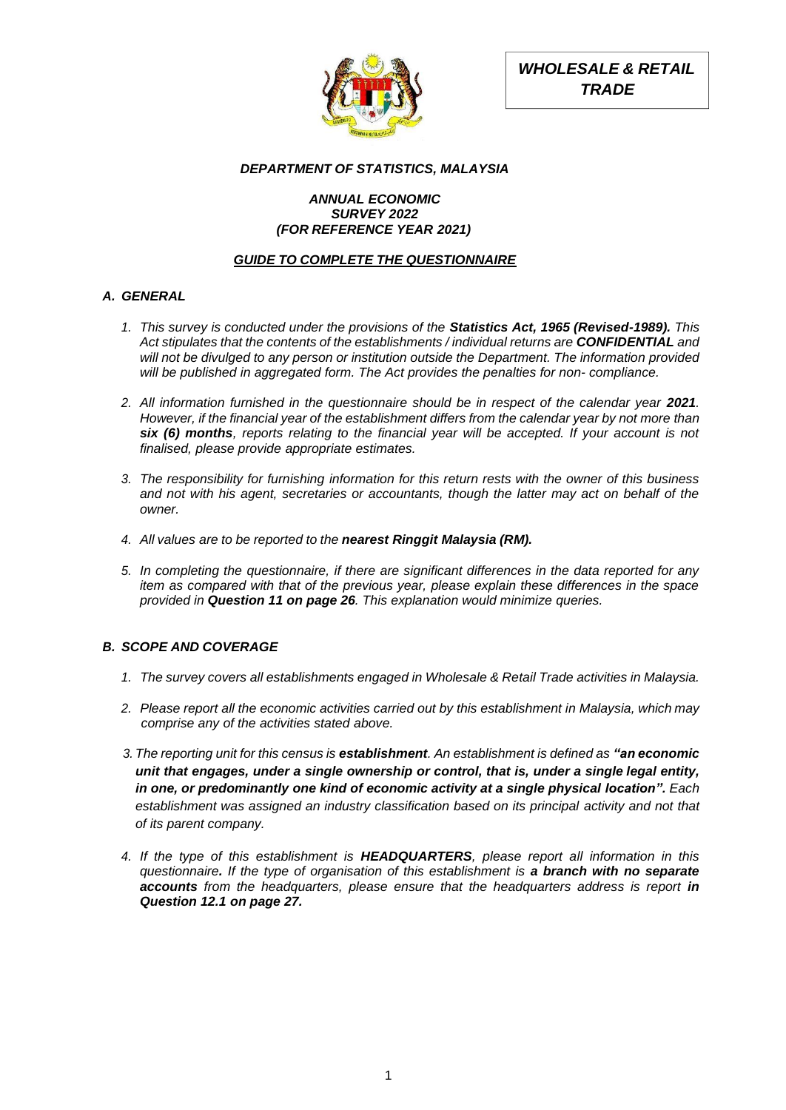

*WHOLESALE & RETAIL TRADE*

# *DEPARTMENT OF STATISTICS, MALAYSIA*

# *ANNUAL ECONOMIC SURVEY 2022 (FOR REFERENCE YEAR 2021)*

# *GUIDE TO COMPLETE THE QUESTIONNAIRE*

# *A. GENERAL*

- *1. This survey is conducted under the provisions of the Statistics Act, 1965 (Revised-1989). This Act stipulates that the contents of the establishments / individual returns are CONFIDENTIAL and will not be divulged to any person or institution outside the Department. The information provided will be published in aggregated form. The Act provides the penalties for non- compliance.*
- 2. All information furnished in the questionnaire should be in respect of the calendar year 2021. *However, if the financial year of the establishment differs from the calendar year by not more than six (6) months, reports relating to the financial year will be accepted. If your account is not finalised, please provide appropriate estimates.*
- *3. The responsibility for furnishing information for this return rests with the owner of this business and not with his agent, secretaries or accountants, though the latter may act on behalf of the owner.*
- *4. All values are to be reported to the nearest Ringgit Malaysia (RM).*
- *5. In completing the questionnaire, if there are significant differences in the data reported for any item as compared with that of the previous year, please explain these differences in the space provided in Question 11 on page 26. This explanation would minimize queries.*

# *B. SCOPE AND COVERAGE*

- *1. The survey covers all establishments engaged in Wholesale & Retail Trade activities in Malaysia.*
- *2. Please report all the economic activities carried out by this establishment in Malaysia, which may comprise any of the activities stated above.*
- *3. The reporting unit for this census is establishment. An establishment is defined as "an economic unit that engages, under a single ownership or control, that is, under a single legal entity, in one, or predominantly one kind of economic activity at a single physical location". Each establishment was assigned an industry classification based on its principal activity and not that of its parent company.*
- *4. If the type of this establishment is HEADQUARTERS, please report all information in this questionnaire. If the type of organisation of this establishment is a branch with no separate accounts from the headquarters, please ensure that the headquarters address is report in Question 12.1 on page 27.*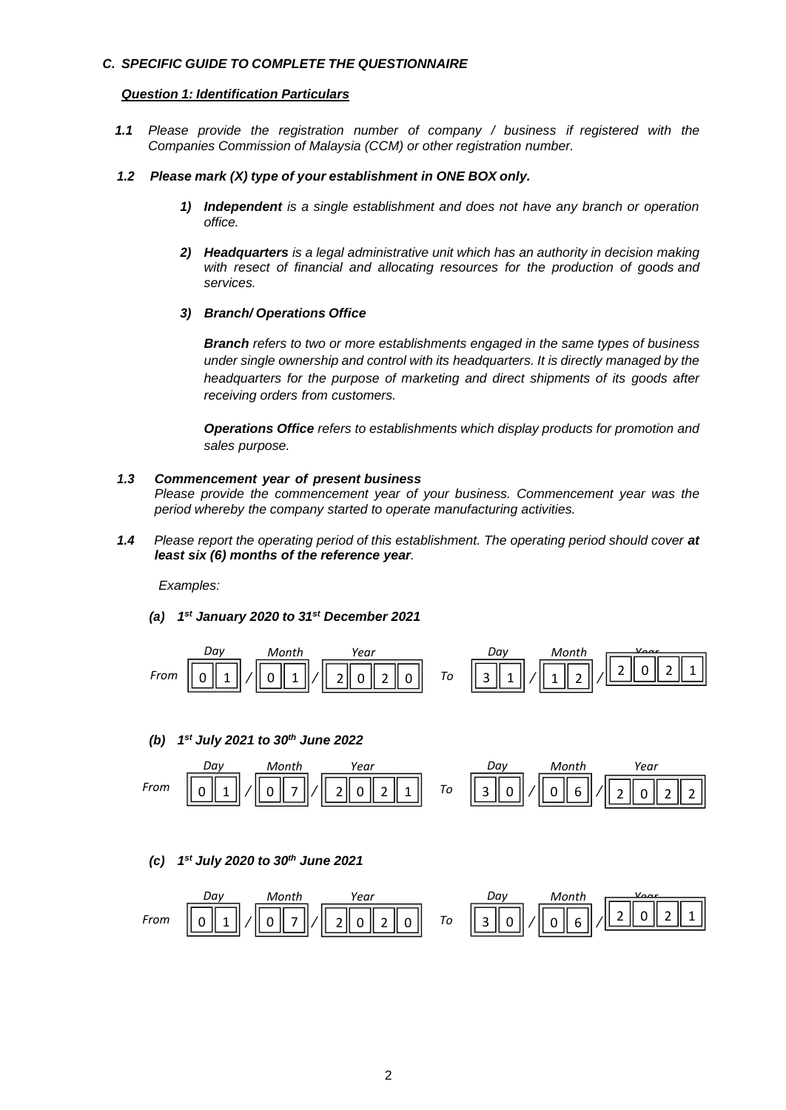### *C. SPECIFIC GUIDE TO COMPLETE THE QUESTIONNAIRE*

#### *Question 1: Identification Particulars*

*1.1 Please provide the registration number of company / business if registered with the Companies Commission of Malaysia (CCM) or other registration number.*

#### *1.2 Please mark (X) type of your establishment in ONE BOX only.*

- *1) Independent is a single establishment and does not have any branch or operation office.*
- *2) Headquarters is a legal administrative unit which has an authority in decision making with resect of financial and allocating resources for the production of goods and services.*

#### *3) Branch/ Operations Office*

*Branch refers to two or more establishments engaged in the same types of business under single ownership and control with its headquarters. It is directly managed by the headquarters for the purpose of marketing and direct shipments of its goods after receiving orders from customers.*

*Operations Office refers to establishments which display products for promotion and sales purpose.*

#### *1.3 Commencement year of present business*

*Please provide the commencement year of your business. Commencement year was the period whereby the company started to operate manufacturing activities.*

1.4 Please report the operating period of this establishment. The operating period should cover at *least six (6) months of the reference year.*

*Examples:*

*(a) 1 st January 2020 to 31 st December 2021*



*(b) 1 st July 2021 to 30th June 2022*



#### *(c) 1 st July 2020 to 30th June 2021*

| Day  | Month | Year | Day | Month |   |   |   |   |   |   |   |   |   |   |   |   |   |   |
|------|-------|------|-----|-------|---|---|---|---|---|---|---|---|---|---|---|---|---|---|
| From | $0$   | 1    | 0   | 7     | 2 | 0 | 2 | 0 | 7 | 7 | 0 | 3 | 0 | 0 | 6 | 0 | 2 | 1 |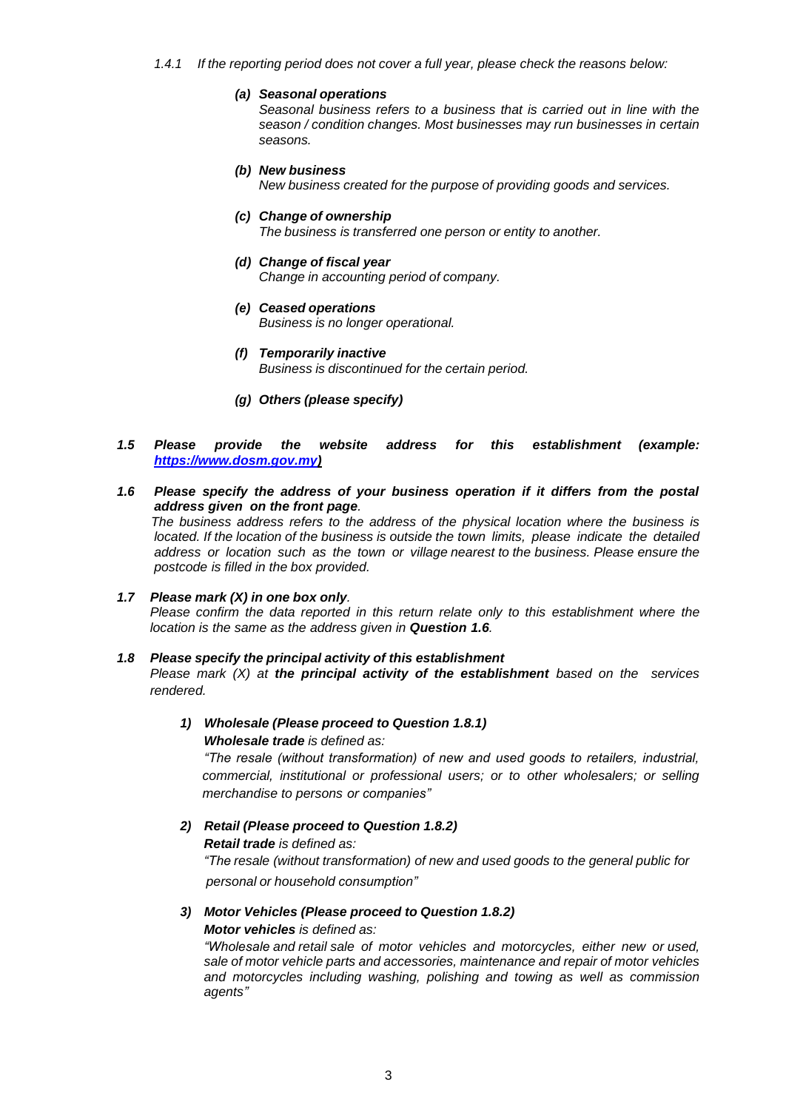- *1.4.1 If the reporting period does not cover a full year, please check the reasons below:*
	- *(a) Seasonal operations*

*Seasonal business refers to a business that is carried out in line with the season / condition changes. Most businesses may run businesses in certain seasons.*

#### *(b) New business New business created for the purpose of providing goods and services.*

- *(c) Change of ownership The business is transferred one person or entity to another.*
- *(d) Change of fiscal year Change in accounting period of company.*
- *(e) Ceased operations Business is no longer operational.*
- *(f) Temporarily inactive Business is discontinued for the certain period.*
- *(g) Others (please specify)*

### *1.5 Please provide the website address for this establishment (example: [https://www.dosm.gov.my\)](https://www.dosm.gov.my/)*

*1.6 Please specify the address of your business operation if it differs from the postal address given on the front page. The business address refers to the address of the physical location where the business is* 

*located. If the location of the business is outside the town limits, please indicate the detailed address or location such as the town or village nearest to the business. Please ensure the postcode is filled in the box provided.*

# *1.7 Please mark (X) in one box only. Please confirm the data reported in this return relate only to this establishment where the location is the same as the address given in Question 1.6.*

#### *1.8 Please specify the principal activity of this establishment*

*Please mark (X) at the principal activity of the establishment based on the services rendered.*

# *1) Wholesale (Please proceed to Question 1.8.1) Wholesale trade is defined as:*

*"The resale (without transformation) of new and used goods to retailers, industrial, commercial, institutional or professional users; or to other wholesalers; or selling merchandise to persons or companies"*

# *2) Retail (Please proceed to Question 1.8.2)*

*Retail trade is defined as:*

*"The resale (without transformation) of new and used goods to the general public for personal or household consumption"*

#### *3) Motor Vehicles (Please proceed to Question 1.8.2)*

#### *Motor vehicles is defined as:*

*"Wholesale and retail sale of motor vehicles and motorcycles, either new or used, sale of motor vehicle parts and accessories, maintenance and repair of motor vehicles and motorcycles including washing, polishing and towing as well as commission agents"*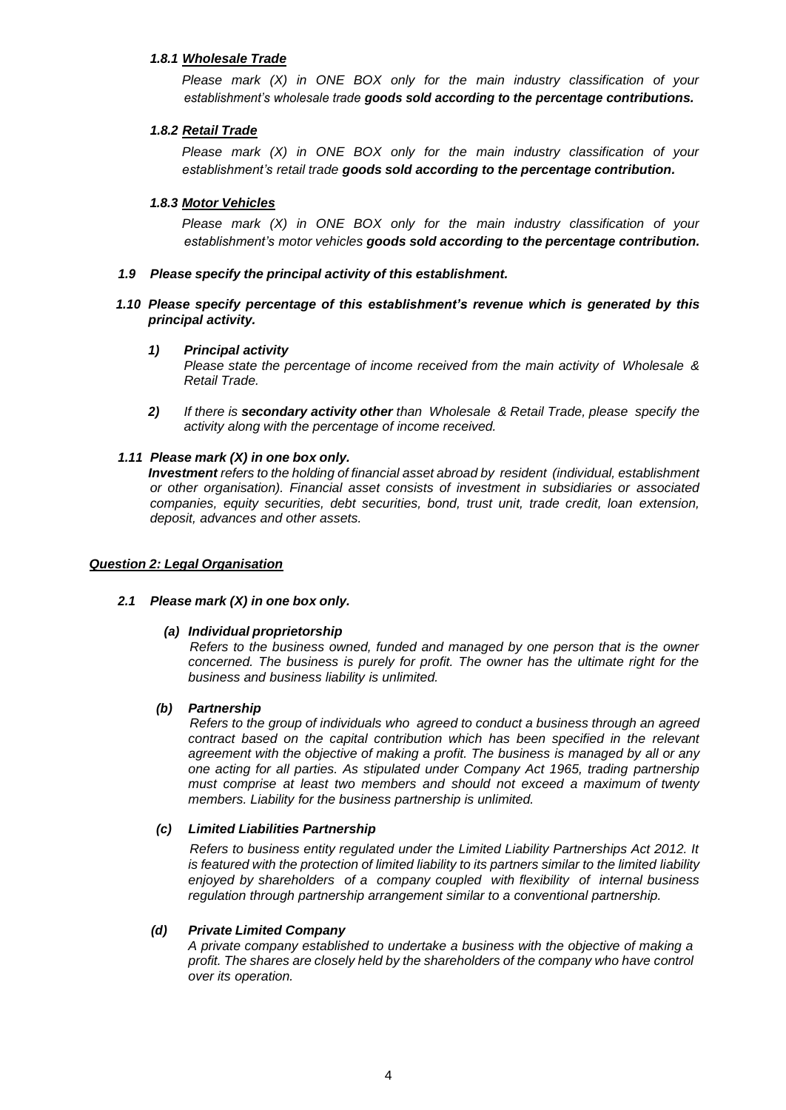# *1.8.1 Wholesale Trade*

*Please mark (X) in ONE BOX only for the main industry classification of your establishment's wholesale trade goods sold according to the percentage contributions.*

### *1.8.2 Retail Trade*

*Please mark (X) in ONE BOX only for the main industry classification of your establishment's retail trade goods sold according to the percentage contribution.*

#### *1.8.3 Motor Vehicles*

*Please mark (X) in ONE BOX only for the main industry classification of your establishment's motor vehicles goods sold according to the percentage contribution.*

### *1.9 Please specify the principal activity of this establishment.*

# *1.10 Please specify percentage of this establishment's revenue which is generated by this principal activity.*

#### *1) Principal activity*

*Please state the percentage of income received from the main activity of Wholesale & Retail Trade.*

*2) If there is secondary activity other than Wholesale & Retail Trade, please specify the activity along with the percentage of income received.*

#### *1.11 Please mark (X) in one box only.*

*Investment refers to the holding of financial asset abroad by resident (individual, establishment or other organisation). Financial asset consists of investment in subsidiaries or associated companies, equity securities, debt securities, bond, trust unit, trade credit, loan extension, deposit, advances and other assets.*

#### *Question 2: Legal Organisation*

#### *2.1 Please mark (X) in one box only.*

#### *(a) Individual proprietorship*

*Refers to the business owned, funded and managed by one person that is the owner concerned. The business is purely for profit. The owner has the ultimate right for the business and business liability is unlimited.*

#### *(b) Partnership*

*Refers to the group of individuals who agreed to conduct a business through an agreed contract based on the capital contribution which has been specified in the relevant agreement with the objective of making a profit. The business is managed by all or any one acting for all parties. As stipulated under Company Act 1965, trading partnership must comprise at least two members and should not exceed a maximum of twenty members. Liability for the business partnership is unlimited.*

#### *(c) Limited Liabilities Partnership*

*Refers to business entity regulated under the Limited Liability Partnerships Act 2012. It is featured with the protection of limited liability to its partners similar to the limited liability enjoyed by shareholders of a company coupled with flexibility of internal business regulation through partnership arrangement similar to a conventional partnership.*

#### *(d) Private Limited Company*

*A private company established to undertake a business with the objective of making a profit. The shares are closely held by the shareholders of the company who have control over its operation.*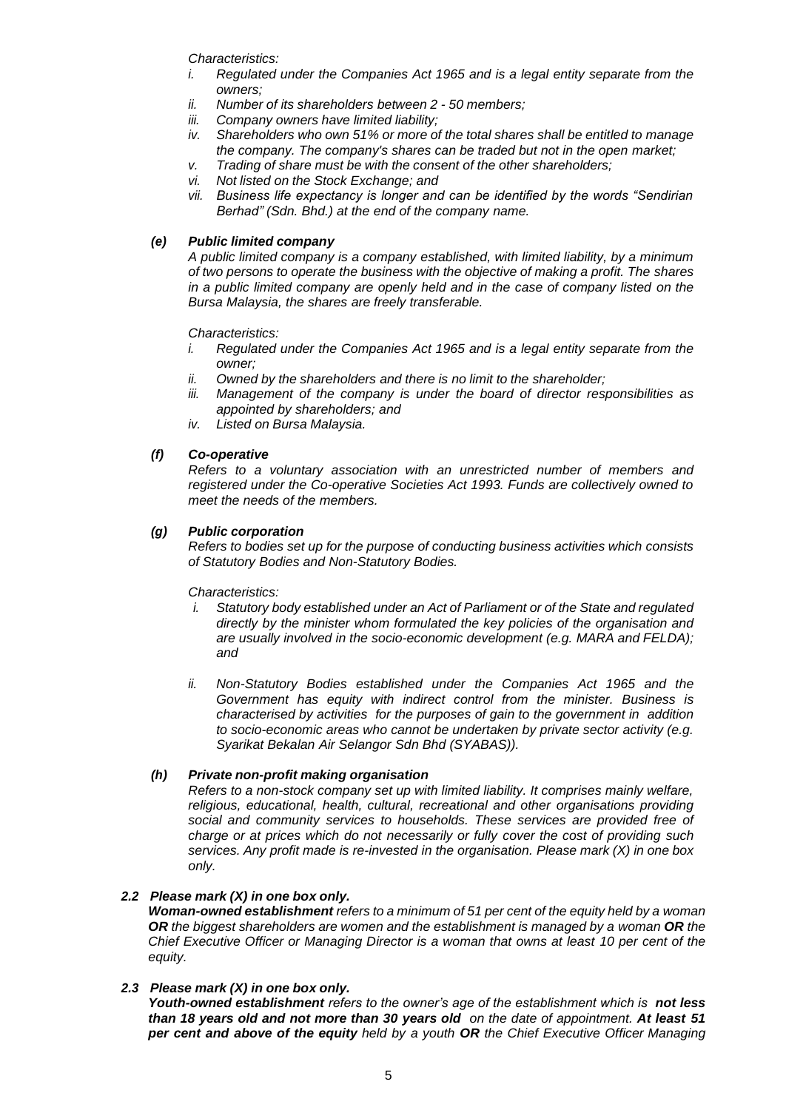*Characteristics:*

- *i. Regulated under the Companies Act 1965 and is a legal entity separate from the owners;*
- *ii. Number of its shareholders between 2 - 50 members;*
- *iii. Company owners have limited liability;*
- *iv. Shareholders who own 51% or more of the total shares shall be entitled to manage the company. The company's shares can be traded but not in the open market;*
- *v. Trading of share must be with the consent of the other shareholders;*
- *vi. Not listed on the Stock Exchange; and*
- *vii. Business life expectancy is longer and can be identified by the words "Sendirian Berhad" (Sdn. Bhd.) at the end of the company name.*

# *(e) Public limited company*

*A public limited company is a company established, with limited liability, by a minimum of two persons to operate the business with the objective of making a profit. The shares in a public limited company are openly held and in the case of company listed on the Bursa Malaysia, the shares are freely transferable.*

*Characteristics:*

- *i. Regulated under the Companies Act 1965 and is a legal entity separate from the owner;*
- *ii. Owned by the shareholders and there is no limit to the shareholder;*
- *iii. Management of the company is under the board of director responsibilities as appointed by shareholders; and*
- *iv. Listed on Bursa Malaysia.*

# *(f) Co-operative*

*Refers to a voluntary association with an unrestricted number of members and registered under the Co-operative Societies Act 1993. Funds are collectively owned to meet the needs of the members.*

# *(g) Public corporation*

*Refers to bodies set up for the purpose of conducting business activities which consists of Statutory Bodies and Non-Statutory Bodies.*

*Characteristics:*

- *i. Statutory body established under an Act of Parliament or of the State and regulated directly by the minister whom formulated the key policies of the organisation and are usually involved in the socio-economic development (e.g. MARA and FELDA); and*
- *ii. Non-Statutory Bodies established under the Companies Act 1965 and the Government has equity with indirect control from the minister. Business is characterised by activities for the purposes of gain to the government in addition to socio-economic areas who cannot be undertaken by private sector activity (e.g. Syarikat Bekalan Air Selangor Sdn Bhd (SYABAS)).*

# *(h) Private non-profit making organisation*

*Refers to a non-stock company set up with limited liability. It comprises mainly welfare, religious, educational, health, cultural, recreational and other organisations providing social and community services to households. These services are provided free of charge or at prices which do not necessarily or fully cover the cost of providing such services. Any profit made is re-invested in the organisation. Please mark (X) in one box only.*

# *2.2 Please mark (X) in one box only.*

*Woman-owned establishment refers to a minimum of 51 per cent of the equity held by a woman OR the biggest shareholders are women and the establishment is managed by a woman OR the Chief Executive Officer or Managing Director is a woman that owns at least 10 per cent of the equity.*

#### *2.3 Please mark (X) in one box only.*

*Youth-owned establishment refers to the owner's age of the establishment which is not less than 18 years old and not more than 30 years old on the date of appointment. At least 51 per cent and above of the equity held by a youth OR the Chief Executive Officer Managing*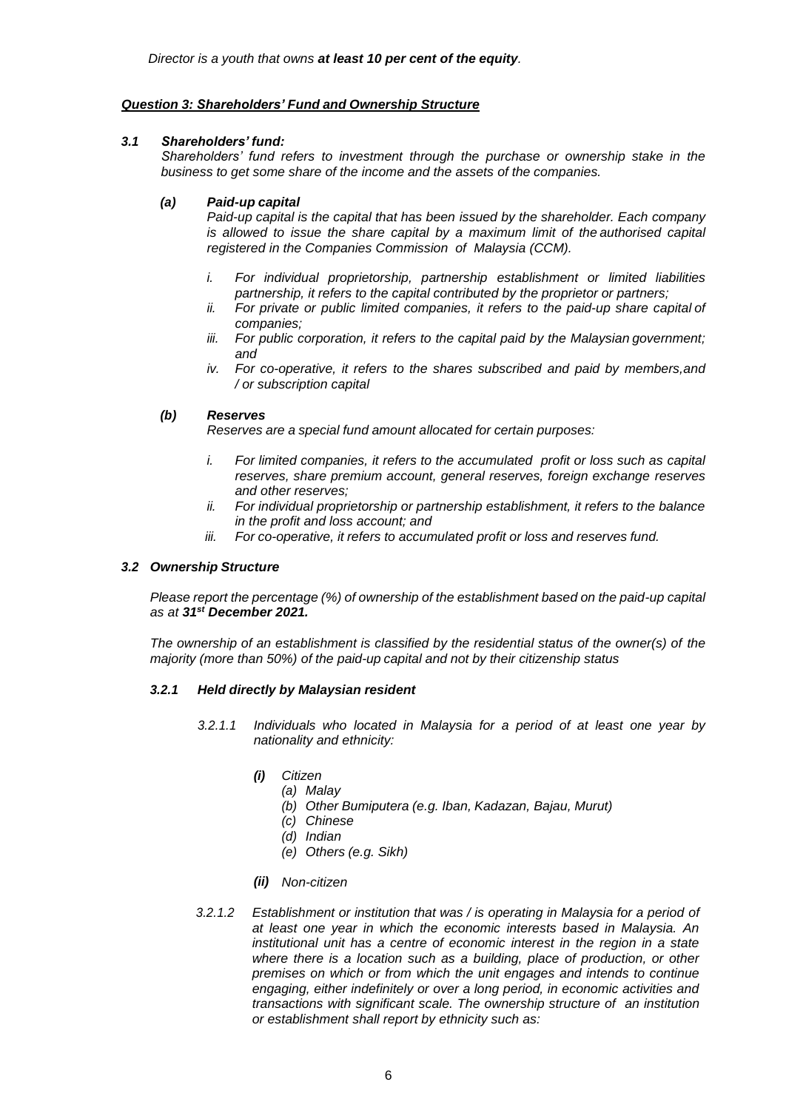# *Question 3: Shareholders' Fund and Ownership Structure*

# *3.1 Shareholders' fund:*

*Shareholders' fund refers to investment through the purchase or ownership stake in the business to get some share of the income and the assets of the companies.*

# *(a) Paid-up capital*

*Paid-up capital is the capital that has been issued by the shareholder. Each company is allowed to issue the share capital by a maximum limit of the authorised capital registered in the Companies Commission of Malaysia (CCM).*

- *i. For individual proprietorship, partnership establishment or limited liabilities partnership, it refers to the capital contributed by the proprietor or partners;*
- *ii. For private or public limited companies, it refers to the paid-up share capital of companies;*
- *iii. For public corporation, it refers to the capital paid by the Malaysian government; and*
- *iv. For co-operative, it refers to the shares subscribed and paid by members,and / or subscription capital*

# *(b) Reserves*

*Reserves are a special fund amount allocated for certain purposes:*

- *i. For limited companies, it refers to the accumulated profit or loss such as capital reserves, share premium account, general reserves, foreign exchange reserves and other reserves;*
- *ii. For individual proprietorship or partnership establishment, it refers to the balance in the profit and loss account; and*
- *iii. For co-operative, it refers to accumulated profit or loss and reserves fund.*

#### *3.2 Ownership Structure*

*Please report the percentage (%) of ownership of the establishment based on the paid-up capital as at 31st December 2021.*

*The ownership of an establishment is classified by the residential status of the owner(s) of the majority (more than 50%) of the paid-up capital and not by their citizenship status*

#### *3.2.1 Held directly by Malaysian resident*

- *3.2.1.1 Individuals who located in Malaysia for a period of at least one year by nationality and ethnicity:*
	- *(i) Citizen*
		- *(a) Malay*
			- *(b) Other Bumiputera (e.g. Iban, Kadazan, Bajau, Murut)*
			- *(c) Chinese*
			- *(d) Indian*
		- *(e) Others (e.g. Sikh)*
	- *(ii) Non-citizen*
- *3.2.1.2 Establishment or institution that was / is operating in Malaysia for a period of at least one year in which the economic interests based in Malaysia. An institutional unit has a centre of economic interest in the region in a state where there is a location such as a building, place of production, or other premises on which or from which the unit engages and intends to continue engaging, either indefinitely or over a long period, in economic activities and transactions with significant scale. The ownership structure of an institution or establishment shall report by ethnicity such as:*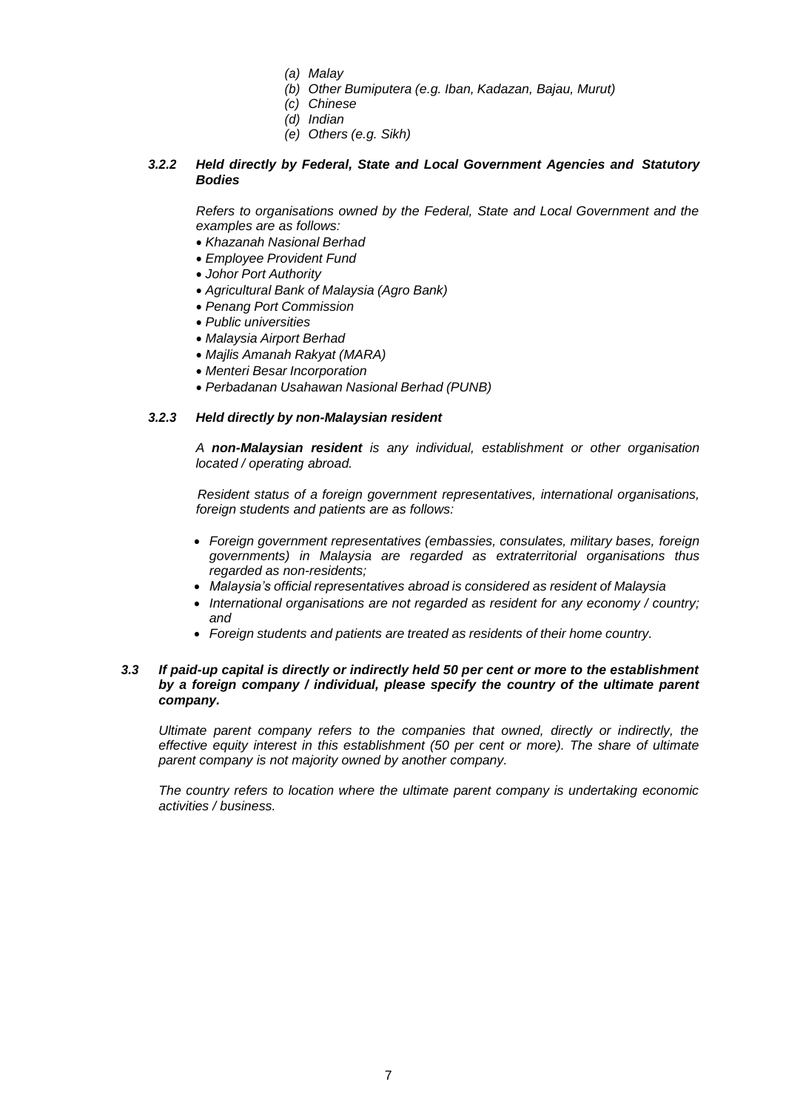- *(a) Malay*
- *(b) Other Bumiputera (e.g. Iban, Kadazan, Bajau, Murut)*
- *(c) Chinese*
- *(d) Indian*
- *(e) Others (e.g. Sikh)*

# *3.2.2 Held directly by Federal, State and Local Government Agencies and Statutory Bodies*

*Refers to organisations owned by the Federal, State and Local Government and the examples are as follows:*

- *Khazanah Nasional Berhad*
- *Employee Provident Fund*
- *Johor Port Authority*
- *Agricultural Bank of Malaysia (Agro Bank)*
- *Penang Port Commission*
- *Public universities*
- *Malaysia Airport Berhad*
- *Majlis Amanah Rakyat (MARA)*
- *Menteri Besar Incorporation*
- *Perbadanan Usahawan Nasional Berhad (PUNB)*

#### *3.2.3 Held directly by non-Malaysian resident*

*A non-Malaysian resident is any individual, establishment or other organisation located / operating abroad.*

*Resident status of a foreign government representatives, international organisations, foreign students and patients are as follows:*

- *Foreign government representatives (embassies, consulates, military bases, foreign governments) in Malaysia are regarded as extraterritorial organisations thus regarded as non-residents;*
- *Malaysia's official representatives abroad is considered as resident of Malaysia*
- *International organisations are not regarded as resident for any economy / country; and*
- *Foreign students and patients are treated as residents of their home country.*

#### *3.3 If paid-up capital is directly or indirectly held 50 per cent or more to the establishment by a foreign company / individual, please specify the country of the ultimate parent company.*

*Ultimate parent company refers to the companies that owned, directly or indirectly, the effective equity interest in this establishment (50 per cent or more). The share of ultimate parent company is not majority owned by another company.*

*The country refers to location where the ultimate parent company is undertaking economic activities / business.*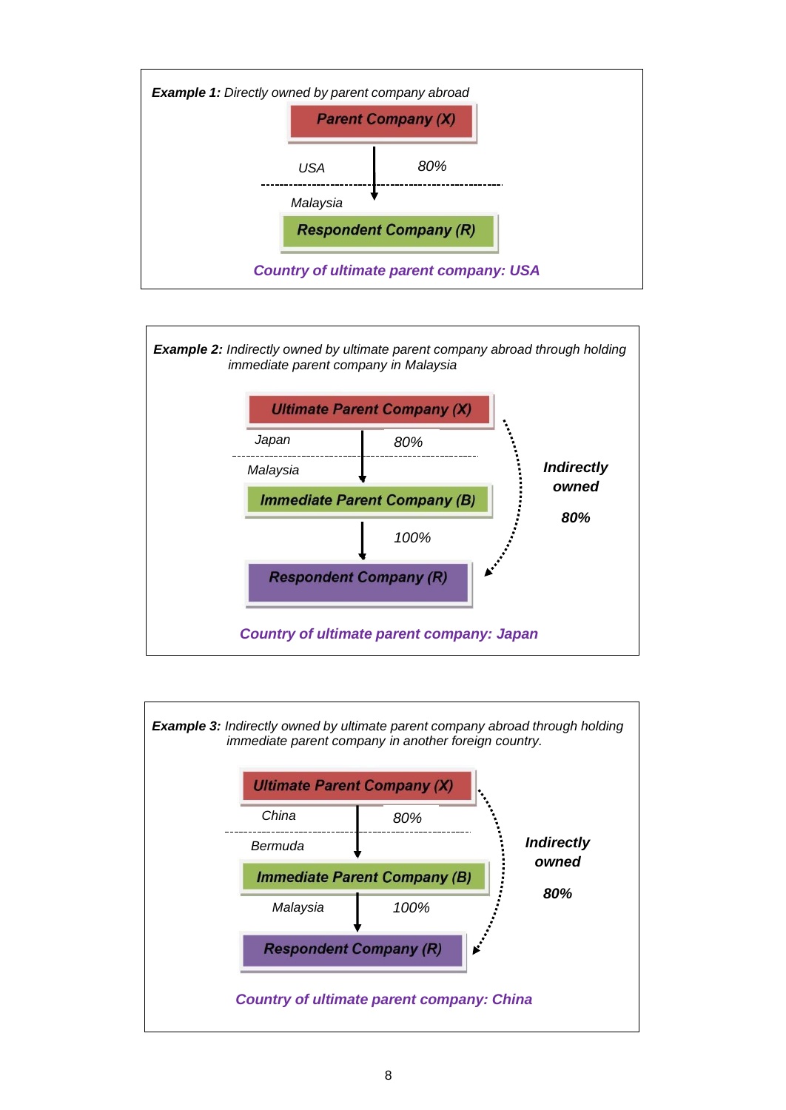



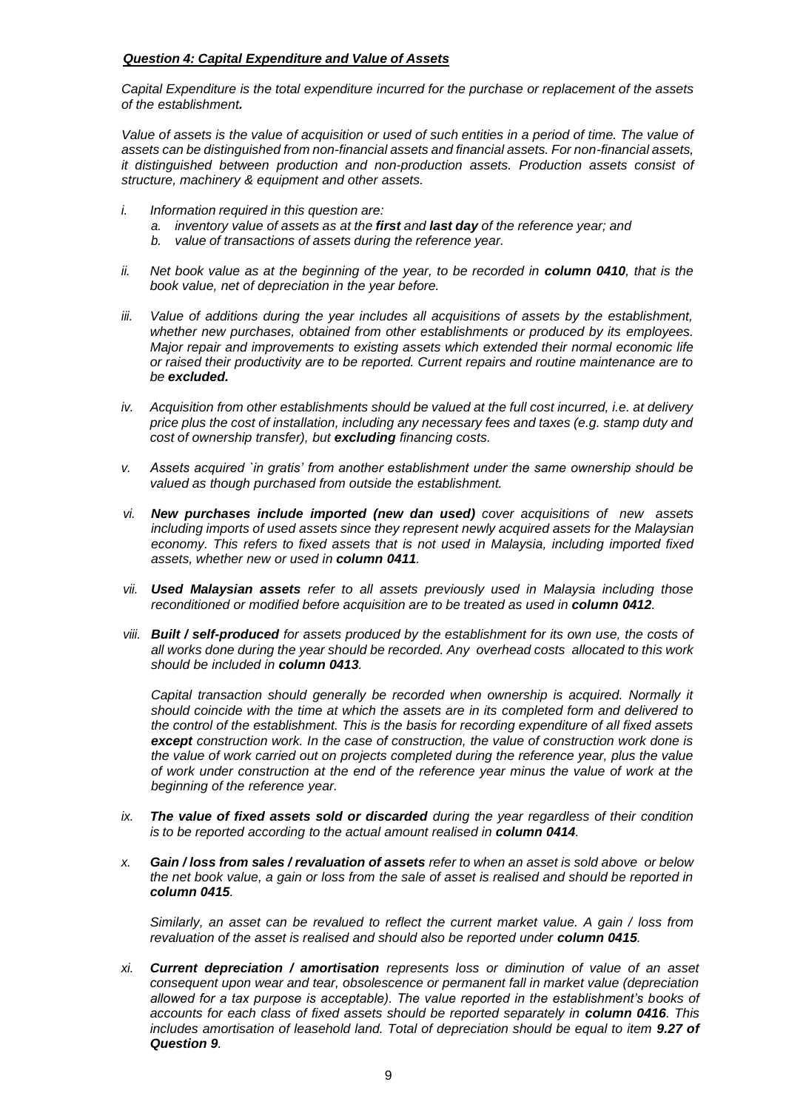# *Question 4: Capital Expenditure and Value of Assets*

*Capital Expenditure is the total expenditure incurred for the purchase or replacement of the assets of the establishment.*

Value of assets is the value of acquisition or used of such entities in a period of time. The value of *assets can be distinguished from non-financial assets and financial assets. For non-financial assets, it distinguished between production and non-production assets. Production assets consist of structure, machinery & equipment and other assets.*

- *i. Information required in this question are:*
	- *a. inventory value of assets as at the first and last day of the reference year; and*
	- *b. value of transactions of assets during the reference year.*
- *ii.* Net book value as at the beginning of the year, to be recorded in **column 0410**, that is the *book value, net of depreciation in the year before.*
- *iii. Value of additions during the year includes all acquisitions of assets by the establishment, whether new purchases, obtained from other establishments or produced by its employees. Major repair and improvements to existing assets which extended their normal economic life or raised their productivity are to be reported. Current repairs and routine maintenance are to be excluded.*
- *iv. Acquisition from other establishments should be valued at the full cost incurred, i.e. at delivery price plus the cost of installation, including any necessary fees and taxes (e.g. stamp duty and cost of ownership transfer), but excluding financing costs.*
- *v. Assets acquired `in gratis' from another establishment under the same ownership should be valued as though purchased from outside the establishment.*
- *vi. New purchases include imported (new dan used) cover acquisitions of new assets including imports of used assets since they represent newly acquired assets for the Malaysian economy. This refers to fixed assets that is not used in Malaysia, including imported fixed assets, whether new or used in column 0411.*
- *vii. Used Malaysian assets refer to all assets previously used in Malaysia including those reconditioned or modified before acquisition are to be treated as used in column 0412.*
- *viii. Built / self-produced for assets produced by the establishment for its own use, the costs of all works done during the year should be recorded. Any overhead costs allocated to this work should be included in column 0413.*

*Capital transaction should generally be recorded when ownership is acquired. Normally it should coincide with the time at which the assets are in its completed form and delivered to the control of the establishment. This is the basis for recording expenditure of all fixed assets except construction work. In the case of construction, the value of construction work done is the value of work carried out on projects completed during the reference year, plus the value of work under construction at the end of the reference year minus the value of work at the beginning of the reference year.*

- *ix. The value of fixed assets sold or discarded during the year regardless of their condition is to be reported according to the actual amount realised in column 0414.*
- *x. Gain / loss from sales / revaluation of assets refer to when an asset is sold above or below the net book value, a gain or loss from the sale of asset is realised and should be reported in column 0415.*

*Similarly, an asset can be revalued to reflect the current market value. A gain / loss from revaluation of the asset is realised and should also be reported under column 0415.*

*xi. Current depreciation / amortisation represents loss or diminution of value of an asset consequent upon wear and tear, obsolescence or permanent fall in market value (depreciation allowed for a tax purpose is acceptable). The value reported in the establishment's books of accounts for each class of fixed assets should be reported separately in <i>column 0416*. This *includes amortisation of leasehold land. Total of depreciation should be equal to item 9.27 of Question 9.*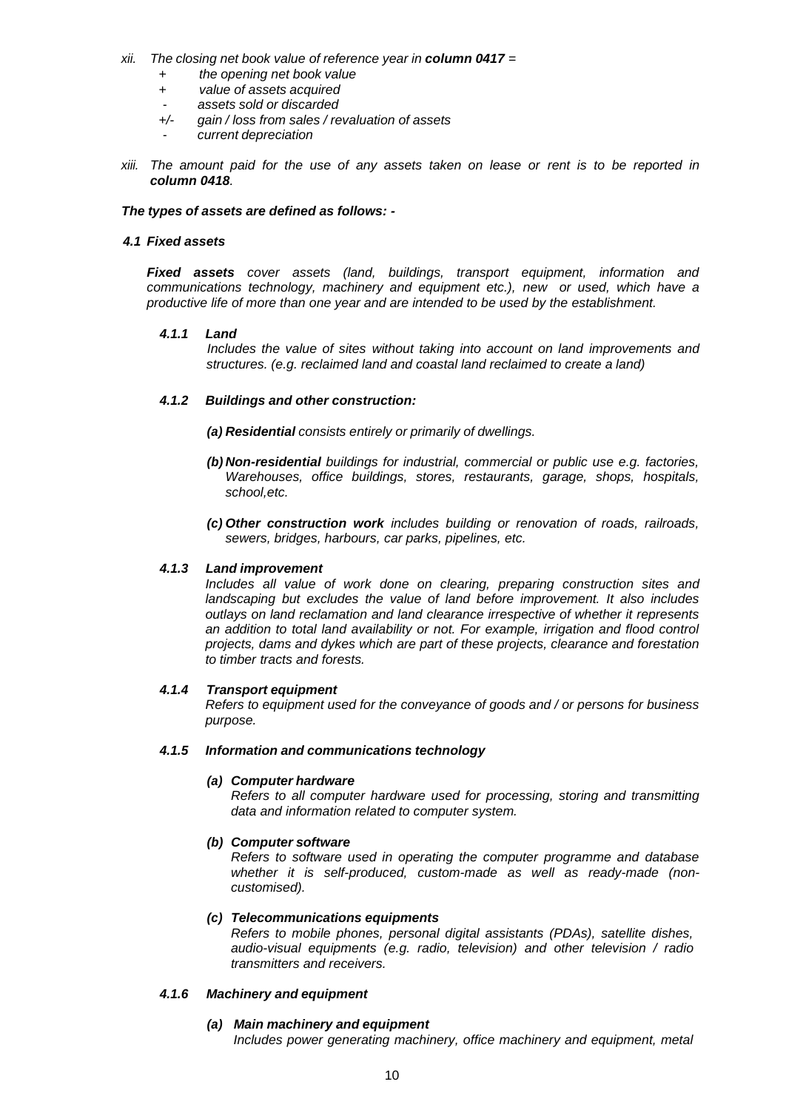- *xii. The closing net book value of reference year in column 0417 =*
	- *+ the opening net book value*
	- *+ value of assets acquired*
	-
	- *assets sold or discarded +/- gain / loss from sales / revaluation of assets*
		- *current depreciation*
- *xiii. The amount paid for the use of any assets taken on lease or rent is to be reported in column 0418.*

#### *The types of assets are defined as follows: -*

#### *4.1 Fixed assets*

*Fixed assets cover assets (land, buildings, transport equipment, information and communications technology, machinery and equipment etc.), new or used, which have a productive life of more than one year and are intended to be used by the establishment.*

#### *4.1.1 Land*

*Includes the value of sites without taking into account on land improvements and structures. (e.g. reclaimed land and coastal land reclaimed to create a land)*

# *4.1.2 Buildings and other construction:*

*(a) Residential consists entirely or primarily of dwellings.*

- *(b) Non-residential buildings for industrial, commercial or public use e.g. factories, Warehouses, office buildings, stores, restaurants, garage, shops, hospitals, school,etc.*
- *(c) Other construction work includes building or renovation of roads, railroads, sewers, bridges, harbours, car parks, pipelines, etc.*

#### *4.1.3 Land improvement*

*Includes all value of work done on clearing, preparing construction sites and landscaping but excludes the value of land before improvement. It also includes outlays on land reclamation and land clearance irrespective of whether it represents an addition to total land availability or not. For example, irrigation and flood control projects, dams and dykes which are part of these projects, clearance and forestation to timber tracts and forests.*

#### *4.1.4 Transport equipment*

*Refers to equipment used for the conveyance of goods and / or persons for business purpose.*

#### *4.1.5 Information and communications technology*

#### *(a) Computer hardware*

*Refers to all computer hardware used for processing, storing and transmitting data and information related to computer system.*

#### *(b) Computer software*

*Refers to software used in operating the computer programme and database whether it is self-produced, custom-made as well as ready-made (noncustomised).*

#### *(c) Telecommunications equipments*

*Refers to mobile phones, personal digital assistants (PDAs), satellite dishes, audio-visual equipments (e.g. radio, television) and other television / radio transmitters and receivers.*

#### *4.1.6 Machinery and equipment*

#### *(a) Main machinery and equipment*

*Includes power generating machinery, office machinery and equipment, metal*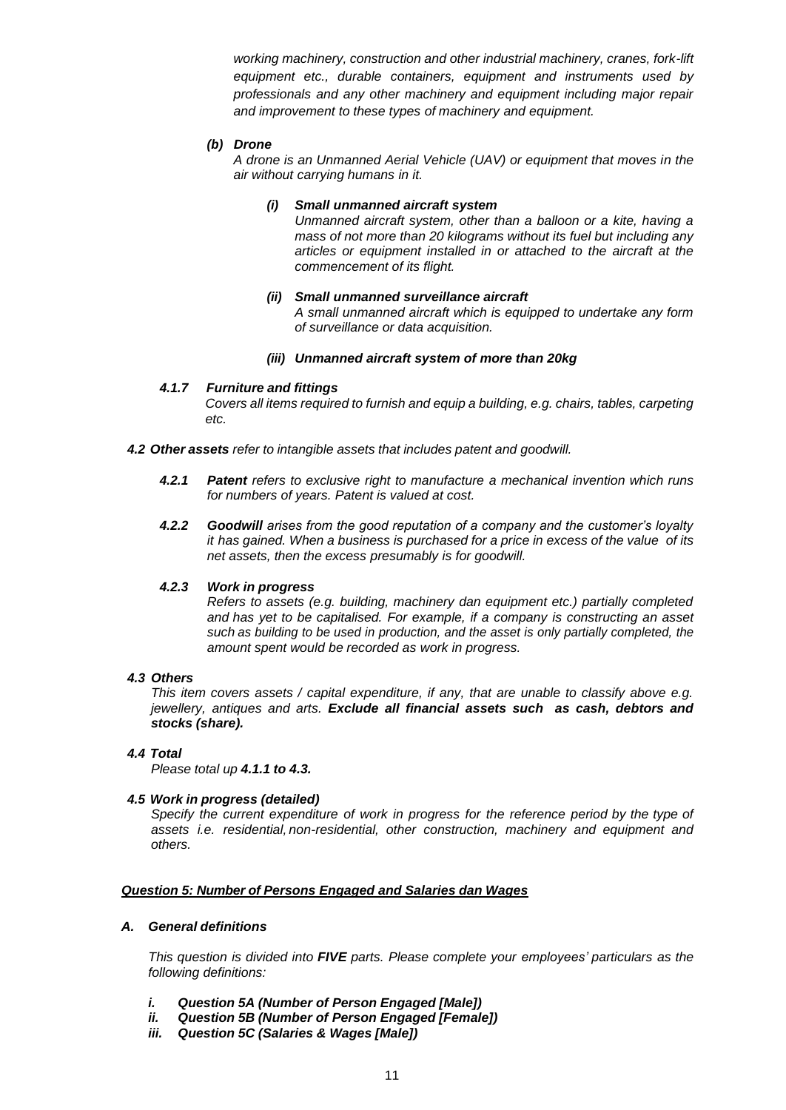*working machinery, construction and other industrial machinery, cranes, fork-lift equipment etc., durable containers, equipment and instruments used by professionals and any other machinery and equipment including major repair and improvement to these types of machinery and equipment.*

# *(b) Drone*

*A drone is an Unmanned Aerial Vehicle (UAV) or equipment that moves in the air without carrying humans in it.*

# *(i) Small unmanned aircraft system*

*Unmanned aircraft system, other than a balloon or a kite, having a mass of not more than 20 kilograms without its fuel but including any articles or equipment installed in or attached to the aircraft at the commencement of its flight.*

# *(ii) Small unmanned surveillance aircraft*

*A small unmanned aircraft which is equipped to undertake any form of surveillance or data acquisition.*

# *(iii) Unmanned aircraft system of more than 20kg*

# *4.1.7 Furniture and fittings*

*Covers all items required to furnish and equip a building, e.g. chairs, tables, carpeting etc.*

*4.2 Other assets refer to intangible assets that includes patent and goodwill.*

- *4.2.1 Patent refers to exclusive right to manufacture a mechanical invention which runs for numbers of years. Patent is valued at cost.*
- *4.2.2 Goodwill arises from the good reputation of a company and the customer's loyalty it has gained. When a business is purchased for a price in excess of the value of its net assets, then the excess presumably is for goodwill.*

#### *4.2.3 Work in progress*

*Refers to assets (e.g. building, machinery dan equipment etc.) partially completed and has yet to be capitalised. For example, if a company is constructing an asset such as building to be used in production, and the asset is only partially completed, the amount spent would be recorded as work in progress.*

#### *4.3 Others*

*This item covers assets / capital expenditure, if any, that are unable to classify above e.g. jewellery, antiques and arts. Exclude all financial assets such as cash, debtors and stocks (share).*

#### *4.4 Total*

*Please total up 4.1.1 to 4.3.*

#### *4.5 Work in progress (detailed)*

*Specify the current expenditure of work in progress for the reference period by the type of assets i.e. residential, non-residential, other construction, machinery and equipment and others.*

#### *Question 5: Number of Persons Engaged and Salaries dan Wages*

### *A. General definitions*

*This question is divided into FIVE parts. Please complete your employees' particulars as the following definitions:*

- *i. Question 5A (Number of Person Engaged [Male])*
- *ii. Question 5B (Number of Person Engaged [Female])*
- *iii. Question 5C (Salaries & Wages [Male])*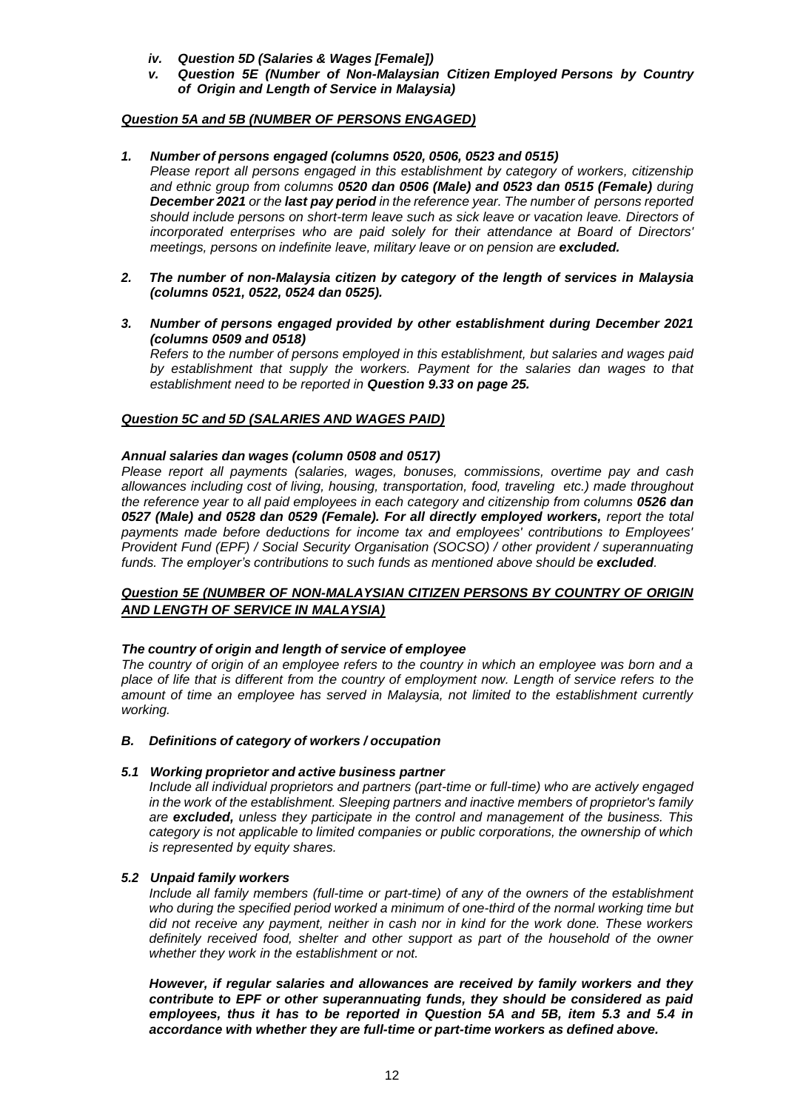- *iv. Question 5D (Salaries & Wages [Female])*
- *v. Question 5E (Number of Non-Malaysian Citizen Employed Persons by Country of Origin and Length of Service in Malaysia)*

# *Question 5A and 5B (NUMBER OF PERSONS ENGAGED)*

### *1. Number of persons engaged (columns 0520, 0506, 0523 and 0515)*

*Please report all persons engaged in this establishment by category of workers, citizenship and ethnic group from columns 0520 dan 0506 (Male) and 0523 dan 0515 (Female) during December 2021 or the last pay period in the reference year. The number of persons reported should include persons on short-term leave such as sick leave or vacation leave. Directors of incorporated enterprises who are paid solely for their attendance at Board of Directors' meetings, persons on indefinite leave, military leave or on pension are excluded.*

- *2. The number of non-Malaysia citizen by category of the length of services in Malaysia (columns 0521, 0522, 0524 dan 0525).*
- *3. Number of persons engaged provided by other establishment during December 2021 (columns 0509 and 0518) Refers to the number of persons employed in this establishment, but salaries and wages paid by establishment that supply the workers. Payment for the salaries dan wages to that establishment need to be reported in Question 9.33 on page 25.*

### *Question 5C and 5D (SALARIES AND WAGES PAID)*

#### *Annual salaries dan wages (column 0508 and 0517)*

*Please report all payments (salaries, wages, bonuses, commissions, overtime pay and cash allowances including cost of living, housing, transportation, food, traveling etc.) made throughout the reference year to all paid employees in each category and citizenship from columns 0526 dan* 0527 (Male) and 0528 dan 0529 (Female). For all directly employed workers, report the total *payments made before deductions for income tax and employees' contributions to Employees' Provident Fund (EPF) / Social Security Organisation (SOCSO) / other provident / superannuating funds. The employer's contributions to such funds as mentioned above should be excluded.*

# *Question 5E (NUMBER OF NON-MALAYSIAN CITIZEN PERSONS BY COUNTRY OF ORIGIN AND LENGTH OF SERVICE IN MALAYSIA)*

#### *The country of origin and length of service of employee*

*The country of origin of an employee refers to the country in which an employee was born and a place of life that is different from the country of employment now. Length of service refers to the amount of time an employee has served in Malaysia, not limited to the establishment currently working.*

#### *B. Definitions of category of workers / occupation*

#### *5.1 Working proprietor and active business partner*

*Include all individual proprietors and partners (part-time or full-time) who are actively engaged in the work of the establishment. Sleeping partners and inactive members of proprietor's family are excluded, unless they participate in the control and management of the business. This category is not applicable to limited companies or public corporations, the ownership of which is represented by equity shares.*

#### *5.2 Unpaid family workers*

*Include all family members (full-time or part-time) of any of the owners of the establishment who during the specified period worked a minimum of one-third of the normal working time but did not receive any payment, neither in cash nor in kind for the work done. These workers definitely received food, shelter and other support as part of the household of the owner whether they work in the establishment or not.*

*However, if regular salaries and allowances are received by family workers and they contribute to EPF or other superannuating funds, they should be considered as paid employees, thus it has to be reported in Question 5A and 5B, item 5.3 and 5.4 in accordance with whether they are full-time or part-time workers as defined above.*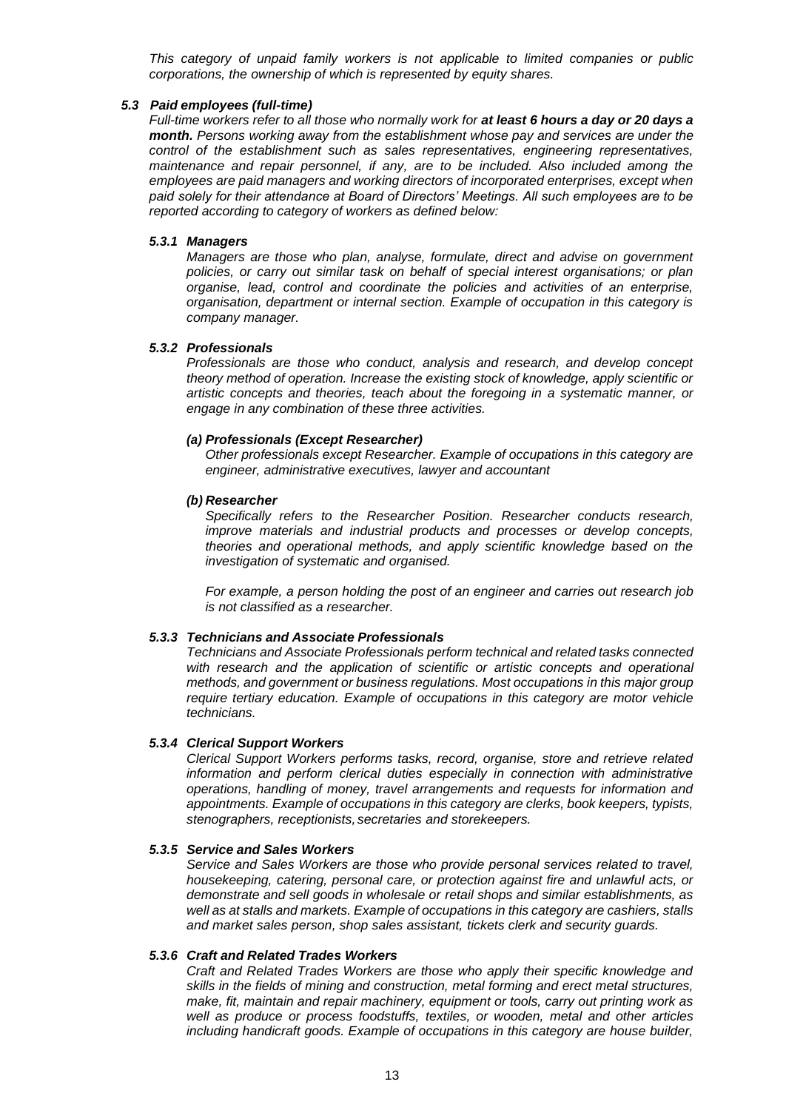*This category of unpaid family workers is not applicable to limited companies or public corporations, the ownership of which is represented by equity shares.*

### *5.3 Paid employees (full-time)*

*Full-time workers refer to all those who normally work for at least 6 hours a day or 20 days a month. Persons working away from the establishment whose pay and services are under the control of the establishment such as sales representatives, engineering representatives, maintenance and repair personnel, if any, are to be included. Also included among the employees are paid managers and working directors of incorporated enterprises, except when paid solely for their attendance at Board of Directors' Meetings. All such employees are to be reported according to category of workers as defined below:*

### *5.3.1 Managers*

*Managers are those who plan, analyse, formulate, direct and advise on government policies, or carry out similar task on behalf of special interest organisations; or plan organise, lead, control and coordinate the policies and activities of an enterprise, organisation, department or internal section. Example of occupation in this category is company manager.*

# *5.3.2 Professionals*

*Professionals are those who conduct, analysis and research, and develop concept theory method of operation. Increase the existing stock of knowledge, apply scientific or artistic concepts and theories, teach about the foregoing in a systematic manner, or engage in any combination of these three activities.*

# *(a) Professionals (Except Researcher)*

*Other professionals except Researcher. Example of occupations in this category are engineer, administrative executives, lawyer and accountant*

# *(b) Researcher*

*Specifically refers to the Researcher Position. Researcher conducts research, improve materials and industrial products and processes or develop concepts, theories and operational methods, and apply scientific knowledge based on the investigation of systematic and organised.*

*For example, a person holding the post of an engineer and carries out research job is not classified as a researcher.*

# *5.3.3 Technicians and Associate Professionals*

*Technicians and Associate Professionals perform technical and related tasks connected with research and the application of scientific or artistic concepts and operational methods, and government or business regulations. Most occupations in this major group require tertiary education. Example of occupations in this category are motor vehicle technicians.*

# *5.3.4 Clerical Support Workers*

*Clerical Support Workers performs tasks, record, organise, store and retrieve related information and perform clerical duties especially in connection with administrative operations, handling of money, travel arrangements and requests for information and appointments. Example of occupations in this category are clerks, book keepers, typists, stenographers, receptionists, secretaries and storekeepers.*

#### *5.3.5 Service and Sales Workers*

*Service and Sales Workers are those who provide personal services related to travel, housekeeping, catering, personal care, or protection against fire and unlawful acts, or demonstrate and sell goods in wholesale or retail shops and similar establishments, as well as at stalls and markets. Example of occupations in this category are cashiers, stalls and market sales person, shop sales assistant, tickets clerk and security guards.*

#### *5.3.6 Craft and Related Trades Workers*

*Craft and Related Trades Workers are those who apply their specific knowledge and skills in the fields of mining and construction, metal forming and erect metal structures, make, fit, maintain and repair machinery, equipment or tools, carry out printing work as well as produce or process foodstuffs, textiles, or wooden, metal and other articles including handicraft goods. Example of occupations in this category are house builder,*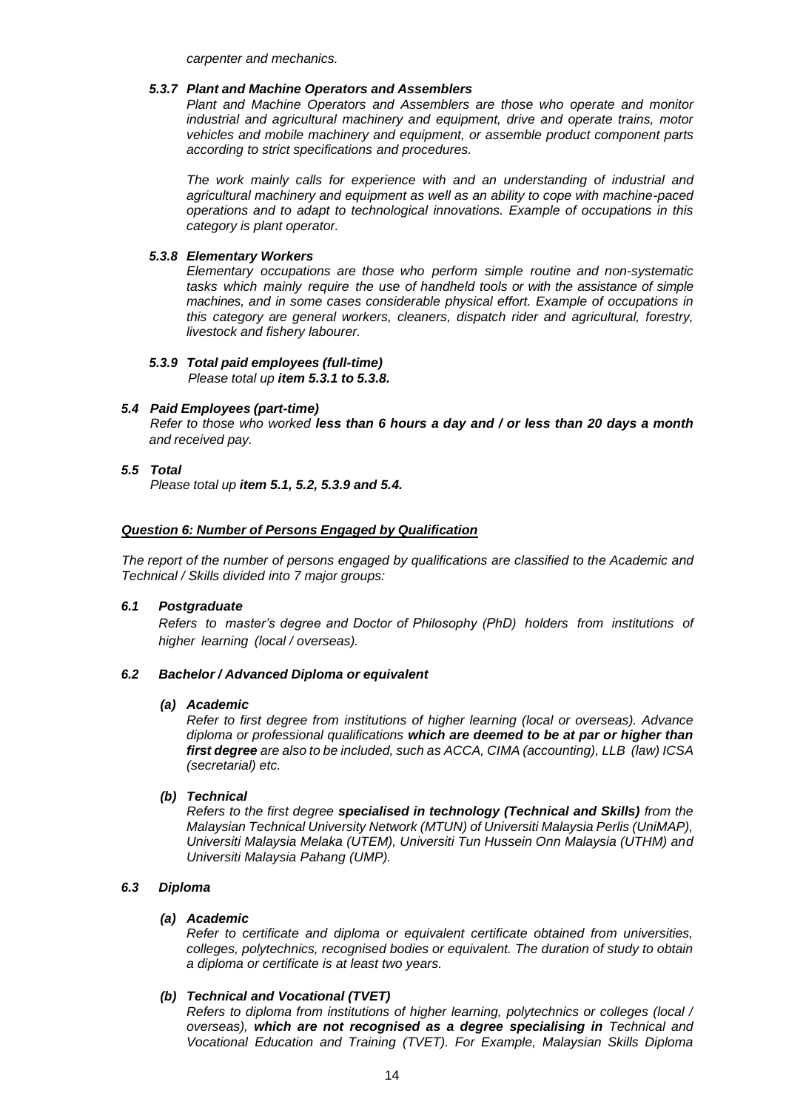*carpenter and mechanics.*

# *5.3.7 Plant and Machine Operators and Assemblers*

*Plant and Machine Operators and Assemblers are those who operate and monitor industrial and agricultural machinery and equipment, drive and operate trains, motor vehicles and mobile machinery and equipment, or assemble product component parts according to strict specifications and procedures.*

*The work mainly calls for experience with and an understanding of industrial and agricultural machinery and equipment as well as an ability to cope with machine-paced operations and to adapt to technological innovations. Example of occupations in this category is plant operator.*

# *5.3.8 Elementary Workers*

*Elementary occupations are those who perform simple routine and non-systematic tasks which mainly require the use of handheld tools or with the assistance of simple machines, and in some cases considerable physical effort. Example of occupations in this category are general workers, cleaners, dispatch rider and agricultural, forestry, livestock and fishery labourer.*

# *5.3.9 Total paid employees (full-time)*

*Please total up item 5.3.1 to 5.3.8.*

# *5.4 Paid Employees (part-time)*

*Refer to those who worked less than 6 hours a day and / or less than 20 days a month and received pay.*

# *5.5 Total*

*Please total up item 5.1, 5.2, 5.3.9 and 5.4.*

# *Question 6: Number of Persons Engaged by Qualification*

*The report of the number of persons engaged by qualifications are classified to the Academic and Technical / Skills divided into 7 major groups:*

#### *6.1 Postgraduate*

*Refers to master's degree and Doctor of Philosophy (PhD) holders from institutions of higher learning (local / overseas).*

#### *6.2 Bachelor / Advanced Diploma or equivalent*

#### *(a) Academic*

*Refer to first degree from institutions of higher learning (local or overseas). Advance diploma or professional qualifications which are deemed to be at par or higher than first degree are also to be included, such as ACCA, CIMA (accounting), LLB (law) ICSA (secretarial) etc.*

# *(b) Technical*

*Refers to the first degree specialised in technology (Technical and Skills) from the Malaysian Technical University Network (MTUN) of Universiti Malaysia Perlis (UniMAP), Universiti Malaysia Melaka (UTEM), Universiti Tun Hussein Onn Malaysia (UTHM) and Universiti Malaysia Pahang (UMP).*

# *6.3 Diploma*

# *(a) Academic*

*Refer to certificate and diploma or equivalent certificate obtained from universities, colleges, polytechnics, recognised bodies or equivalent. The duration of study to obtain a diploma or certificate is at least two years.*

# *(b) Technical and Vocational (TVET)*

*Refers to diploma from institutions of higher learning, polytechnics or colleges (local / overseas), which are not recognised as a degree specialising in Technical and Vocational Education and Training (TVET). For Example, Malaysian Skills Diploma*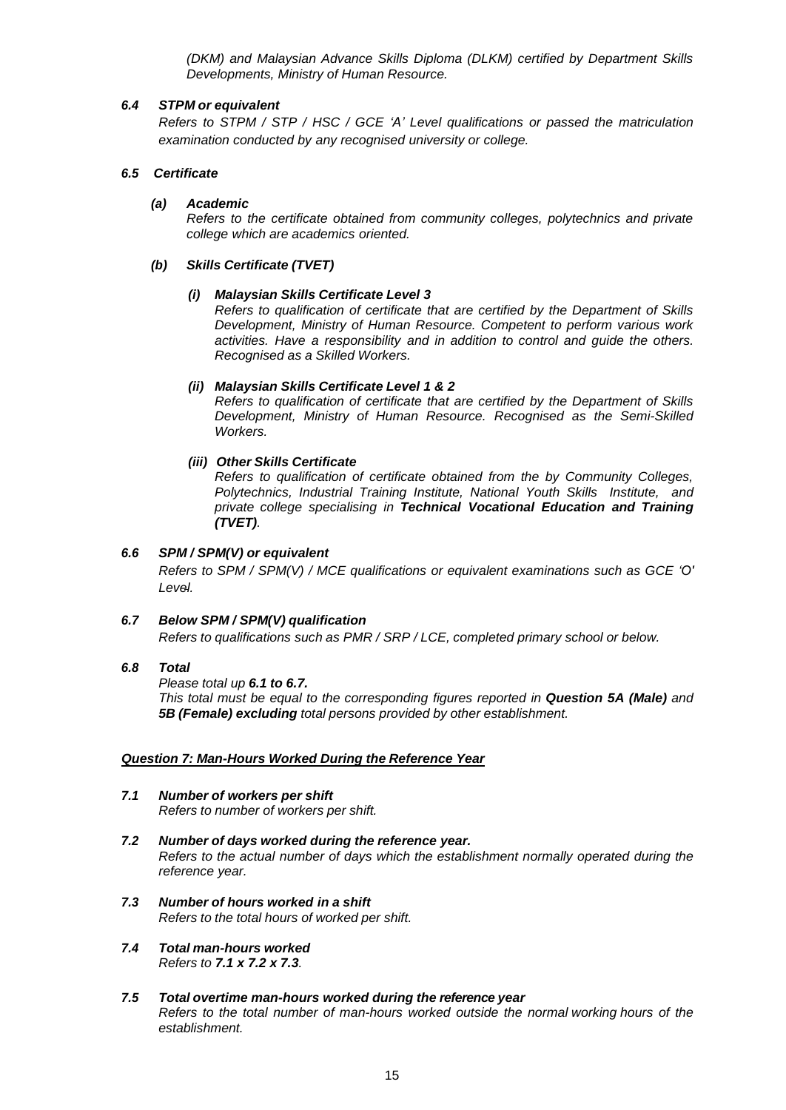*(DKM) and Malaysian Advance Skills Diploma (DLKM) certified by Department Skills Developments, Ministry of Human Resource.*

# *6.4 STPM or equivalent*

*Refers to STPM / STP / HSC / GCE 'A' Level qualifications or passed the matriculation examination conducted by any recognised university or college.*

# *6.5 Certificate*

# *(a) Academic*

*Refers to the certificate obtained from community colleges, polytechnics and private college which are academics oriented.*

# *(b) Skills Certificate (TVET)*

# *(i) Malaysian Skills Certificate Level 3*

*Refers to qualification of certificate that are certified by the Department of Skills Development, Ministry of Human Resource. Competent to perform various work activities. Have a responsibility and in addition to control and guide the others. Recognised as a Skilled Workers.*

# *(ii) Malaysian Skills Certificate Level 1 & 2*

*Refers to qualification of certificate that are certified by the Department of Skills Development, Ministry of Human Resource. Recognised as the Semi-Skilled Workers.*

# *(iii) Other Skills Certificate*

*Refers to qualification of certificate obtained from the by Community Colleges, Polytechnics, Industrial Training Institute, National Youth Skills Institute, and private college specialising in Technical Vocational Education and Training (TVET).*

# *6.6 SPM / SPM(V) or equivalent*

*Refers to SPM / SPM(V) / MCE qualifications or equivalent examinations such as GCE 'O' Level.*

# *6.7 Below SPM / SPM(V) qualification*

*Refers to qualifications such as PMR / SRP / LCE, completed primary school or below.*

#### *6.8 Total*

*Please total up 6.1 to 6.7.*

*This total must be equal to the corresponding figures reported in Question 5A (Male) and 5B (Female) excluding total persons provided by other establishment.*

#### *Question 7: Man-Hours Worked During the Reference Year*

# *7.1 Number of workers per shift Refers to number of workers per shift.*

- *7.2 Number of days worked during the reference year. Refers to the actual number of days which the establishment normally operated during the reference year.*
- *7.3 Number of hours worked in a shift Refers to the total hours of worked per shift.*
- *7.4 Total man-hours worked Refers to 7.1 x 7.2 x 7.3.*
- *7.5 Total overtime man-hours worked during the reference year Refers to the total number of man-hours worked outside the normal working hours of the establishment.*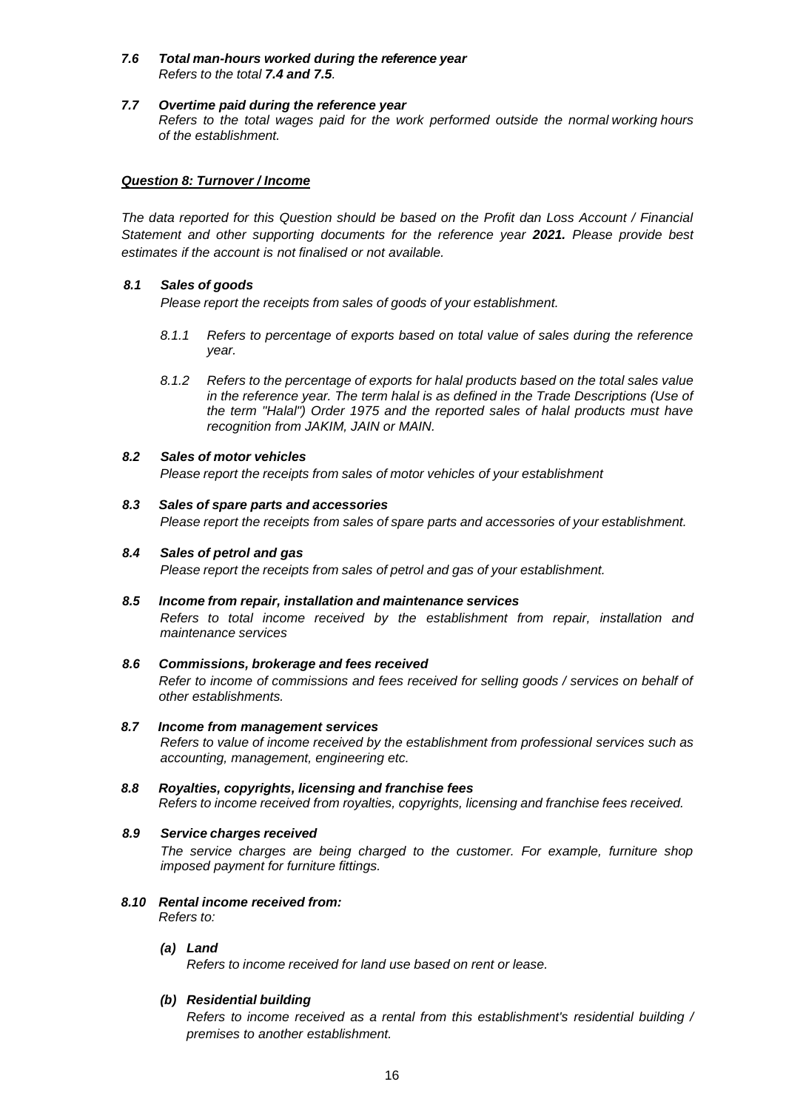# *7.6 Total man-hours worked during the reference year Refers to the total 7.4 and 7.5.*

# *7.7 Overtime paid during the reference year*

*Refers to the total wages paid for the work performed outside the normal working hours of the establishment.*

# *Question 8: Turnover / Income*

*The data reported for this Question should be based on the Profit dan Loss Account / Financial Statement and other supporting documents for the reference year 2021. Please provide best estimates if the account is not finalised or not available.*

# *8.1 Sales of goods*

*Please report the receipts from sales of goods of your establishment.*

- *8.1.1 Refers to percentage of exports based on total value of sales during the reference year.*
- *8.1.2 Refers to the percentage of exports for halal products based on the total sales value in the reference year. The term halal is as defined in the Trade Descriptions (Use of the term "Halal") Order 1975 and the reported sales of halal products must have recognition from JAKIM, JAIN or MAIN.*

# *8.2 Sales of motor vehicles*

*Please report the receipts from sales of motor vehicles of your establishment*

#### *8.3 Sales of spare parts and accessories*

*Please report the receipts from sales of spare parts and accessories of your establishment.*

# *8.4 Sales of petrol and gas*

*Please report the receipts from sales of petrol and gas of your establishment.*

#### *8.5 Income from repair, installation and maintenance services*

*Refers to total income received by the establishment from repair, installation and maintenance services*

#### *8.6 Commissions, brokerage and fees received*

*Refer to income of commissions and fees received for selling goods / services on behalf of other establishments.*

# *8.7 Income from management services*

*Refers to value of income received by the establishment from professional services such as accounting, management, engineering etc.*

*8.8 Royalties, copyrights, licensing and franchise fees Refers to income received from royalties, copyrights, licensing and franchise fees received.*

#### *8.9 Service charges received*

*The service charges are being charged to the customer. For example, furniture shop imposed payment for furniture fittings.*

# *8.10 Rental income received from:*

*Refers to:*

#### *(a) Land*

*Refers to income received for land use based on rent or lease.*

# *(b) Residential building*

*Refers to income received as a rental from this establishment's residential building / premises to another establishment.*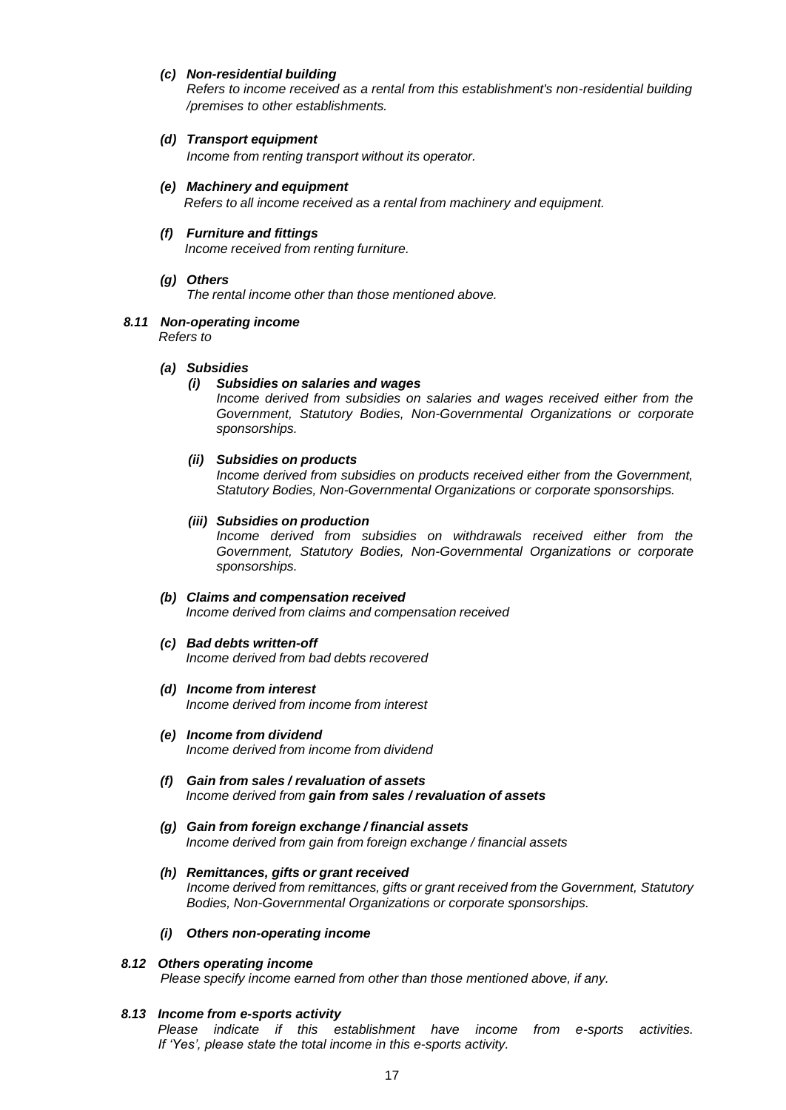# *(c) Non-residential building*

*Refers to income received as a rental from this establishment's non-residential building /premises to other establishments.*

### *(d) Transport equipment*

*Income from renting transport without its operator.*

# *(e) Machinery and equipment*

*Refers to all income received as a rental from machinery and equipment.*

#### *(f) Furniture and fittings Income received from renting furniture.*

# *(g) Others*

*The rental income other than those mentioned above.*

# *8.11 Non-operating income*

*Refers to*

### *(a) Subsidies*

# *(i) Subsidies on salaries and wages*

*Income derived from subsidies on salaries and wages received either from the Government, Statutory Bodies, Non-Governmental Organizations or corporate sponsorships.*

# *(ii) Subsidies on products*

*Income derived from subsidies on products received either from the Government, Statutory Bodies, Non-Governmental Organizations or corporate sponsorships.*

#### *(iii) Subsidies on production*

*Income derived from subsidies on withdrawals received either from the Government, Statutory Bodies, Non-Governmental Organizations or corporate sponsorships.*

# *(b) Claims and compensation received*

*Income derived from claims and compensation received*

# *(c) Bad debts written-off*

*Income derived from bad debts recovered*

#### *(d) Income from interest*

*Income derived from income from interest*

- *(e) Income from dividend Income derived from income from dividend*
- *(f) Gain from sales / revaluation of assets Income derived from gain from sales / revaluation of assets*

### *(g) Gain from foreign exchange / financial assets Income derived from gain from foreign exchange / financial assets*

*(h) Remittances, gifts or grant received Income derived from remittances, gifts or grant received from the Government, Statutory Bodies, Non-Governmental Organizations or corporate sponsorships.*

#### *(i) Others non-operating income*

#### *8.12 Others operating income Please specify income earned from other than those mentioned above, if any.*

# *8.13 Income from e-sports activity*

*Please indicate if this establishment have income from e-sports activities. If 'Yes', please state the total income in this e-sports activity.*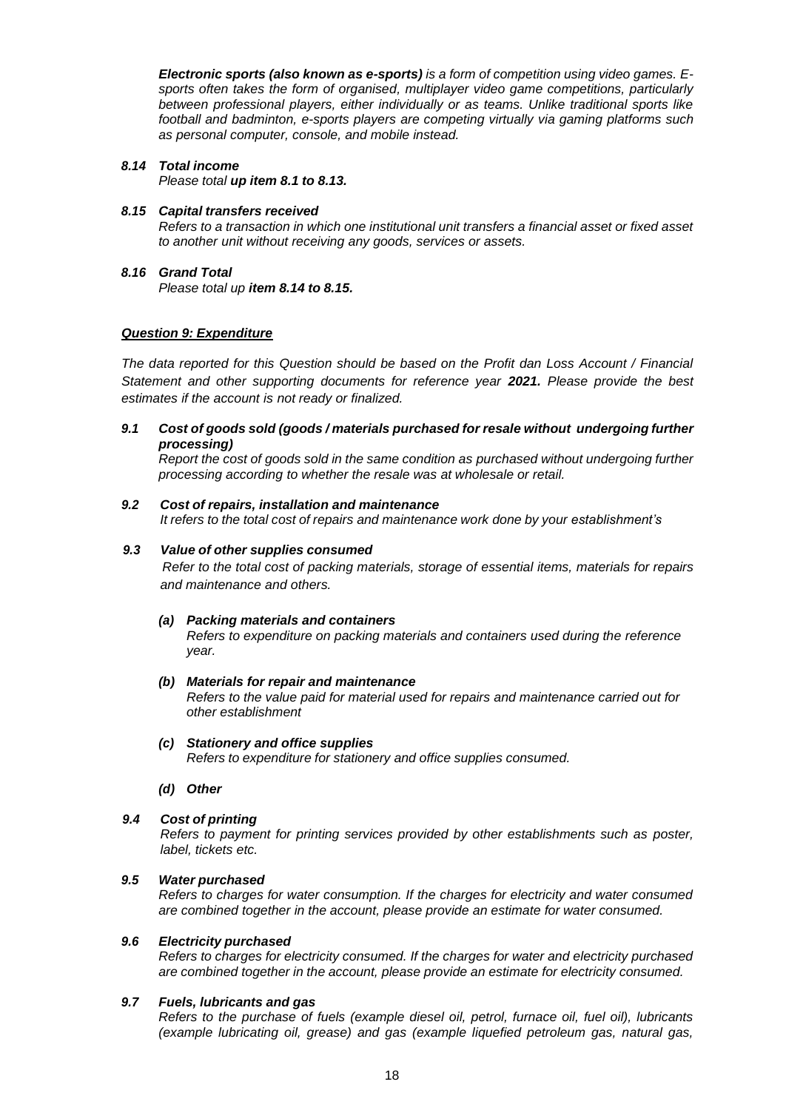*Electronic sports (also known as e-sports) is a form of competition using video games. Esports often takes the form of organised, multiplayer video game competitions, particularly between professional players, either individually or as teams. Unlike traditional sports like football and badminton, e-sports players are competing virtually via gaming platforms such as personal computer, console, and mobile instead.*

#### *8.14 Total income*

*Please total up item 8.1 to 8.13.*

### *8.15 Capital transfers received*

*Refers to a transaction in which one institutional unit transfers a financial asset or fixed asset to another unit without receiving any goods, services or assets.*

*8.16 Grand Total Please total up item 8.14 to 8.15.*

# *Question 9: Expenditure*

*The data reported for this Question should be based on the Profit dan Loss Account / Financial Statement and other supporting documents for reference year 2021. Please provide the best estimates if the account is not ready or finalized.*

# *9.1 Cost of goods sold (goods / materials purchased for resale without undergoing further processing)*

*Report the cost of goods sold in the same condition as purchased without undergoing further processing according to whether the resale was at wholesale or retail.*

# *9.2 Cost of repairs, installation and maintenance*

*It refers to the total cost of repairs and maintenance work done by your establishment's*

### *9.3 Value of other supplies consumed*

*Refer to the total cost of packing materials, storage of essential items, materials for repairs and maintenance and others.*

#### *(a) Packing materials and containers*

*Refers to expenditure on packing materials and containers used during the reference year.*

#### *(b) Materials for repair and maintenance*

*Refers to the value paid for material used for repairs and maintenance carried out for other establishment*

- *(c) Stationery and office supplies Refers to expenditure for stationery and office supplies consumed.*
- *(d) Other*
- *9.4 Cost of printing*

*Refers to payment for printing services provided by other establishments such as poster, label, tickets etc.*

#### *9.5 Water purchased*

*Refers to charges for water consumption. If the charges for electricity and water consumed are combined together in the account, please provide an estimate for water consumed.*

### *9.6 Electricity purchased*

*Refers to charges for electricity consumed. If the charges for water and electricity purchased are combined together in the account, please provide an estimate for electricity consumed.*

### *9.7 Fuels, lubricants and gas*

*Refers to the purchase of fuels (example diesel oil, petrol, furnace oil, fuel oil), lubricants (example lubricating oil, grease) and gas (example liquefied petroleum gas, natural gas,*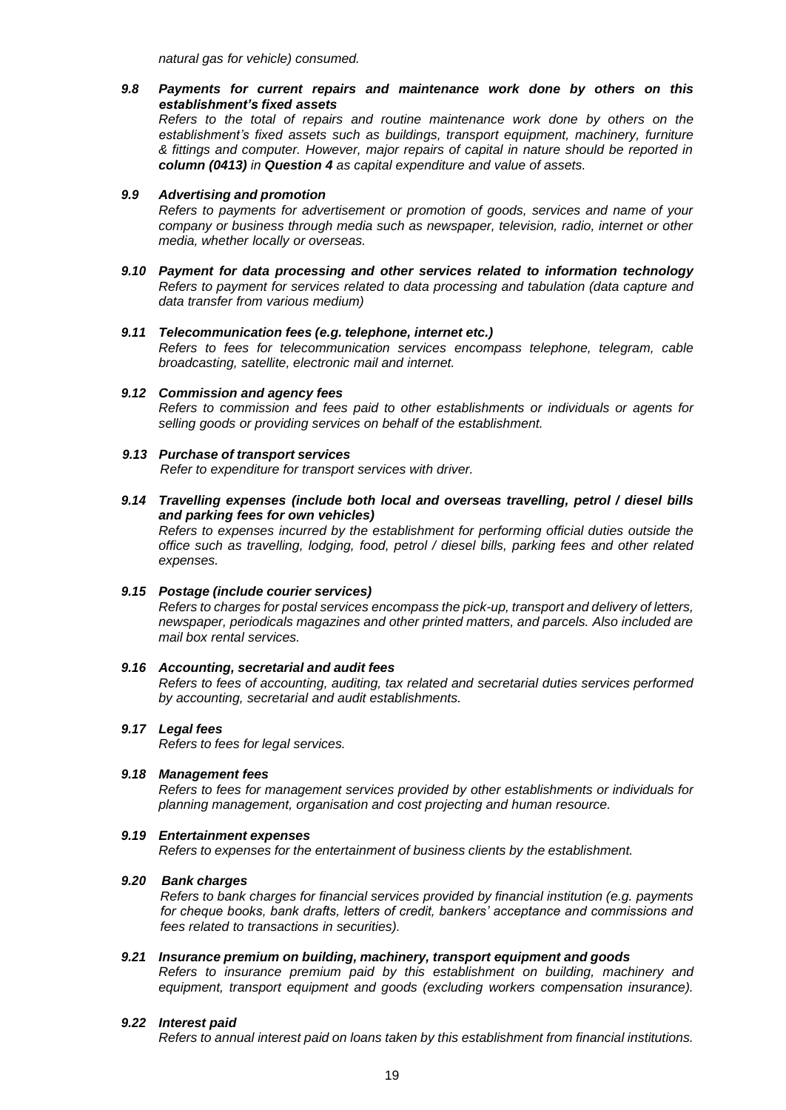*natural gas for vehicle) consumed.*

*9.8 Payments for current repairs and maintenance work done by others on this establishment's fixed assets Refers to the total of repairs and routine maintenance work done by others on the establishment's fixed assets such as buildings, transport equipment, machinery, furniture & fittings and computer. However, major repairs of capital in nature should be reported in column (0413) in Question 4 as capital expenditure and value of assets.*

### *9.9 Advertising and promotion*

*Refers to payments for advertisement or promotion of goods, services and name of your company or business through media such as newspaper, television, radio, internet or other media, whether locally or overseas.*

*9.10 Payment for data processing and other services related to information technology Refers to payment for services related to data processing and tabulation (data capture and data transfer from various medium)*

# *9.11 Telecommunication fees (e.g. telephone, internet etc.)*

*Refers to fees for telecommunication services encompass telephone, telegram, cable broadcasting, satellite, electronic mail and internet.*

*9.12 Commission and agency fees Refers to commission and fees paid to other establishments or individuals or agents for selling goods or providing services on behalf of the establishment.*

#### *9.13 Purchase of transport services*

*Refer to expenditure for transport services with driver.*

*9.14 Travelling expenses (include both local and overseas travelling, petrol / diesel bills and parking fees for own vehicles)*

*Refers to expenses incurred by the establishment for performing official duties outside the office such as travelling, lodging, food, petrol / diesel bills, parking fees and other related expenses.*

### *9.15 Postage (include courier services)*

*Refers to charges for postal services encompass the pick-up, transport and delivery of letters, newspaper, periodicals magazines and other printed matters, and parcels. Also included are mail box rental services.*

#### *9.16 Accounting, secretarial and audit fees*

*Refers to fees of accounting, auditing, tax related and secretarial duties services performed by accounting, secretarial and audit establishments.*

#### *9.17 Legal fees*

*Refers to fees for legal services.*

#### *9.18 Management fees*

*Refers to fees for management services provided by other establishments or individuals for planning management, organisation and cost projecting and human resource.*

#### *9.19 Entertainment expenses*

*Refers to expenses for the entertainment of business clients by the establishment.*

#### *9.20 Bank charges*

*Refers to bank charges for financial services provided by financial institution (e.g. payments for cheque books, bank drafts, letters of credit, bankers' acceptance and commissions and fees related to transactions in securities).*

*9.21 Insurance premium on building, machinery, transport equipment and goods Refers to insurance premium paid by this establishment on building, machinery and equipment, transport equipment and goods (excluding workers compensation insurance).*

#### *9.22 Interest paid*

*Refers to annual interest paid on loans taken by this establishment from financial institutions.*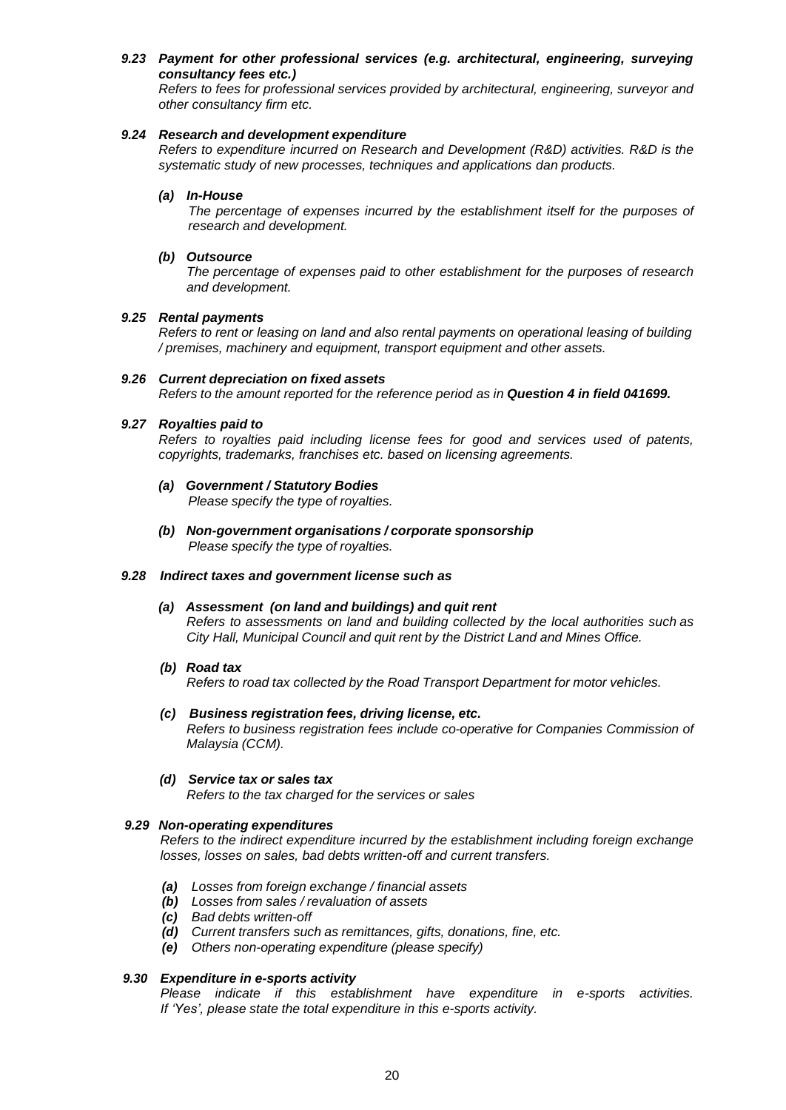# *9.23 Payment for other professional services (e.g. architectural, engineering, surveying consultancy fees etc.)*

*Refers to fees for professional services provided by architectural, engineering, surveyor and other consultancy firm etc.*

# *9.24 Research and development expenditure*

*Refers to expenditure incurred on Research and Development (R&D) activities. R&D is the systematic study of new processes, techniques and applications dan products.*

### *(a) In-House*

*The percentage of expenses incurred by the establishment itself for the purposes of research and development.*

# *(b) Outsource*

*The percentage of expenses paid to other establishment for the purposes of research and development.*

# *9.25 Rental payments*

*Refers to rent or leasing on land and also rental payments on operational leasing of building / premises, machinery and equipment, transport equipment and other assets.*

# *9.26 Current depreciation on fixed assets*

*Refers to the amount reported for the reference period as in Question 4 in field 041699.*

# *9.27 Royalties paid to*

*Refers to royalties paid including license fees for good and services used of patents, copyrights, trademarks, franchises etc. based on licensing agreements.*

# *(a) Government / Statutory Bodies*

*Please specify the type of royalties.*

*(b) Non-government organisations / corporate sponsorship Please specify the type of royalties.*

# *9.28 Indirect taxes and government license such as*

# *(a) Assessment (on land and buildings) and quit rent*

*Refers to assessments on land and building collected by the local authorities such as City Hall, Municipal Council and quit rent by the District Land and Mines Office.*

*(b) Road tax*

*Refers to road tax collected by the Road Transport Department for motor vehicles.*

#### *(c) Business registration fees, driving license, etc. Refers to business registration fees include co-operative for Companies Commission of Malaysia (CCM).*

*(d) Service tax or sales tax*

*Refers to the tax charged for the services or sales*

# *9.29 Non-operating expenditures*

*Refers to the indirect expenditure incurred by the establishment including foreign exchange losses, losses on sales, bad debts written-off and current transfers.*

- *(a) Losses from foreign exchange / financial assets*
- *(b) Losses from sales / revaluation of assets*
- *(c) Bad debts written-off*
- *(d) Current transfers such as remittances, gifts, donations, fine, etc.*
- *(e) Others non-operating expenditure (please specify)*

# *9.30 Expenditure in e-sports activity*

*Please indicate if this establishment have expenditure in e-sports activities. If 'Yes', please state the total expenditure in this e-sports activity.*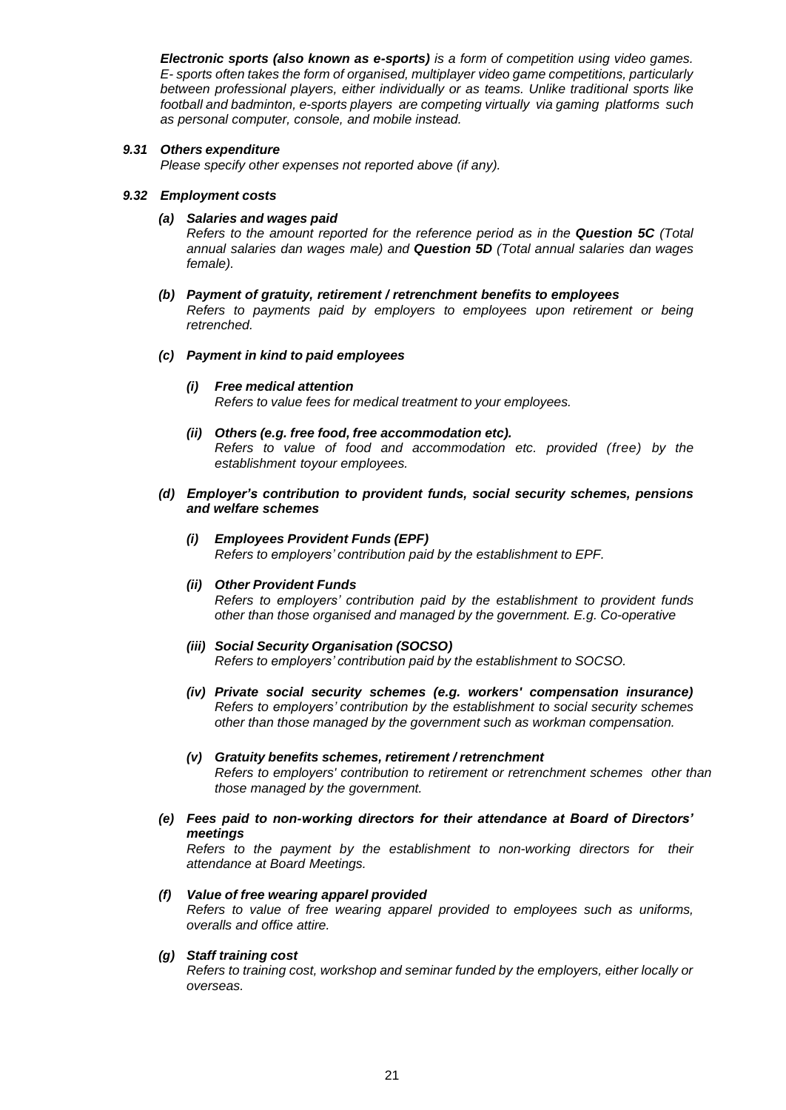*Electronic sports (also known as e-sports) is a form of competition using video games. E- sports often takes the form of organised, multiplayer video game competitions, particularly between professional players, either individually or as teams. Unlike traditional sports like football and badminton, e-sports players are competing virtually via gaming platforms such as personal computer, console, and mobile instead.*

# *9.31 Others expenditure*

*Please specify other expenses not reported above (if any).*

#### *9.32 Employment costs*

*(a) Salaries and wages paid*

*Refers to the amount reported for the reference period as in the Question 5C (Total annual salaries dan wages male) and Question 5D (Total annual salaries dan wages female).*

*(b) Payment of gratuity, retirement / retrenchment benefits to employees Refers to payments paid by employers to employees upon retirement or being retrenched.*

#### *(c) Payment in kind to paid employees*

- *(i) Free medical attention Refers to value fees for medical treatment to your employees.*
- *(ii) Others (e.g. free food, free accommodation etc). Refers to value of food and accommodation etc. provided (free) by the establishment toyour employees.*
- *(d) Employer's contribution to provident funds, social security schemes, pensions and welfare schemes*

#### *(i) Employees Provident Funds (EPF) Refers to employers' contribution paid by the establishment to EPF.*

#### *(ii) Other Provident Funds*

*Refers to employers' contribution paid by the establishment to provident funds other than those organised and managed by the government. E.g. Co-operative*

- *(iii) Social Security Organisation (SOCSO) Refers to employers' contribution paid by the establishment to SOCSO.*
- *(iv) Private social security schemes (e.g. workers' compensation insurance) Refers to employers' contribution by the establishment to social security schemes other than those managed by the government such as workman compensation.*
- *(v) Gratuity benefits schemes, retirement / retrenchment Refers to employers' contribution to retirement or retrenchment schemes other than those managed by the government.*
- *(e) Fees paid to non-working directors for their attendance at Board of Directors' meetings*

*Refers to the payment by the establishment to non-working directors for their attendance at Board Meetings.*

#### *(f) Value of free wearing apparel provided*

*Refers to value of free wearing apparel provided to employees such as uniforms, overalls and office attire.*

#### *(g) Staff training cost*

*Refers to training cost, workshop and seminar funded by the employers, either locally or overseas.*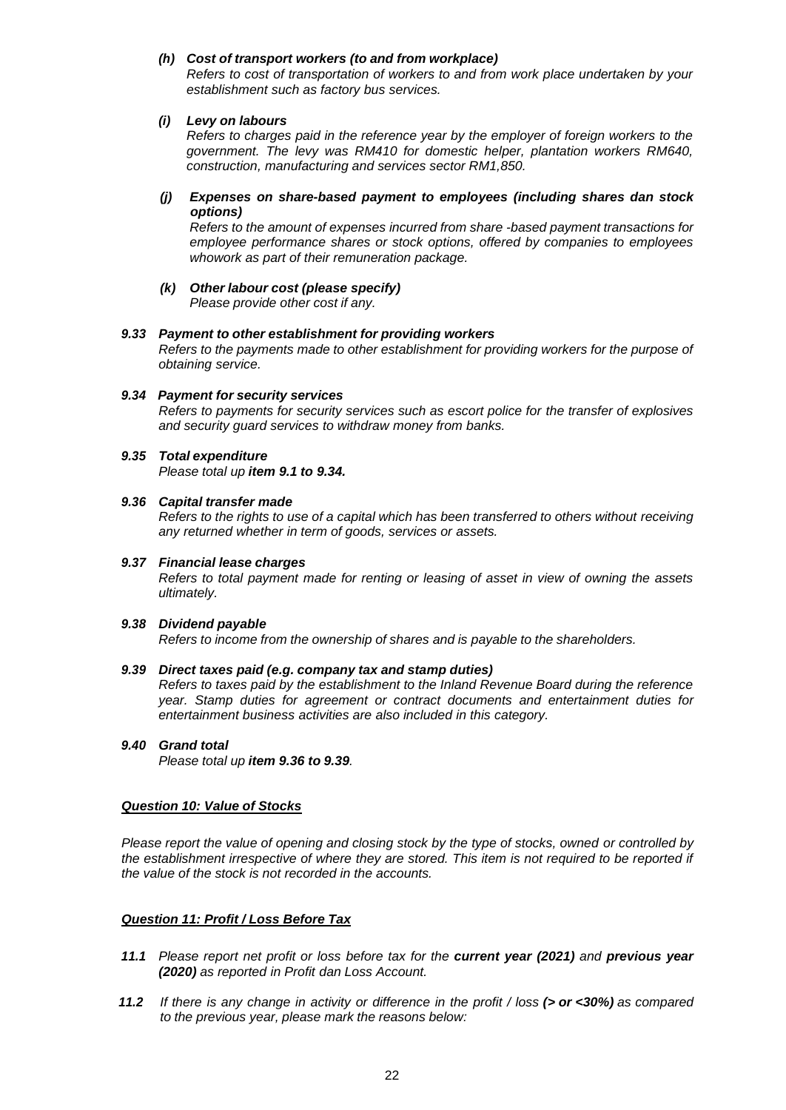### *(h) Cost of transport workers (to and from workplace)*

*Refers to cost of transportation of workers to and from work place undertaken by your establishment such as factory bus services.*

### *(i) Levy on labours*

*Refers to charges paid in the reference year by the employer of foreign workers to the government. The levy was RM410 for domestic helper, plantation workers RM640, construction, manufacturing and services sector RM1,850.*

# *(j) Expenses on share-based payment to employees (including shares dan stock options)*

*Refers to the amount of expenses incurred from share -based payment transactions for employee performance shares or stock options, offered by companies to employees whowork as part of their remuneration package.*

# *(k) Other labour cost (please specify)*

*Please provide other cost if any.*

# *9.33 Payment to other establishment for providing workers*

*Refers to the payments made to other establishment for providing workers for the purpose of obtaining service.*

# *9.34 Payment for security services*

*Refers to payments for security services such as escort police for the transfer of explosives and security guard services to withdraw money from banks.*

# *9.35 Total expenditure*

*Please total up item 9.1 to 9.34.*

#### *9.36 Capital transfer made*

*Refers to the rights to use of a capital which has been transferred to others without receiving any returned whether in term of goods, services or assets.*

# *9.37 Financial lease charges*

*Refers to total payment made for renting or leasing of asset in view of owning the assets ultimately.*

#### *9.38 Dividend payable*

*Refers to income from the ownership of shares and is payable to the shareholders.*

#### *9.39 Direct taxes paid (e.g. company tax and stamp duties)*

*Refers to taxes paid by the establishment to the Inland Revenue Board during the reference year. Stamp duties for agreement or contract documents and entertainment duties for entertainment business activities are also included in this category.*

#### *9.40 Grand total*

*Please total up item 9.36 to 9.39.*

#### *Question 10: Value of Stocks*

*Please report the value of opening and closing stock by the type of stocks, owned or controlled by the establishment irrespective of where they are stored. This item is not required to be reported if the value of the stock is not recorded in the accounts.*

# *Question 11: Profit / Loss Before Tax*

- *11.1 Please report net profit or loss before tax for the current year (2021) and previous year (2020) as reported in Profit dan Loss Account.*
- 11.2 If there is any change in activity or difference in the profit / loss ( $>$  or <30%) as compared *to the previous year, please mark the reasons below:*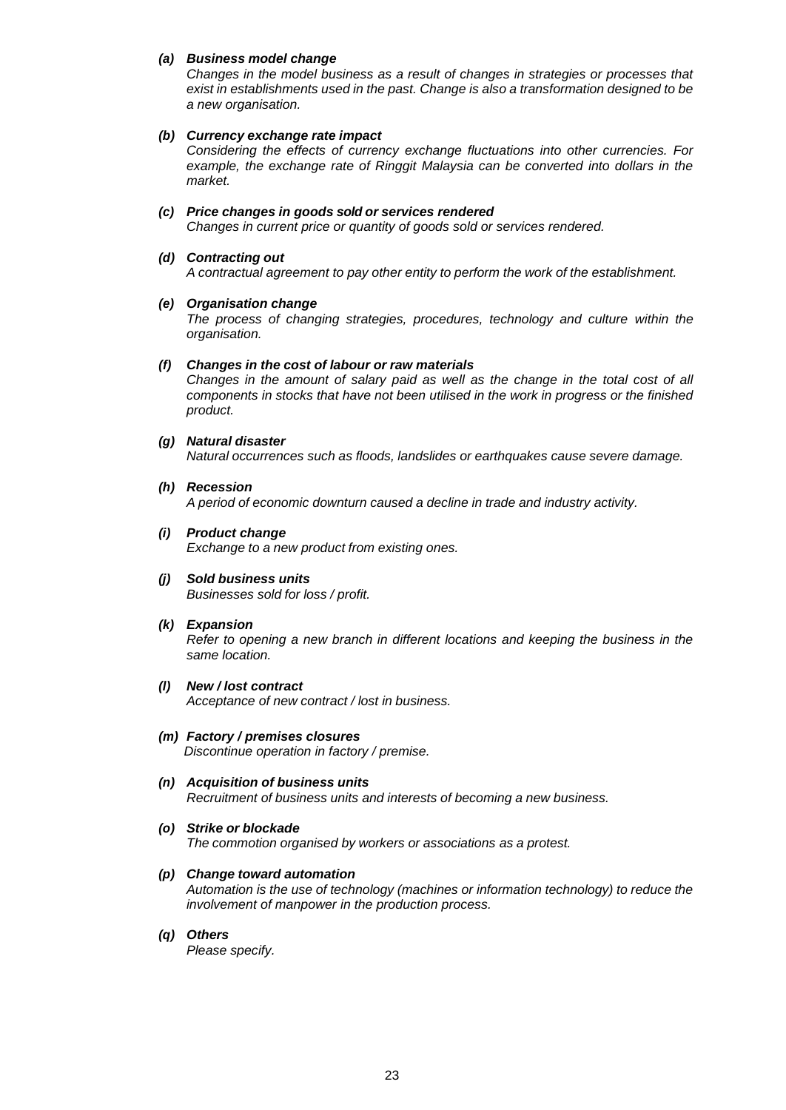### *(a) Business model change*

*Changes in the model business as a result of changes in strategies or processes that exist in establishments used in the past. Change is also a transformation designed to be a new organisation.*

### *(b) Currency exchange rate impact*

*Considering the effects of currency exchange fluctuations into other currencies. For*  example, the exchange rate of Ringgit Malaysia can be converted into dollars in the *market.*

# *(c) Price changes in goods sold or services rendered*

*Changes in current price or quantity of goods sold or services rendered.*

### *(d) Contracting out*

*A contractual agreement to pay other entity to perform the work of the establishment.*

# *(e) Organisation change*

*The process of changing strategies, procedures, technology and culture within the organisation.*

#### *(f) Changes in the cost of labour or raw materials*

*Changes in the amount of salary paid as well as the change in the total cost of all components in stocks that have not been utilised in the work in progress or the finished product.*

# *(g) Natural disaster*

*Natural occurrences such as floods, landslides or earthquakes cause severe damage.*

#### *(h) Recession*

*A period of economic downturn caused a decline in trade and industry activity.*

# *(i) Product change*

*Exchange to a new product from existing ones.*

*(j) Sold business units Businesses sold for loss / profit.*

#### *(k) Expansion*

*Refer to opening a new branch in different locations and keeping the business in the same location.*

#### *(l) New / lost contract Acceptance of new contract / lost in business.*

# *(m) Factory / premises closures*

*Discontinue operation in factory / premise.*

# *(n) Acquisition of business units*

*Recruitment of business units and interests of becoming a new business.*

#### *(o) Strike or blockade*

*The commotion organised by workers or associations as a protest.*

# *(p) Change toward automation*

*Automation is the use of technology (machines or information technology) to reduce the involvement of manpower in the production process.*

#### *(q) Others*

*Please specify.*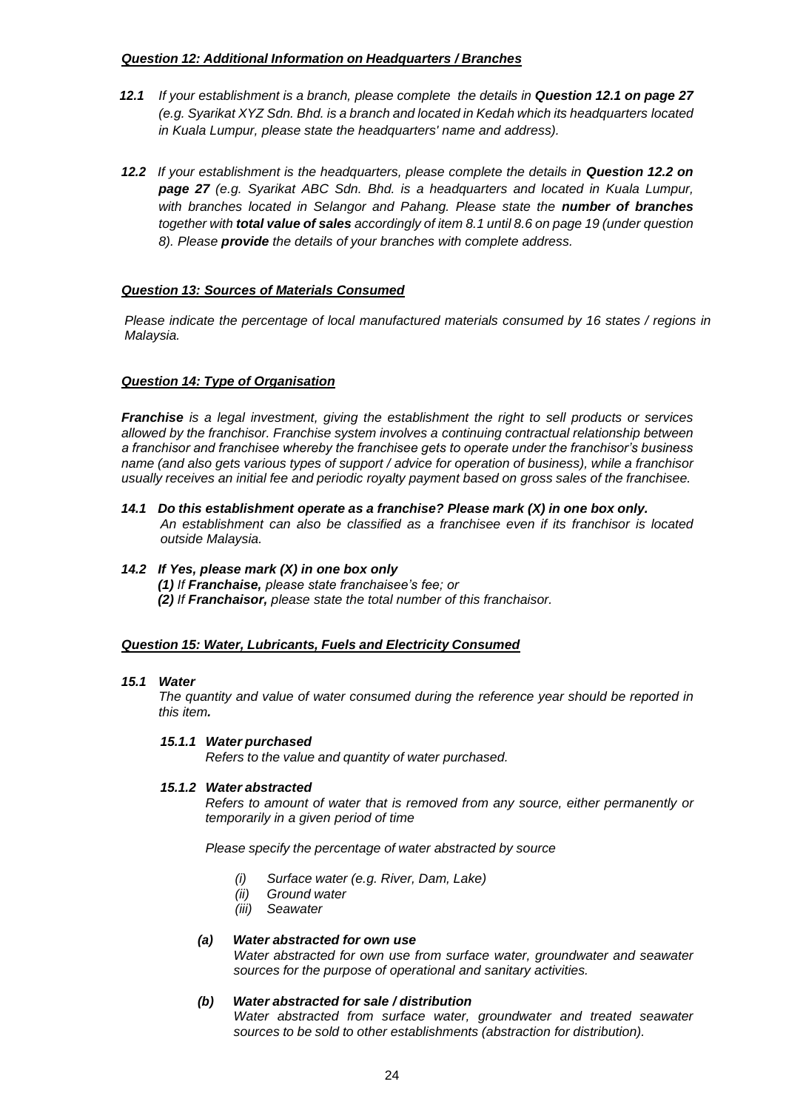# *Question 12: Additional Information on Headquarters / Branches*

- *12.1 If your establishment is a branch, please complete the details in Question 12.1 on page 27 (e.g. Syarikat XYZ Sdn. Bhd. is a branch and located in Kedah which its headquarters located in Kuala Lumpur, please state the headquarters' name and address).*
- 12.2 *If your establishment is the headquarters, please complete the details in Question 12.2 on page 27 (e.g. Syarikat ABC Sdn. Bhd. is a headquarters and located in Kuala Lumpur, with branches located in Selangor and Pahang. Please state the number of branches together with total value of sales accordingly of item 8.1 until 8.6 on page 19 (under question 8). Please provide the details of your branches with complete address.*

# *Question 13: Sources of Materials Consumed*

*Please indicate the percentage of local manufactured materials consumed by 16 states / regions in Malaysia.*

# *Question 14: Type of Organisation*

*Franchise is a legal investment, giving the establishment the right to sell products or services allowed by the franchisor. Franchise system involves a continuing contractual relationship between a franchisor and franchisee whereby the franchisee gets to operate under the franchisor's business name (and also gets various types of support / advice for operation of business), while a franchisor usually receives an initial fee and periodic royalty payment based on gross sales of the franchisee.*

- *14.1 Do this establishment operate as a franchise? Please mark (X) in one box only. An establishment can also be classified as a franchisee even if its franchisor is located outside Malaysia.*
- *14.2 If Yes, please mark (X) in one box only (1) If Franchaise, please state franchaisee's fee; or (2) If Franchaisor, please state the total number of this franchaisor.*

#### *Question 15: Water, Lubricants, Fuels and Electricity Consumed*

#### *15.1 Water*

*The quantity and value of water consumed during the reference year should be reported in this item.*

#### *15.1.1 Water purchased*

*Refers to the value and quantity of water purchased.*

#### *15.1.2 Water abstracted*

*Refers to amount of water that is removed from any source, either permanently or temporarily in a given period of time*

*Please specify the percentage of water abstracted by source*

- *(i) Surface water (e.g. River, Dam, Lake)*
- *(ii) Ground water*
- *(iii) Seawater*

#### *(a) Water abstracted for own use*

*Water abstracted for own use from surface water, groundwater and seawater sources for the purpose of operational and sanitary activities.*

#### *(b) Water abstracted for sale / distribution*

*Water abstracted from surface water, groundwater and treated seawater sources to be sold to other establishments (abstraction for distribution).*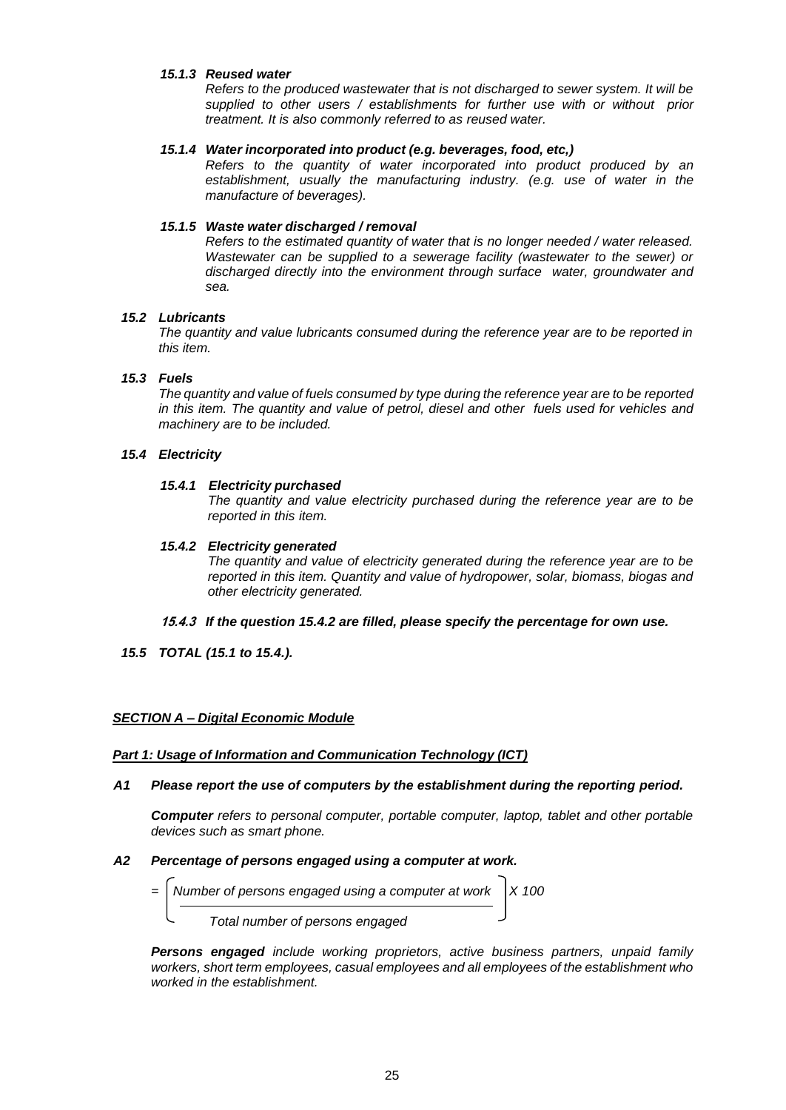### *15.1.3 Reused water*

*Refers to the produced wastewater that is not discharged to sewer system. It will be supplied to other users / establishments for further use with or without prior treatment. It is also commonly referred to as reused water.*

# *15.1.4 Water incorporated into product (e.g. beverages, food, etc,)*

*Refers to the quantity of water incorporated into product produced by an establishment, usually the manufacturing industry. (e.g. use of water in the manufacture of beverages).*

# *15.1.5 Waste water discharged / removal*

*Refers to the estimated quantity of water that is no longer needed / water released. Wastewater can be supplied to a sewerage facility (wastewater to the sewer) or discharged directly into the environment through surface water, groundwater and sea.*

# *15.2 Lubricants*

*The quantity and value lubricants consumed during the reference year are to be reported in this item.*

# *15.3 Fuels*

*The quantity and value of fuels consumed by type during the reference year are to be reported in this item. The quantity and value of petrol, diesel and other fuels used for vehicles and machinery are to be included.*

# *15.4 Electricity*

# *15.4.1 Electricity purchased*

*The quantity and value electricity purchased during the reference year are to be reported in this item.*

# *15.4.2 Electricity generated*

*The quantity and value of electricity generated during the reference year are to be reported in this item. Quantity and value of hydropower, solar, biomass, biogas and other electricity generated.*

- **15.4.3** *If the question 15.4.2 are filled, please specify the percentage for own use.*
- *15.5 TOTAL (15.1 to 15.4.).*

# *SECTION A – Digital Economic Module*

#### *Part 1: Usage of Information and Communication Technology (ICT)*

#### *A1 Please report the use of computers by the establishment during the reporting period.*

*Computer refers to personal computer, portable computer, laptop, tablet and other portable devices such as smart phone.*

#### *A2 Percentage of persons engaged using a computer at work.*

- *Number of persons engaged using a computer at work*  $\vert$  X 100
	- *Total number of persons engaged*

*Persons engaged include working proprietors, active business partners, unpaid family workers, short term employees, casual employees and all employees of the establishment who worked in the establishment.*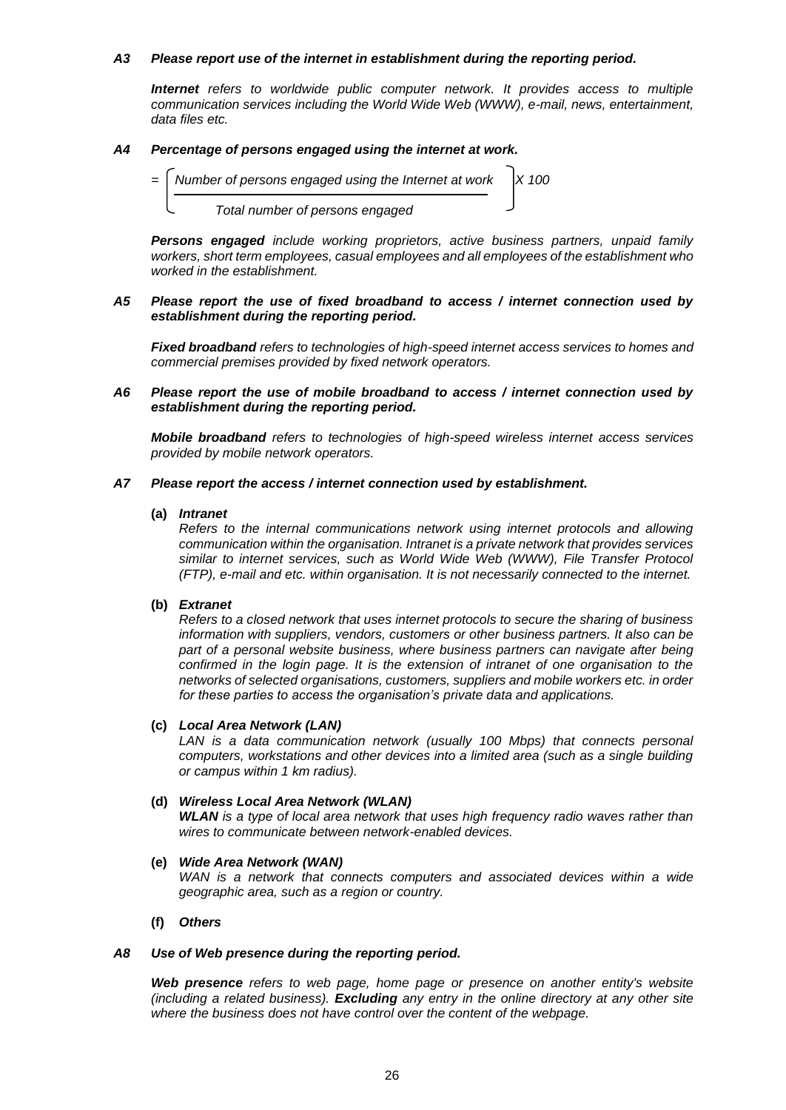### *A3 Please report use of the internet in establishment during the reporting period.*

**Internet** refers to worldwide public computer network. It provides access to multiple *communication services including the World Wide Web (WWW), e-mail, news, entertainment, data files etc.*

### *A4 Percentage of persons engaged using the internet at work.*



*Persons engaged include working proprietors, active business partners, unpaid family workers, short term employees, casual employees and all employees of the establishment who worked in the establishment.*

#### *A5 Please report the use of fixed broadband to access / internet connection used by establishment during the reporting period.*

*Fixed broadband refers to technologies of high-speed internet access services to homes and commercial premises provided by fixed network operators.* 

#### *A6 Please report the use of mobile broadband to access / internet connection used by establishment during the reporting period.*

*Mobile broadband refers to technologies of high-speed wireless internet access services provided by mobile network operators.*

#### *A7 Please report the access / internet connection used by establishment.*

#### **(a)** *Intranet*

*Refers to the internal communications network using internet protocols and allowing communication within the organisation. Intranet is a private network that provides services similar to internet services, such as World Wide Web (WWW), File Transfer Protocol (FTP), e-mail and etc. within organisation. It is not necessarily connected to the internet.*

#### **(b)** *Extranet*

*Refers to a closed network that uses internet protocols to secure the sharing of business information with suppliers, vendors, customers or other business partners. It also can be part of a personal website business, where business partners can navigate after being confirmed in the login page. It is the extension of intranet of one organisation to the networks of selected organisations, customers, suppliers and mobile workers etc. in order for these parties to access the organisation's private data and applications.*

#### **(c)** *Local Area Network (LAN)*

*LAN is a data communication network (usually 100 Mbps) that connects personal computers, workstations and other devices into a limited area (such as a single building or campus within 1 km radius).*

#### **(d)** *Wireless Local Area Network (WLAN)*

*WLAN is a type of local area network that uses high frequency radio waves rather than wires to communicate between network-enabled devices.*

# **(e)** *Wide Area Network (WAN)*

*WAN is a network that connects computers and associated devices within a wide geographic area, such as a region or country.*

# **(f)** *Others*

#### *A8 Use of Web presence during the reporting period.*

*Web presence refers to web page, home page or presence on another entity's website (including a related business). Excluding any entry in the online directory at any other site where the business does not have control over the content of the webpage.*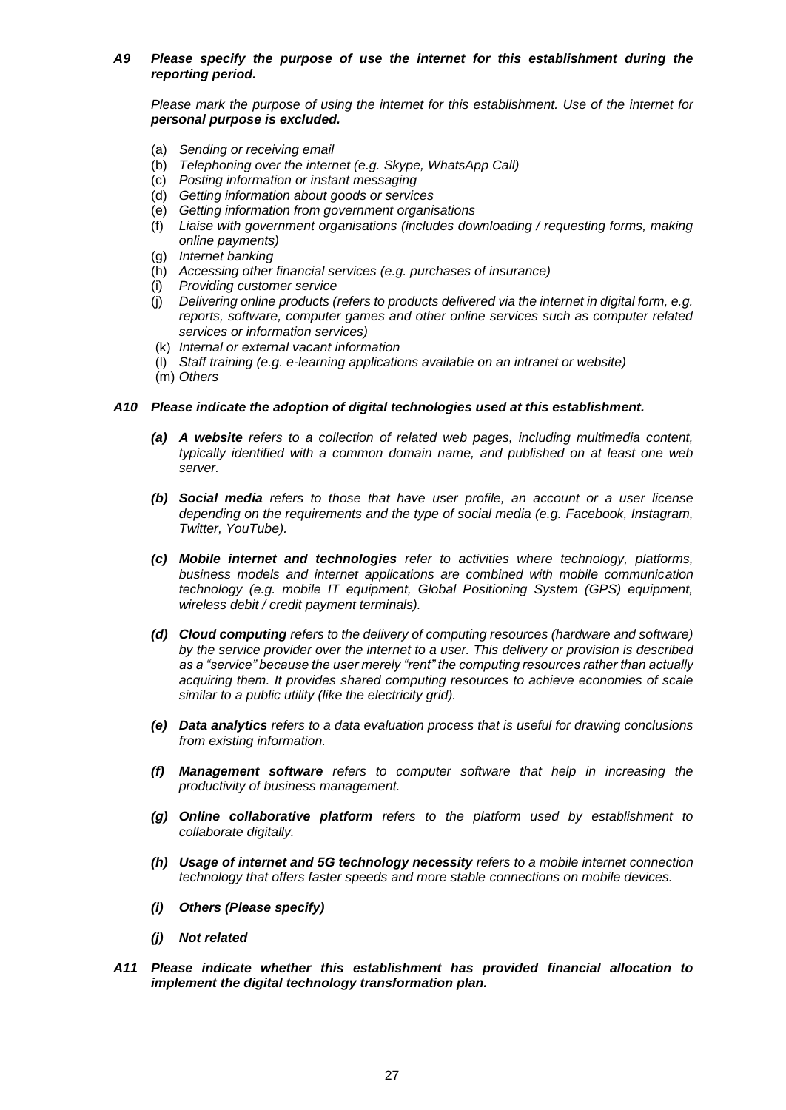# *A9 Please specify the purpose of use the internet for this establishment during the reporting period.*

*Please mark the purpose of using the internet for this establishment. Use of the internet for personal purpose is excluded.*

- (a) *Sending or receiving email*
- (b) *Telephoning over the internet (e.g. Skype, WhatsApp Call)*
- (c) *Posting information or instant messaging*
- (d) *Getting information about goods or services*
- (e) *Getting information from government organisations*
- (f) *Liaise with government organisations (includes downloading / requesting forms, making online payments)*
- (g) *Internet banking*
- (h) *Accessing other financial services (e.g. purchases of insurance)*
- (i) *Providing customer service*
- (j) *Delivering online products (refers to products delivered via the internet in digital form, e.g. reports, software, computer games and other online services such as computer related services or information services)*
- (k) *Internal or external vacant information*
- (l) *Staff training (e.g. e-learning applications available on an intranet or website)*
- (m) *Others*

# *A10 Please indicate the adoption of digital technologies used at this establishment.*

- *(a) A website refers to a collection of related web pages, including multimedia content, typically identified with a common domain name, and published on at least one web server.*
- *(b) Social media refers to those that have user profile, an account or a user license depending on the requirements and the type of social media (e.g. Facebook, Instagram, Twitter, YouTube).*
- *(c) Mobile internet and technologies refer to activities where technology, platforms, business models and internet applications are combined with mobile communication technology (e.g. mobile IT equipment, Global Positioning System (GPS) equipment, wireless debit / credit payment terminals).*
- *(d) Cloud computing refers to the delivery of computing resources (hardware and software) by the service provider over the internet to a user. This delivery or provision is described as a "service" because the user merely "rent" the computing resources rather than actually acquiring them. It provides shared computing resources to achieve economies of scale similar to a public utility (like the electricity grid).*
- *(e) Data analytics refers to a data evaluation process that is useful for drawing conclusions from existing information.*
- *(f) Management software refers to computer software that help in increasing the productivity of business management.*
- *(g) Online collaborative platform refers to the platform used by establishment to collaborate digitally.*
- *(h) Usage of internet and 5G technology necessity refers to a mobile internet connection technology that offers faster speeds and more stable connections on mobile devices.*
- *(i) Others (Please specify)*
- *(j) Not related*
- *A11 Please indicate whether this establishment has provided financial allocation to implement the digital technology transformation plan.*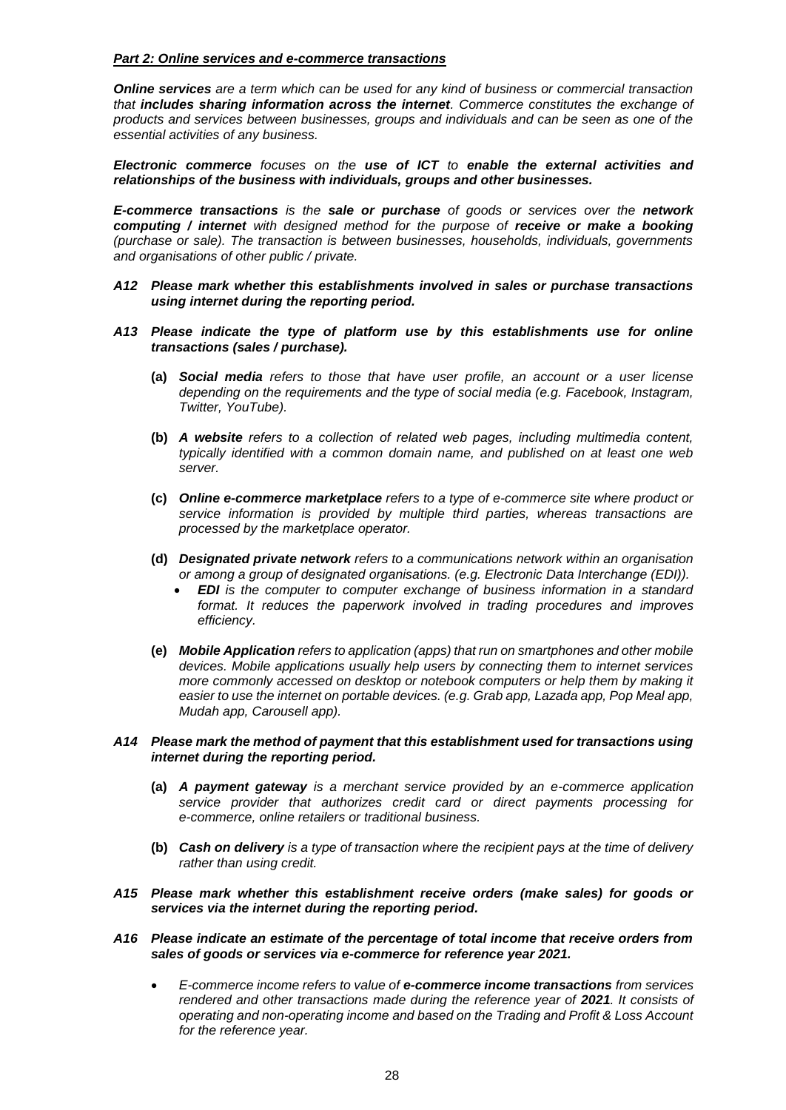### *Part 2: Online services and e-commerce transactions*

*Online services are a term which can be used for any kind of business or commercial transaction that includes sharing information across the internet. Commerce constitutes the exchange of products and services between businesses, groups and individuals and can be seen as one of the essential activities of any business.* 

*Electronic commerce focuses on the use of ICT to enable the external activities and relationships of the business with individuals, groups and other businesses.*

*E-commerce transactions is the sale or purchase of goods or services over the network computing / internet with designed method for the purpose of receive or make a booking (purchase or sale). The transaction is between businesses, households, individuals, governments and organisations of other public / private.* 

- *A12 Please mark whether this establishments involved in sales or purchase transactions using internet during the reporting period.*
- *A13 Please indicate the type of platform use by this establishments use for online transactions (sales / purchase).*
	- **(a)** *Social media refers to those that have user profile, an account or a user license depending on the requirements and the type of social media (e.g. Facebook, Instagram, Twitter, YouTube).*
	- **(b)** *A website refers to a collection of related web pages, including multimedia content, typically identified with a common domain name, and published on at least one web server.*
	- **(c)** *Online e-commerce marketplace refers to a type of e-commerce site where product or service information is provided by multiple third parties, whereas transactions are processed by the marketplace operator.*
	- **(d)** *Designated private network refers to a communications network within an organisation or among a group of designated organisations. (e.g. Electronic Data Interchange (EDI)).*
		- *EDI is the computer to computer exchange of business information in a standard format. It reduces the paperwork involved in trading procedures and improves efficiency.*
	- **(e)** *Mobile Application refers to application (apps) that run on smartphones and other mobile devices. Mobile applications usually help users by connecting them to internet services more commonly accessed on desktop or notebook computers or help them by making it easier to use the internet on portable devices. (e.g. Grab app, Lazada app, Pop Meal app, Mudah app, Carousell app).*

#### *A14 Please mark the method of payment that this establishment used for transactions using internet during the reporting period.*

- **(a)** *A payment gateway is a merchant service provided by an e-commerce application service provider that authorizes credit card or direct payments processing for e-commerce, online retailers or traditional business.*
- **(b)** *Cash on delivery is a type of transaction where the recipient pays at the time of delivery rather than using credit.*
- *A15 Please mark whether this establishment receive orders (make sales) for goods or services via the internet during the reporting period.*
- *A16 Please indicate an estimate of the percentage of total income that receive orders from sales of goods or services via e-commerce for reference year 2021.*
	- *E-commerce income refers to value of e-commerce income transactions from services rendered and other transactions made during the reference year of 2021. It consists of operating and non-operating income and based on the Trading and Profit & Loss Account for the reference year.*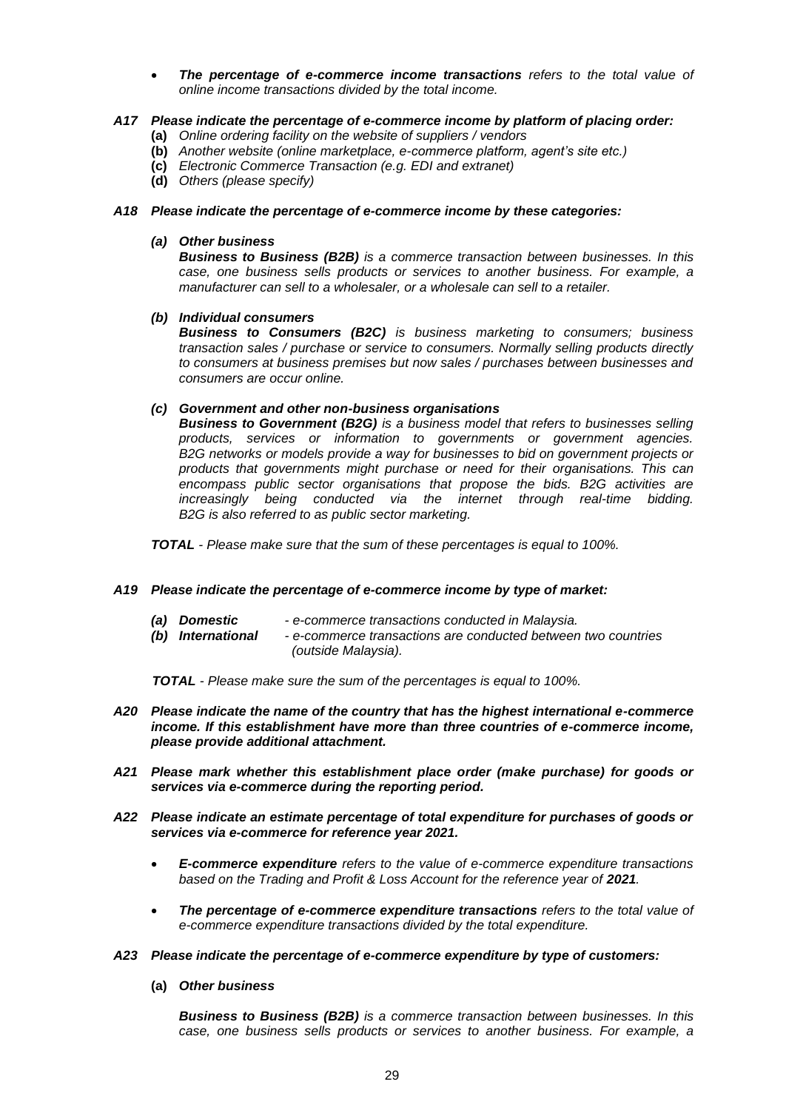• *The percentage of e-commerce income transactions refers to the total value of online income transactions divided by the total income.*

### *A17 Please indicate the percentage of e-commerce income by platform of placing order:*

- **(a)** *Online ordering facility on the website of suppliers / vendors*
- **(b)** *Another website (online marketplace, e-commerce platform, agent's site etc.)*
- **(c)** *Electronic Commerce Transaction (e.g. EDI and extranet)*
- **(d)** *Others (please specify)*

# *A18 Please indicate the percentage of e-commerce income by these categories:*

#### *(a) Other business*

*Business to Business (B2B) is a commerce transaction between businesses. In this case, one business sells products or services to another business. For example, a manufacturer can sell to a wholesaler, or a wholesale can sell to a retailer.*

#### *(b) Individual consumers*

*Business to Consumers (B2C) is business marketing to consumers; business transaction sales / purchase or service to consumers. Normally selling products directly to consumers at business premises but now sales / purchases between businesses and consumers are occur online.*

# *(c) Government and other non-business organisations*

*Business to Government (B2G) is a business model that refers to businesses selling products, services or information to governments or government agencies. B2G networks or models provide a way for businesses to bid on government projects or products that governments might purchase or need for their organisations. This can encompass public sector organisations that propose the bids. B2G activities are increasingly being conducted via the internet through real-time bidding. B2G is also referred to as public sector marketing.*

*TOTAL - Please make sure that the sum of these percentages is equal to 100%.*

#### *A19 Please indicate the percentage of e-commerce income by type of market:*

*(b) International - e-commerce transactions are conducted between two countries (outside Malaysia).*

 *TOTAL - Please make sure the sum of the percentages is equal to 100%.*

- *A20 Please indicate the name of the country that has the highest international e-commerce income. If this establishment have more than three countries of e-commerce income, please provide additional attachment.*
- *A21 Please mark whether this establishment place order (make purchase) for goods or services via e-commerce during the reporting period.*
- *A22 Please indicate an estimate percentage of total expenditure for purchases of goods or services via e-commerce for reference year 2021.*
	- *E-commerce expenditure refers to the value of e-commerce expenditure transactions*  based on the Trading and Profit & Loss Account for the reference year of 2021.
	- *The percentage of e-commerce expenditure transactions refers to the total value of e-commerce expenditure transactions divided by the total expenditure.*
- *A23 Please indicate the percentage of e-commerce expenditure by type of customers:*
	- **(a)** *Other business*

*Business to Business (B2B) is a commerce transaction between businesses. In this case, one business sells products or services to another business. For example, a*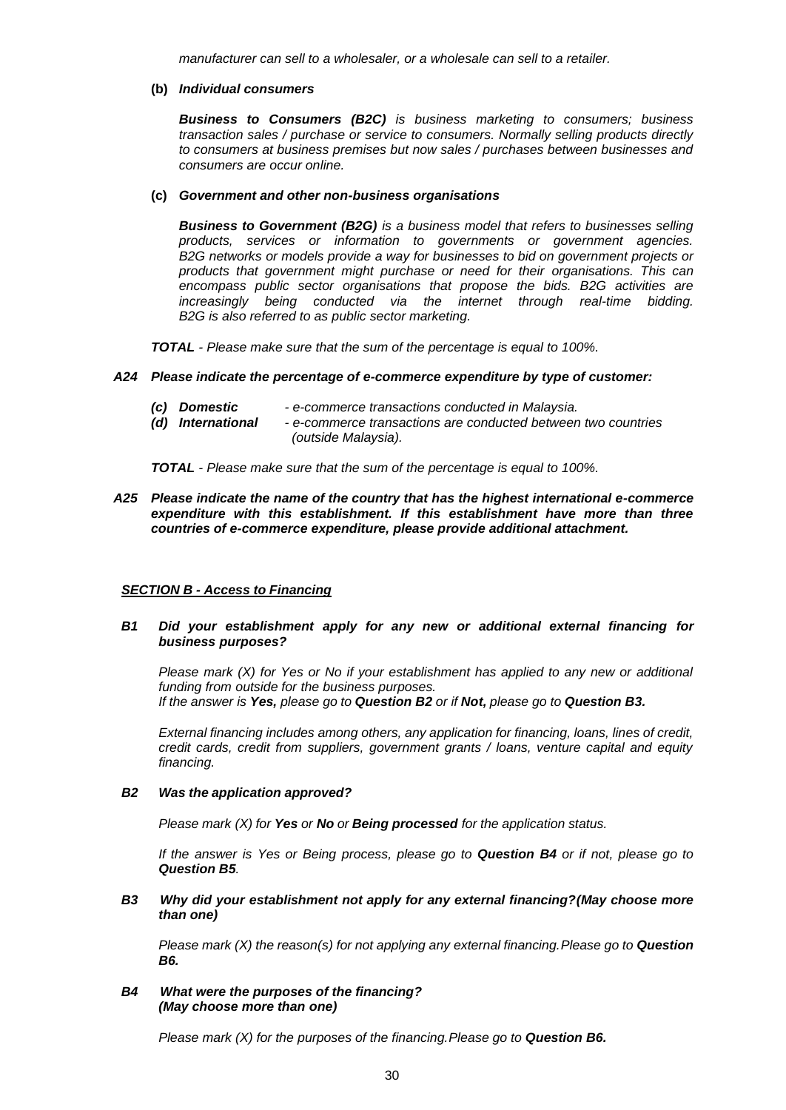*manufacturer can sell to a wholesaler, or a wholesale can sell to a retailer.*

#### **(b)** *Individual consumers*

*Business to Consumers (B2C) is business marketing to consumers; business transaction sales / purchase or service to consumers. Normally selling products directly to consumers at business premises but now sales / purchases between businesses and consumers are occur online.*

#### **(c)** *Government and other non-business organisations*

*Business to Government (B2G) is a business model that refers to businesses selling products, services or information to governments or government agencies. B2G networks or models provide a way for businesses to bid on government projects or products that government might purchase or need for their organisations. This can encompass public sector organisations that propose the bids. B2G activities are increasingly being conducted via the internet through real-time bidding. B2G is also referred to as public sector marketing.*

*TOTAL - Please make sure that the sum of the percentage is equal to 100%.*

#### *A24 Please indicate the percentage of e-commerce expenditure by type of customer:*

- *(c) Domestic - e-commerce transactions conducted in Malaysia.*
- *(d) International - e-commerce transactions are conducted between two countries (outside Malaysia).*

*TOTAL - Please make sure that the sum of the percentage is equal to 100%.*

*A25 Please indicate the name of the country that has the highest international e-commerce expenditure with this establishment. If this establishment have more than three countries of e-commerce expenditure, please provide additional attachment.*

#### *SECTION B - Access to Financing*

*B1 Did your establishment apply for any new or additional external financing for business purposes?*

*Please mark (X) for Yes or No if your establishment has applied to any new or additional funding from outside for the business purposes. If the answer is Yes, please go to Question B2 or if Not, please go to Question B3.*

*External financing includes among others, any application for financing, loans, lines of credit, credit cards, credit from suppliers, government grants / loans, venture capital and equity financing.*

#### *B2 Was the application approved?*

*Please mark (X) for Yes or No or Being processed for the application status.*

*If the answer is Yes or Being process, please go to Question B4 or if not, please go to Question B5.*

*B3 Why did your establishment not apply for any external financing?(May choose more than one)*

*Please mark (X) the reason(s) for not applying any external financing.Please go to Question B6.*

*B4 What were the purposes of the financing? (May choose more than one)*

*Please mark (X) for the purposes of the financing.Please go to Question B6.*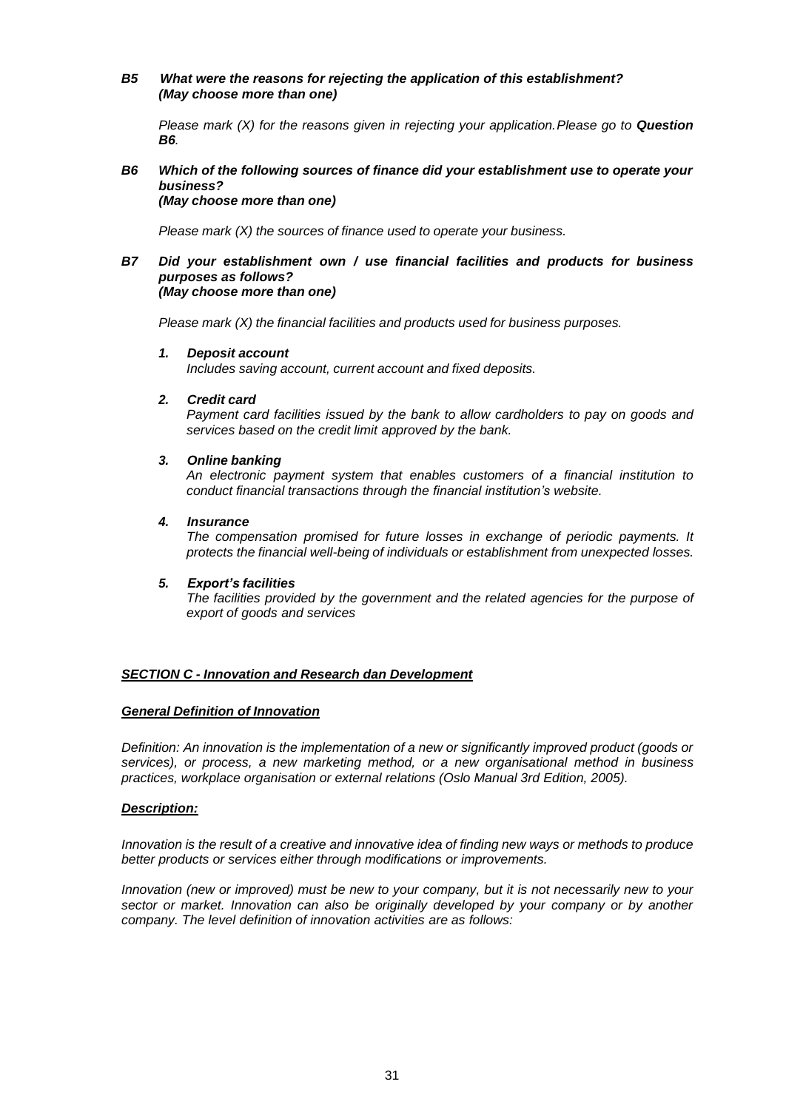### *B5 What were the reasons for rejecting the application of this establishment? (May choose more than one)*

*Please mark (X) for the reasons given in rejecting your application.Please go to Question B6.*

#### *B6 Which of the following sources of finance did your establishment use to operate your business? (May choose more than one)*

*Please mark (X) the sources of finance used to operate your business.*

#### *B7 Did your establishment own / use financial facilities and products for business purposes as follows? (May choose more than one)*

*Please mark (X) the financial facilities and products used for business purposes.*

#### *1. Deposit account*

*Includes saving account, current account and fixed deposits.*

#### *2. Credit card*

*Payment card facilities issued by the bank to allow cardholders to pay on goods and services based on the credit limit approved by the bank.*

# *3. Online banking*

*An electronic payment system that enables customers of a financial institution to conduct financial transactions through the financial institution's website.*

#### *4. Insurance*

*The compensation promised for future losses in exchange of periodic payments. It protects the financial well-being of individuals or establishment from unexpected losses.*

#### *5. Export's facilities*

*The facilities provided by the government and the related agencies for the purpose of export of goods and services*

#### *SECTION C - Innovation and Research dan Development*

### *General Definition of Innovation*

*Definition: An innovation is the implementation of a new or significantly improved product (goods or services), or process, a new marketing method, or a new organisational method in business practices, workplace organisation or external relations (Oslo Manual 3rd Edition, 2005).*

#### *Description:*

*Innovation is the result of a creative and innovative idea of finding new ways or methods to produce better products or services either through modifications or improvements.*

*Innovation (new or improved) must be new to your company, but it is not necessarily new to your sector or market. Innovation can also be originally developed by your company or by another company. The level definition of innovation activities are as follows:*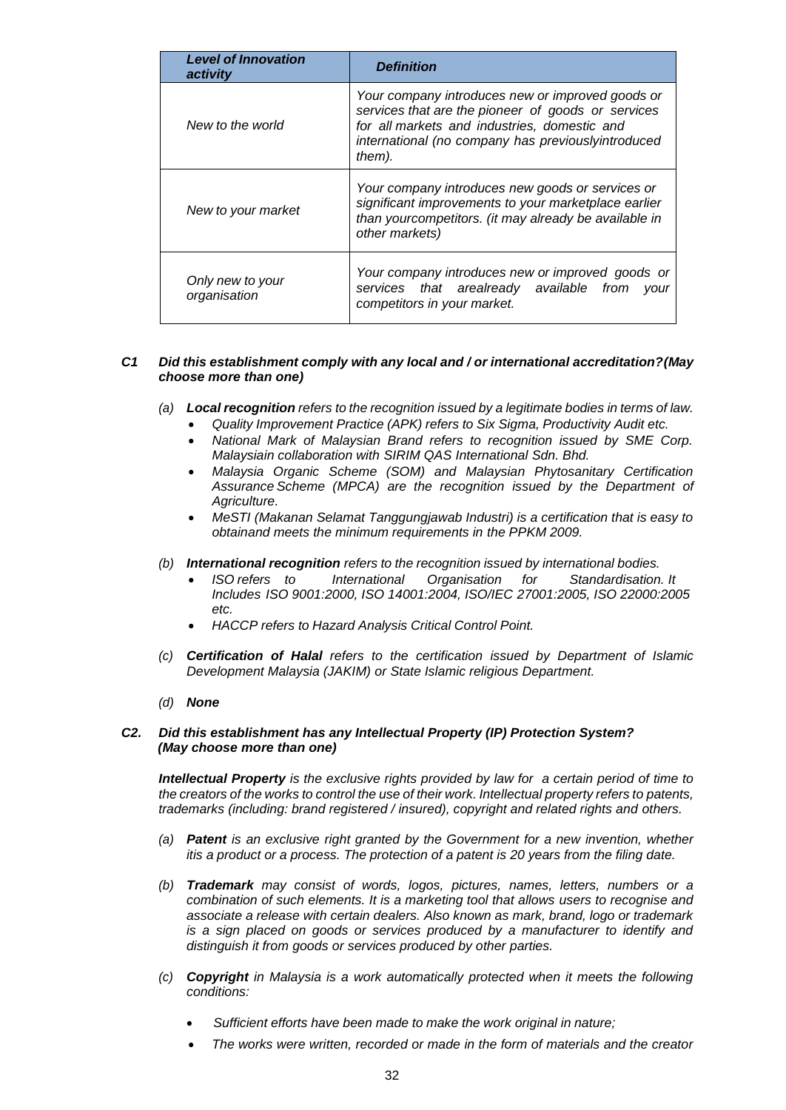| <b>Level of Innovation</b><br>activity | <b>Definition</b>                                                                                                                                                                                                      |  |
|----------------------------------------|------------------------------------------------------------------------------------------------------------------------------------------------------------------------------------------------------------------------|--|
| New to the world                       | Your company introduces new or improved goods or<br>services that are the pioneer of goods or services<br>for all markets and industries, domestic and<br>international (no company has previouslyintroduced<br>them). |  |
| New to your market                     | Your company introduces new goods or services or<br>significant improvements to your marketplace earlier<br>than yourcompetitors. (it may already be available in<br>other markets)                                    |  |
| Only new to your<br>organisation       | Your company introduces new or improved goods or<br>services that arealready available<br>from<br>vour<br>competitors in your market.                                                                                  |  |

# *C1 Did this establishment comply with any local and / or international accreditation?(May choose more than one)*

- *(a) Local recognition refers to the recognition issued by a legitimate bodies in terms of law.*
	- *Quality Improvement Practice (APK) refers to Six Sigma, Productivity Audit etc.*
	- *National Mark of Malaysian Brand refers to recognition issued by SME Corp. Malaysiain collaboration with SIRIM QAS International Sdn. Bhd.*
	- *Malaysia Organic Scheme (SOM) and Malaysian Phytosanitary Certification Assurance Scheme (MPCA) are the recognition issued by the Department of Agriculture.*
	- *MeSTI (Makanan Selamat Tanggungjawab Industri) is a certification that is easy to obtainand meets the minimum requirements in the PPKM 2009.*
- *(b) International recognition refers to the recognition issued by international bodies.*
	- *ISO refers to International Organisation for Standardisation. It Includes ISO 9001:2000, ISO 14001:2004, ISO/IEC 27001:2005, ISO 22000:2005 etc.*
	- *HACCP refers to Hazard Analysis Critical Control Point.*
- *(c) Certification of Halal refers to the certification issued by Department of Islamic Development Malaysia (JAKIM) or State Islamic religious Department.*
- *(d) None*

# *C2. Did this establishment has any Intellectual Property (IP) Protection System? (May choose more than one)*

*Intellectual Property is the exclusive rights provided by law for a certain period of time to the creators of the works to control the use of their work. Intellectual property refers to patents, trademarks (including: brand registered / insured), copyright and related rights and others.*

- *(a) Patent is an exclusive right granted by the Government for a new invention, whether itis a product or a process. The protection of a patent is 20 years from the filing date.*
- *(b) Trademark may consist of words, logos, pictures, names, letters, numbers or a combination of such elements. It is a marketing tool that allows users to recognise and associate a release with certain dealers. Also known as mark, brand, logo or trademark is a sign placed on goods or services produced by a manufacturer to identify and distinguish it from goods or services produced by other parties.*
- *(c) Copyright in Malaysia is a work automatically protected when it meets the following conditions:*
	- *Sufficient efforts have been made to make the work original in nature;*
	- *The works were written, recorded or made in the form of materials and the creator*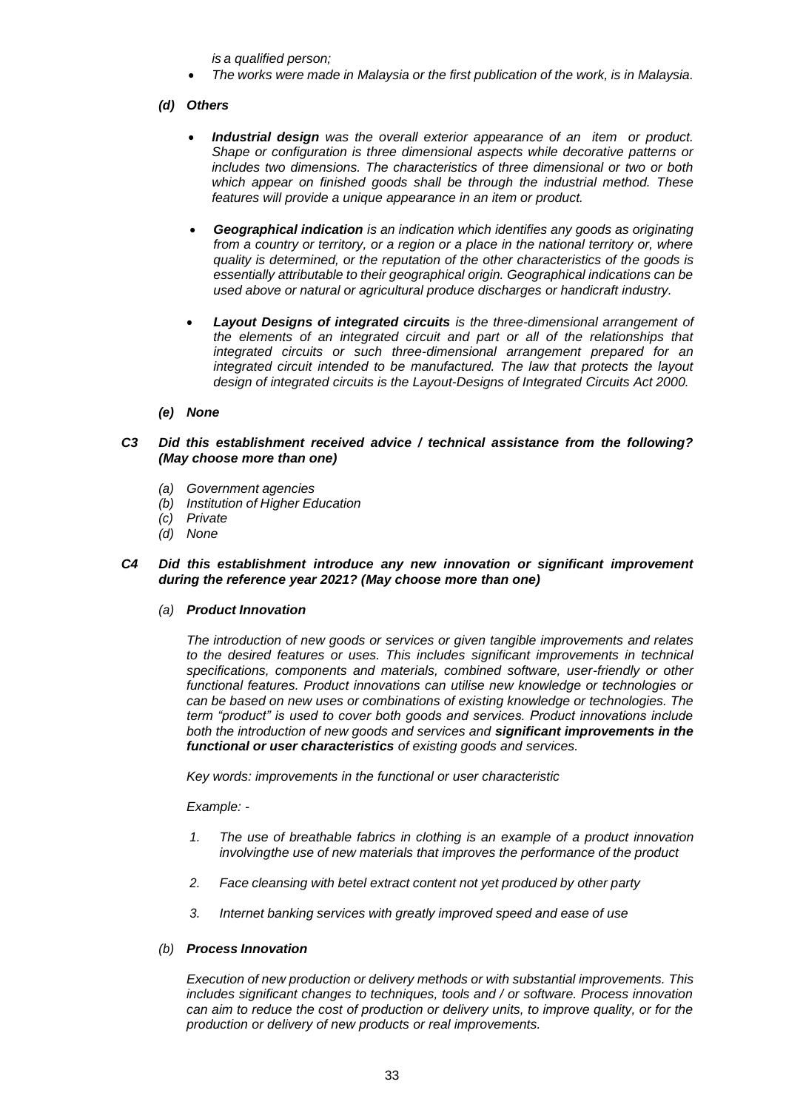*is a qualified person;*

• *The works were made in Malaysia or the first publication of the work, is in Malaysia.*

# *(d) Others*

- *Industrial design was the overall exterior appearance of an item or product. Shape or configuration is three dimensional aspects while decorative patterns or includes two dimensions. The characteristics of three dimensional or two or both which appear on finished goods shall be through the industrial method. These features will provide a unique appearance in an item or product.*
- *Geographical indication is an indication which identifies any goods as originating from a country or territory, or a region or a place in the national territory or, where quality is determined, or the reputation of the other characteristics of the goods is essentially attributable to their geographical origin. Geographical indications can be used above or natural or agricultural produce discharges or handicraft industry.*
- *Layout Designs of integrated circuits is the three-dimensional arrangement of the elements of an integrated circuit and part or all of the relationships that integrated circuits or such three-dimensional arrangement prepared for an integrated circuit intended to be manufactured. The law that protects the layout design of integrated circuits is the Layout-Designs of Integrated Circuits Act 2000.*
- *(e) None*

# *C3 Did this establishment received advice / technical assistance from the following? (May choose more than one)*

- *(a) Government agencies*
- *(b) Institution of Higher Education*
- *(c) Private*
- *(d) None*

#### *C4 Did this establishment introduce any new innovation or significant improvement during the reference year 2021? (May choose more than one)*

#### *(a) Product Innovation*

*The introduction of new goods or services or given tangible improvements and relates to the desired features or uses. This includes significant improvements in technical specifications, components and materials, combined software, user-friendly or other functional features. Product innovations can utilise new knowledge or technologies or can be based on new uses or combinations of existing knowledge or technologies. The term "product" is used to cover both goods and services. Product innovations include both the introduction of new goods and services and significant improvements in the functional or user characteristics of existing goods and services.*

*Key words: improvements in the functional or user characteristic*

#### *Example: -*

- *1. The use of breathable fabrics in clothing is an example of a product innovation involvingthe use of new materials that improves the performance of the product*
- *2. Face cleansing with betel extract content not yet produced by other party*
- *3. Internet banking services with greatly improved speed and ease of use*

# *(b) Process Innovation*

*Execution of new production or delivery methods or with substantial improvements. This includes significant changes to techniques, tools and / or software. Process innovation can aim to reduce the cost of production or delivery units, to improve quality, or for the production or delivery of new products or real improvements.*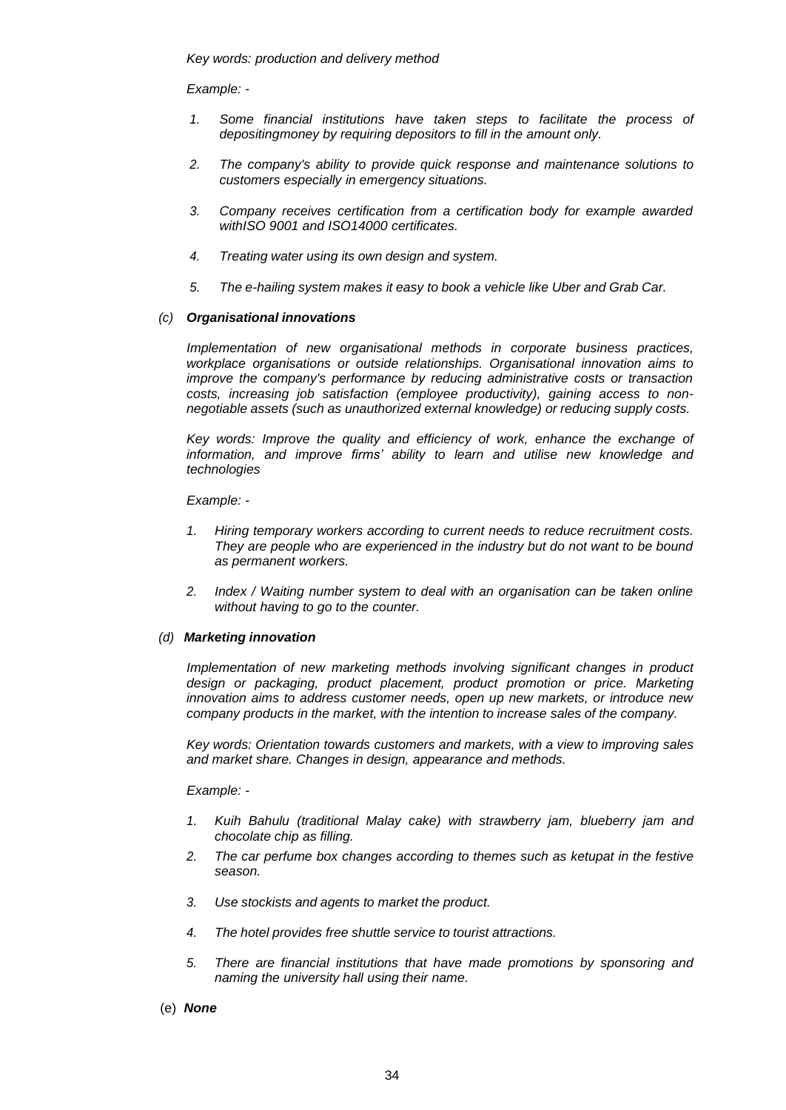*Key words: production and delivery method*

*Example: -*

- *1. Some financial institutions have taken steps to facilitate the process of depositingmoney by requiring depositors to fill in the amount only.*
- *2. The company's ability to provide quick response and maintenance solutions to customers especially in emergency situations.*
- *3. Company receives certification from a certification body for example awarded withISO 9001 and ISO14000 certificates.*
- *4. Treating water using its own design and system.*
- *5. The e-hailing system makes it easy to book a vehicle like Uber and Grab Car.*

#### *(c) Organisational innovations*

*Implementation of new organisational methods in corporate business practices, workplace organisations or outside relationships. Organisational innovation aims to improve the company's performance by reducing administrative costs or transaction costs, increasing job satisfaction (employee productivity), gaining access to nonnegotiable assets (such as unauthorized external knowledge) or reducing supply costs.*

*Key words: Improve the quality and efficiency of work, enhance the exchange of information, and improve firms' ability to learn and utilise new knowledge and technologies*

*Example: -*

- *1. Hiring temporary workers according to current needs to reduce recruitment costs. They are people who are experienced in the industry but do not want to be bound as permanent workers.*
- *2. Index / Waiting number system to deal with an organisation can be taken online without having to go to the counter.*

#### *(d) Marketing innovation*

*Implementation of new marketing methods involving significant changes in product design or packaging, product placement, product promotion or price. Marketing innovation aims to address customer needs, open up new markets, or introduce new company products in the market, with the intention to increase sales of the company.*

*Key words: Orientation towards customers and markets, with a view to improving sales and market share. Changes in design, appearance and methods.*

*Example: -*

- *1. Kuih Bahulu (traditional Malay cake) with strawberry jam, blueberry jam and chocolate chip as filling.*
- *2. The car perfume box changes according to themes such as ketupat in the festive season.*
- *3. Use stockists and agents to market the product.*
- *4. The hotel provides free shuttle service to tourist attractions.*
- *5. There are financial institutions that have made promotions by sponsoring and naming the university hall using their name.*
- (e) *None*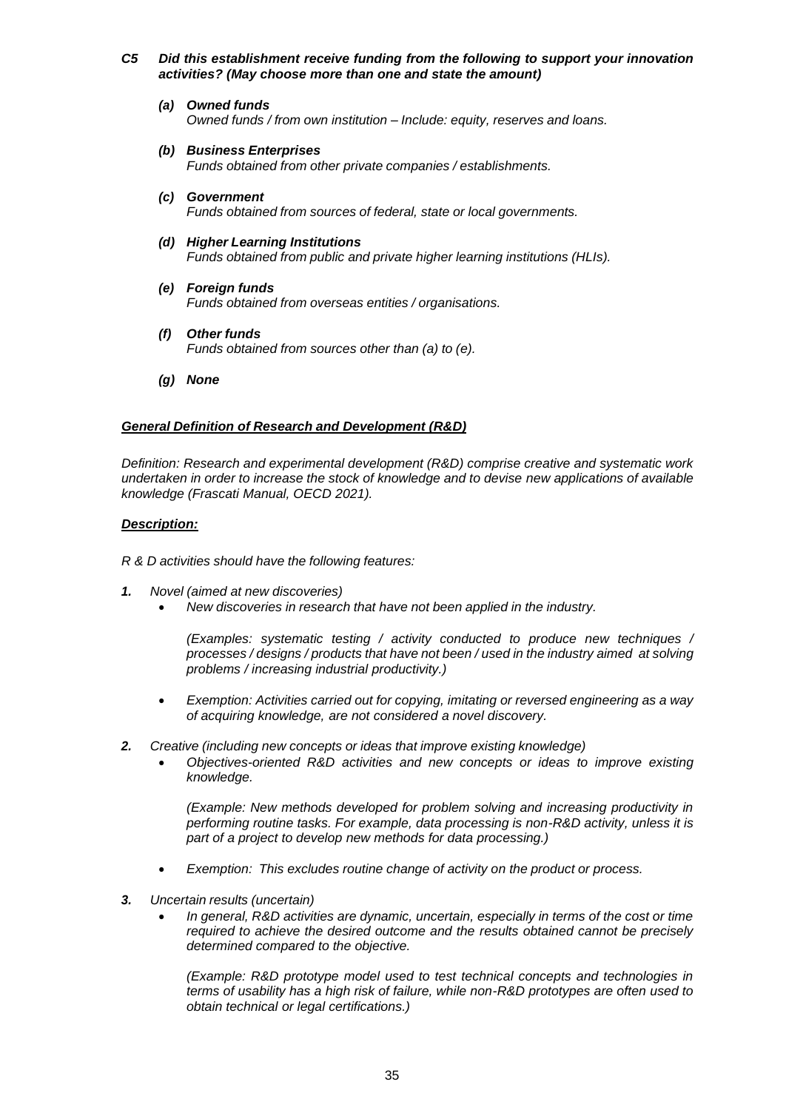# *C5 Did this establishment receive funding from the following to support your innovation activities? (May choose more than one and state the amount)*

- *(a) Owned funds Owned funds / from own institution – Include: equity, reserves and loans.*
- *(b) Business Enterprises Funds obtained from other private companies / establishments.*
- *(c) Government Funds obtained from sources of federal, state or local governments.*
- *(d) Higher Learning Institutions Funds obtained from public and private higher learning institutions (HLIs).*
- *(e) Foreign funds Funds obtained from overseas entities / organisations.*
- *(f) Other funds Funds obtained from sources other than (a) to (e).*
- *(g) None*

# *General Definition of Research and Development (R&D)*

*Definition: Research and experimental development (R&D) comprise creative and systematic work undertaken in order to increase the stock of knowledge and to devise new applications of available knowledge (Frascati Manual, OECD 2021).*

# *Description:*

*R & D activities should have the following features:*

- *1. Novel (aimed at new discoveries)*
	- *New discoveries in research that have not been applied in the industry.*

*(Examples: systematic testing / activity conducted to produce new techniques / processes / designs / products that have not been / used in the industry aimed at solving problems / increasing industrial productivity.)*

- *Exemption: Activities carried out for copying, imitating or reversed engineering as a way of acquiring knowledge, are not considered a novel discovery.*
- *2. Creative (including new concepts or ideas that improve existing knowledge)*
	- *Objectives-oriented R&D activities and new concepts or ideas to improve existing knowledge.*

*(Example: New methods developed for problem solving and increasing productivity in performing routine tasks. For example, data processing is non-R&D activity, unless it is part of a project to develop new methods for data processing.)*

- *Exemption: This excludes routine change of activity on the product or process.*
- *3. Uncertain results (uncertain)*
	- *In general, R&D activities are dynamic, uncertain, especially in terms of the cost or time required to achieve the desired outcome and the results obtained cannot be precisely determined compared to the objective.*

*(Example: R&D prototype model used to test technical concepts and technologies in terms of usability has a high risk of failure, while non-R&D prototypes are often used to obtain technical or legal certifications.)*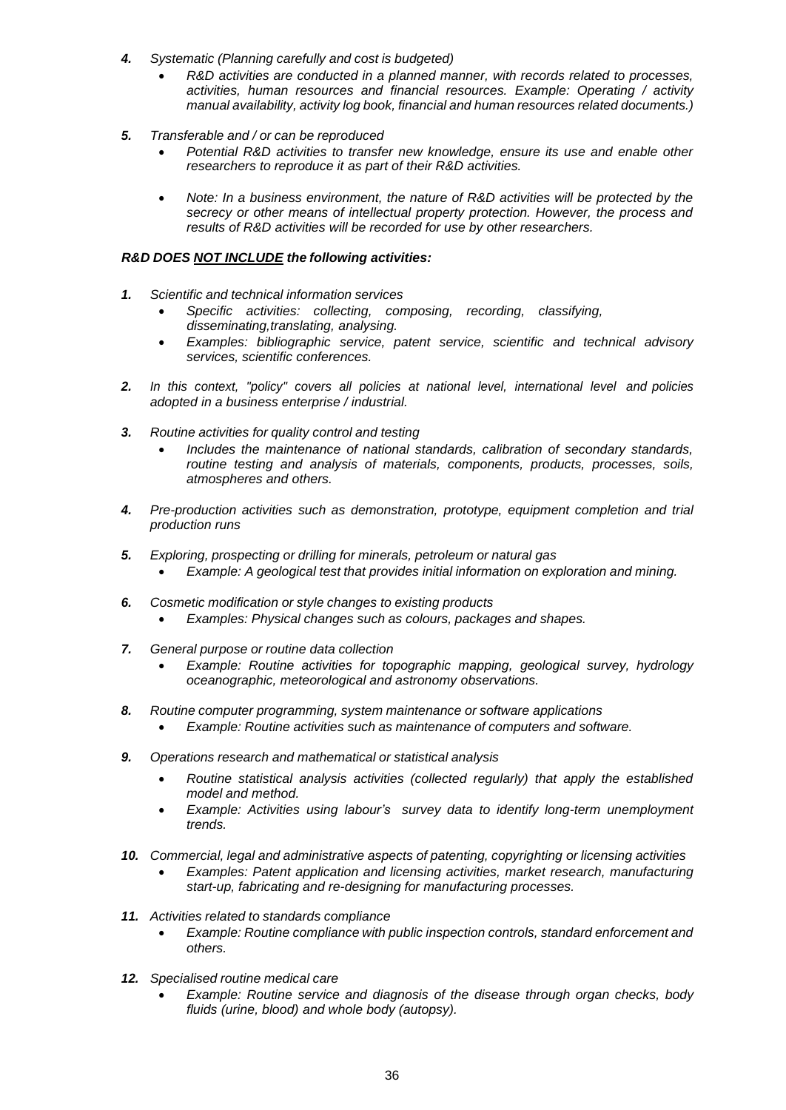- *4. Systematic (Planning carefully and cost is budgeted)*
	- *R&D activities are conducted in a planned manner, with records related to processes, activities, human resources and financial resources. Example: Operating / activity manual availability, activity log book, financial and human resources related documents.)*
- *5. Transferable and / or can be reproduced*
	- *Potential R&D activities to transfer new knowledge, ensure its use and enable other researchers to reproduce it as part of their R&D activities.*
	- *Note: In a business environment, the nature of R&D activities will be protected by the secrecy or other means of intellectual property protection. However, the process and results of R&D activities will be recorded for use by other researchers.*

# *R&D DOES NOT INCLUDE the following activities:*

- *1. Scientific and technical information services*
	- *Specific activities: collecting, composing, recording, classifying, disseminating,translating, analysing.*
	- *Examples: bibliographic service, patent service, scientific and technical advisory services, scientific conferences.*
- *2. In this context, "policy" covers all policies at national level, international level and policies adopted in a business enterprise / industrial.*
- *3. Routine activities for quality control and testing*
	- *Includes the maintenance of national standards, calibration of secondary standards, routine testing and analysis of materials, components, products, processes, soils, atmospheres and others.*
- *4. Pre-production activities such as demonstration, prototype, equipment completion and trial production runs*
- *5. Exploring, prospecting or drilling for minerals, petroleum or natural gas* • *Example: A geological test that provides initial information on exploration and mining.*
- *6. Cosmetic modification or style changes to existing products* • *Examples: Physical changes such as colours, packages and shapes.*
- *7. General purpose or routine data collection*
	- *Example: Routine activities for topographic mapping, geological survey, hydrology oceanographic, meteorological and astronomy observations.*
- *8. Routine computer programming, system maintenance or software applications*
	- *Example: Routine activities such as maintenance of computers and software.*
- *9. Operations research and mathematical or statistical analysis*
	- *Routine statistical analysis activities (collected regularly) that apply the established model and method.*
	- *Example: Activities using labour's survey data to identify long-term unemployment trends.*
- *10. Commercial, legal and administrative aspects of patenting, copyrighting or licensing activities*
	- *Examples: Patent application and licensing activities, market research, manufacturing start-up, fabricating and re-designing for manufacturing processes.*
- *11. Activities related to standards compliance*
	- *Example: Routine compliance with public inspection controls, standard enforcement and others.*
- *12. Specialised routine medical care*
	- *Example: Routine service and diagnosis of the disease through organ checks, body fluids (urine, blood) and whole body (autopsy).*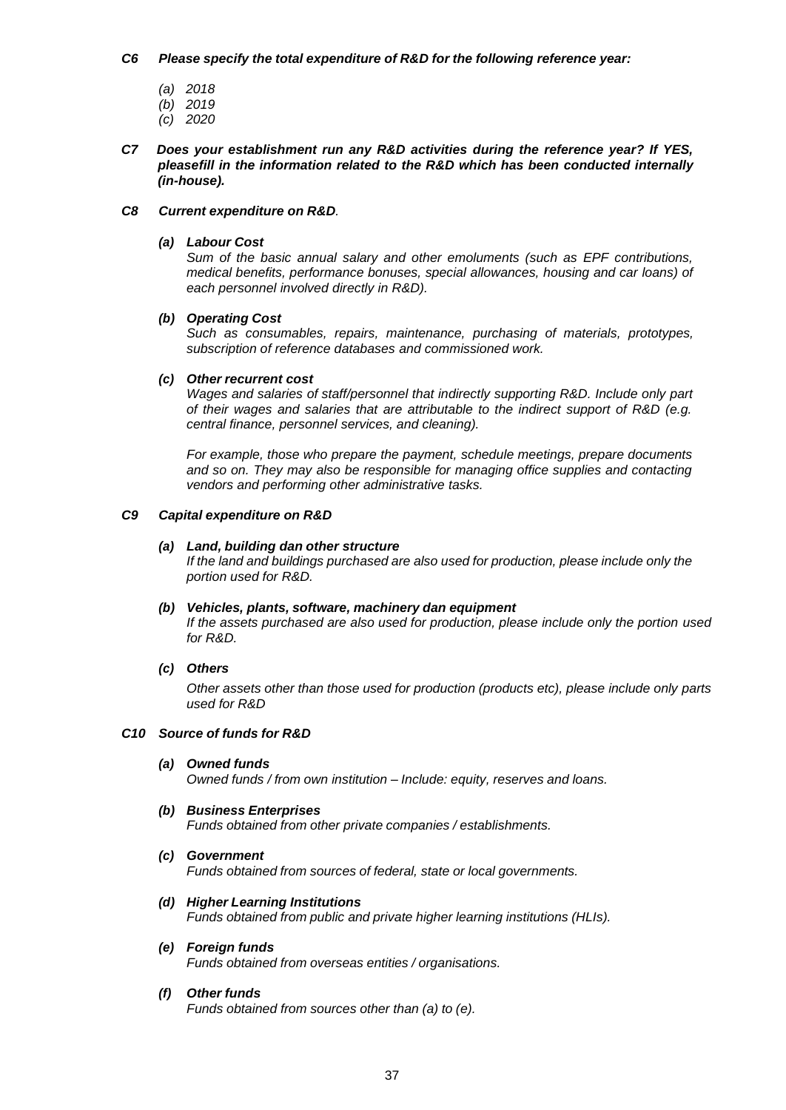### *C6 Please specify the total expenditure of R&D for the following reference year:*

- *(a) 2018*
- *(b) 2019*
- *(c) 2020*
- *C7 Does your establishment run any R&D activities during the reference year? If YES, pleasefill in the information related to the R&D which has been conducted internally (in-house).*

# *C8 Current expenditure on R&D.*

# *(a) Labour Cost*

*Sum of the basic annual salary and other emoluments (such as EPF contributions, medical benefits, performance bonuses, special allowances, housing and car loans) of each personnel involved directly in R&D).*

# *(b) Operating Cost*

*Such as consumables, repairs, maintenance, purchasing of materials, prototypes, subscription of reference databases and commissioned work.*

# *(c) Other recurrent cost*

*Wages and salaries of staff/personnel that indirectly supporting R&D. Include only part of their wages and salaries that are attributable to the indirect support of R&D (e.g. central finance, personnel services, and cleaning).*

*For example, those who prepare the payment, schedule meetings, prepare documents and so on. They may also be responsible for managing office supplies and contacting vendors and performing other administrative tasks.*

# *C9 Capital expenditure on R&D*

# *(a) Land, building dan other structure*

*If the land and buildings purchased are also used for production, please include only the portion used for R&D.*

#### *(b) Vehicles, plants, software, machinery dan equipment If the assets purchased are also used for production, please include only the portion used for R&D.*

*(c) Others*

*Other assets other than those used for production (products etc), please include only parts used for R&D*

#### *C10 Source of funds for R&D*

- *(a) Owned funds Owned funds / from own institution – Include: equity, reserves and loans.*
- *(b) Business Enterprises Funds obtained from other private companies / establishments.*
- *(c) Government Funds obtained from sources of federal, state or local governments.*
- *(d) Higher Learning Institutions Funds obtained from public and private higher learning institutions (HLIs).*
- *(e) Foreign funds Funds obtained from overseas entities / organisations.*
- *(f) Other funds Funds obtained from sources other than (a) to (e).*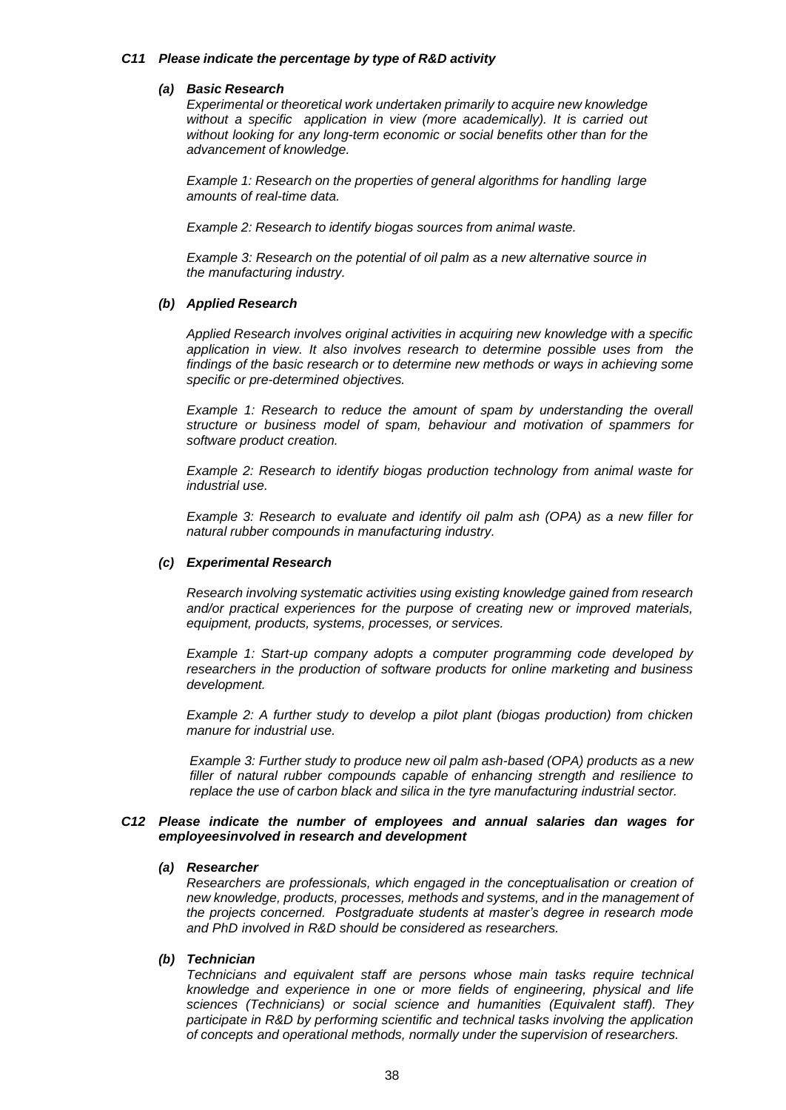#### *C11 Please indicate the percentage by type of R&D activity*

#### *(a) Basic Research*

*Experimental or theoretical work undertaken primarily to acquire new knowledge without a specific application in view (more academically). It is carried out without looking for any long-term economic or social benefits other than for the advancement of knowledge.*

*Example 1: Research on the properties of general algorithms for handling large amounts of real-time data.*

*Example 2: Research to identify biogas sources from animal waste.*

*Example 3: Research on the potential of oil palm as a new alternative source in the manufacturing industry.*

#### *(b) Applied Research*

*Applied Research involves original activities in acquiring new knowledge with a specific application in view. It also involves research to determine possible uses from the findings of the basic research or to determine new methods or ways in achieving some specific or pre-determined objectives.*

*Example 1: Research to reduce the amount of spam by understanding the overall structure or business model of spam, behaviour and motivation of spammers for software product creation.*

*Example 2: Research to identify biogas production technology from animal waste for industrial use.*

*Example 3: Research to evaluate and identify oil palm ash (OPA) as a new filler for natural rubber compounds in manufacturing industry.*

#### *(c) Experimental Research*

*Research involving systematic activities using existing knowledge gained from research and/or practical experiences for the purpose of creating new or improved materials, equipment, products, systems, processes, or services.*

*Example 1: Start-up company adopts a computer programming code developed by researchers in the production of software products for online marketing and business development.*

*Example 2: A further study to develop a pilot plant (biogas production) from chicken manure for industrial use.*

*Example 3: Further study to produce new oil palm ash-based (OPA) products as a new filler of natural rubber compounds capable of enhancing strength and resilience to replace the use of carbon black and silica in the tyre manufacturing industrial sector.*

#### *C12 Please indicate the number of employees and annual salaries dan wages for employeesinvolved in research and development*

#### *(a) Researcher*

*Researchers are professionals, which engaged in the conceptualisation or creation of new knowledge, products, processes, methods and systems, and in the management of the projects concerned. Postgraduate students at master's degree in research mode and PhD involved in R&D should be considered as researchers.*

#### *(b) Technician*

*Technicians and equivalent staff are persons whose main tasks require technical knowledge and experience in one or more fields of engineering, physical and life sciences (Technicians) or social science and humanities (Equivalent staff). They participate in R&D by performing scientific and technical tasks involving the application of concepts and operational methods, normally under the supervision of researchers.*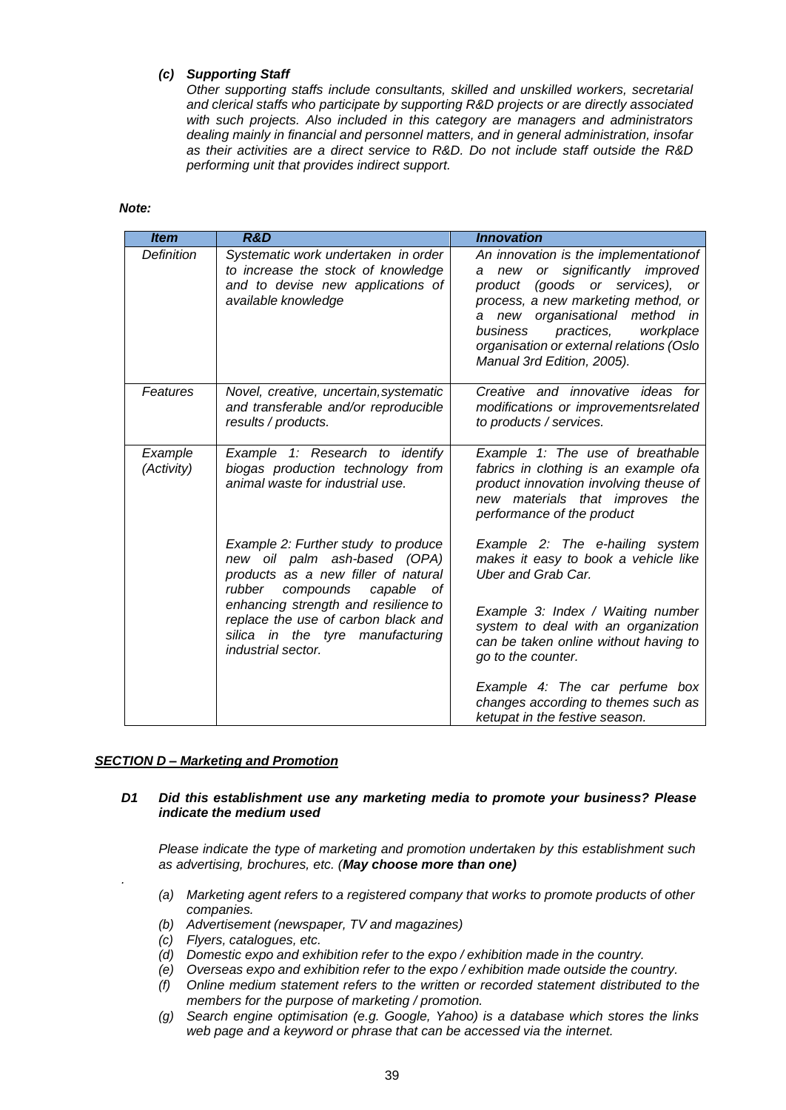# *(c) Supporting Staff*

*Other supporting staffs include consultants, skilled and unskilled workers, secretarial and clerical staffs who participate by supporting R&D projects or are directly associated with such projects. Also included in this category are managers and administrators dealing mainly in financial and personnel matters, and in general administration, insofar as their activities are a direct service to R&D. Do not include staff outside the R&D performing unit that provides indirect support.*

#### *Note:*

| <b>Item</b>           | <b>R&amp;D</b>                                                                                                                                     | <b>Innovation</b>                                                                                                                                                                                                                                                                                                    |  |
|-----------------------|----------------------------------------------------------------------------------------------------------------------------------------------------|----------------------------------------------------------------------------------------------------------------------------------------------------------------------------------------------------------------------------------------------------------------------------------------------------------------------|--|
| <b>Definition</b>     | Systematic work undertaken in order<br>to increase the stock of knowledge<br>and to devise new applications of<br>available knowledge              | An innovation is the implementationof<br>new or significantly improved<br>a<br>(goods or services),<br>product<br>or<br>process, a new marketing method, or<br>new organisational method<br>a<br>in<br>practices,<br>business<br>workplace<br>organisation or external relations (Oslo<br>Manual 3rd Edition, 2005). |  |
| Features              | Novel, creative, uncertain, systematic<br>and transferable and/or reproducible<br>results / products.                                              | Creative and innovative ideas for<br>modifications or improvementsrelated<br>to products / services.                                                                                                                                                                                                                 |  |
| Example<br>(Activity) | Example 1: Research to identify<br>biogas production technology from<br>animal waste for industrial use.                                           | Example 1: The use of breathable<br>fabrics in clothing is an example ofa<br>product innovation involving theuse of<br>new materials that improves the<br>performance of the product                                                                                                                                 |  |
|                       | Example 2: Further study to produce<br>new oil palm ash-based (OPA)<br>products as a new filler of natural<br>rubber<br>compounds<br>capable<br>οf | Example 2: The e-hailing system<br>makes it easy to book a vehicle like<br><b>Uber and Grab Car.</b>                                                                                                                                                                                                                 |  |
|                       | enhancing strength and resilience to<br>replace the use of carbon black and<br>silica in the tyre manufacturing<br><i>industrial sector.</i>       | Example 3: Index / Waiting number<br>system to deal with an organization<br>can be taken online without having to<br>go to the counter.                                                                                                                                                                              |  |
|                       |                                                                                                                                                    | Example 4: The car perfume box<br>changes according to themes such as<br>ketupat in the festive season.                                                                                                                                                                                                              |  |

# *SECTION D – Marketing and Promotion*

*.*

# *D1 Did this establishment use any marketing media to promote your business? Please indicate the medium used*

*Please indicate the type of marketing and promotion undertaken by this establishment such as advertising, brochures, etc. (May choose more than one)*

- *(a) Marketing agent refers to a registered company that works to promote products of other companies.*
- *(b) Advertisement (newspaper, TV and magazines)*
- *(c) Flyers, catalogues, etc.*
- *(d) Domestic expo and exhibition refer to the expo / exhibition made in the country.*
- *(e) Overseas expo and exhibition refer to the expo / exhibition made outside the country.*
- *(f) Online medium statement refers to the written or recorded statement distributed to the members for the purpose of marketing / promotion.*
- *(g) Search engine optimisation (e.g. Google, Yahoo) is a database which stores the links web page and a keyword or phrase that can be accessed via the internet.*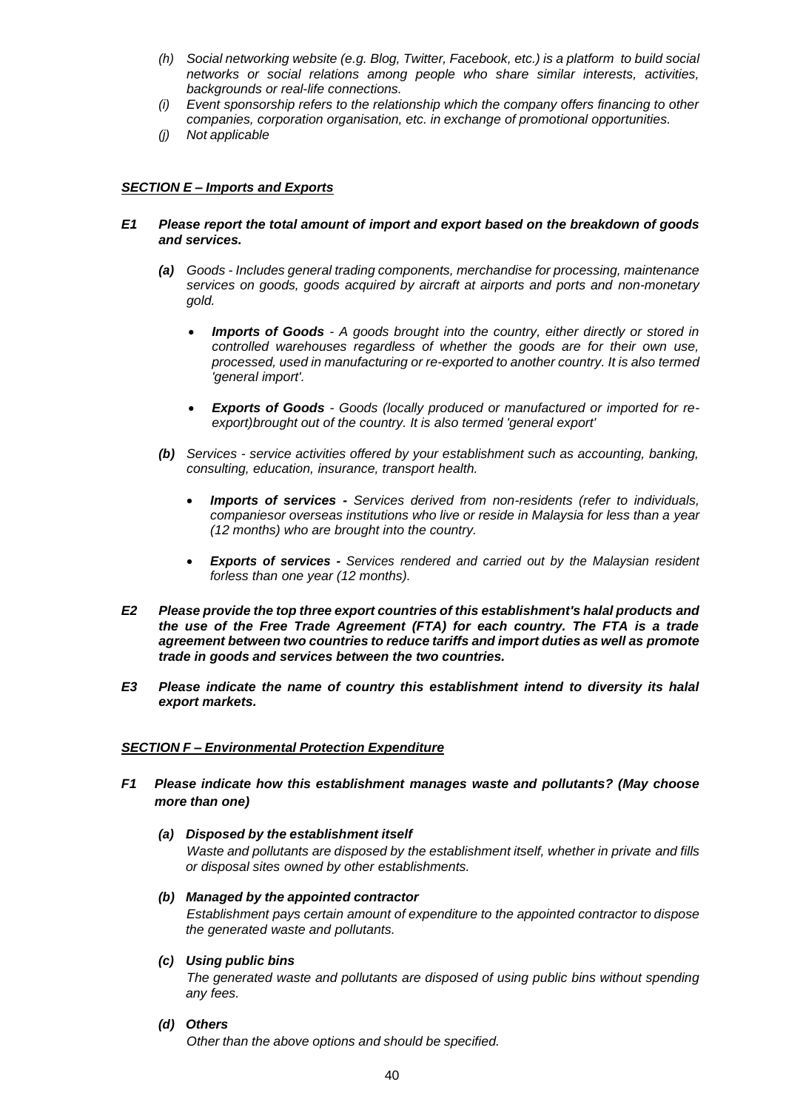- *(h) Social networking website (e.g. Blog, Twitter, Facebook, etc.) is a platform to build social networks or social relations among people who share similar interests, activities, backgrounds or real-life connections.*
- *(i) Event sponsorship refers to the relationship which the company offers financing to other companies, corporation organisation, etc. in exchange of promotional opportunities.*
- *(j) Not applicable*

# *SECTION E – Imports and Exports*

# *E1 Please report the total amount of import and export based on the breakdown of goods and services.*

- *(a) Goods - Includes general trading components, merchandise for processing, maintenance services on goods, goods acquired by aircraft at airports and ports and non-monetary gold.*
	- *Imports of Goods - A goods brought into the country, either directly or stored in controlled warehouses regardless of whether the goods are for their own use, processed, used in manufacturing or re-exported to another country. It is also termed 'general import'.*
	- *Exports of Goods - Goods (locally produced or manufactured or imported for reexport)brought out of the country. It is also termed 'general export'*
- *(b) Services - service activities offered by your establishment such as accounting, banking, consulting, education, insurance, transport health.*
	- *Imports of services - Services derived from non-residents (refer to individuals, companiesor overseas institutions who live or reside in Malaysia for less than a year (12 months) who are brought into the country.*
	- *Exports of services - Services rendered and carried out by the Malaysian resident forless than one year (12 months).*
- *E2 Please provide the top three export countries of this establishment's halal products and the use of the Free Trade Agreement (FTA) for each country. The FTA is a trade agreement between two countries to reduce tariffs and import duties as well as promote trade in goods and services between the two countries.*
- *E3 Please indicate the name of country this establishment intend to diversity its halal export markets.*

# *SECTION F – Environmental Protection Expenditure*

- *F1 Please indicate how this establishment manages waste and pollutants? (May choose more than one)*
	- *(a) Disposed by the establishment itself*

*Waste and pollutants are disposed by the establishment itself, whether in private and fills or disposal sites owned by other establishments.*

*(b) Managed by the appointed contractor*

*Establishment pays certain amount of expenditure to the appointed contractor to dispose the generated waste and pollutants.*

*(c) Using public bins*

*The generated waste and pollutants are disposed of using public bins without spending any fees.*

*(d) Others*

*Other than the above options and should be specified.*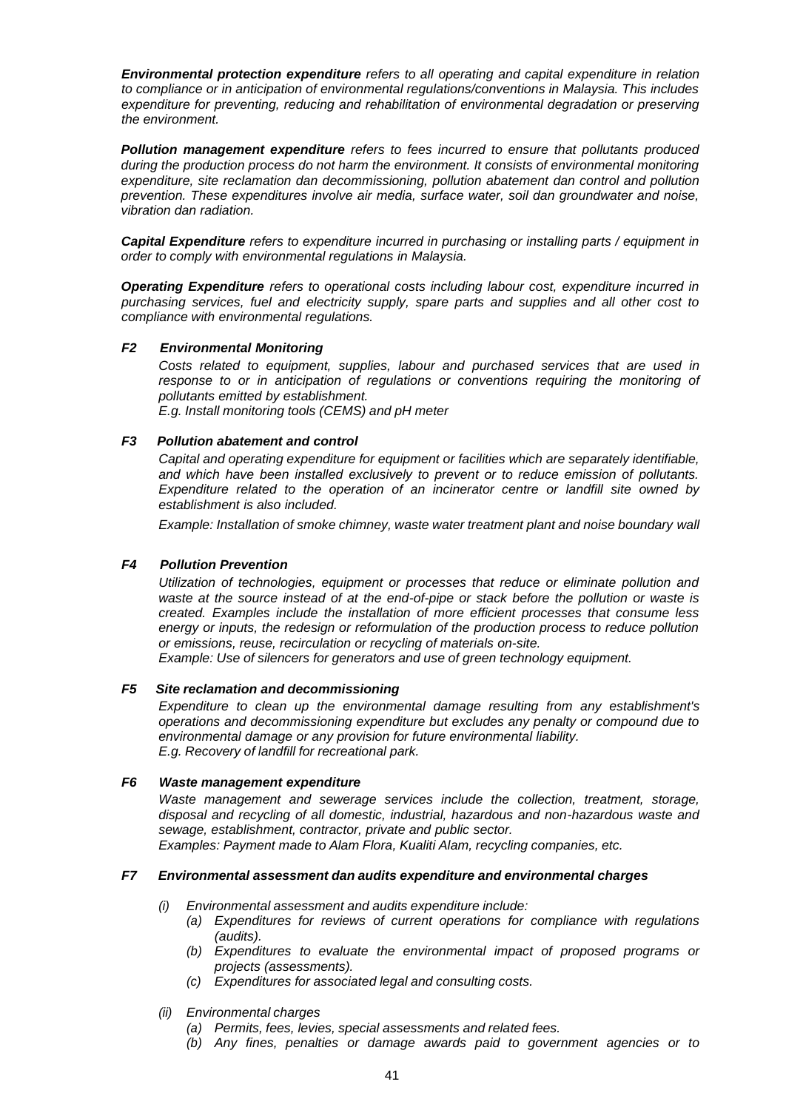*Environmental protection expenditure refers to all operating and capital expenditure in relation to compliance or in anticipation of environmental regulations/conventions in Malaysia. This includes expenditure for preventing, reducing and rehabilitation of environmental degradation or preserving the environment.*

*Pollution management expenditure refers to fees incurred to ensure that pollutants produced during the production process do not harm the environment. It consists of environmental monitoring expenditure, site reclamation dan decommissioning, pollution abatement dan control and pollution prevention. These expenditures involve air media, surface water, soil dan groundwater and noise, vibration dan radiation.*

*Capital Expenditure refers to expenditure incurred in purchasing or installing parts / equipment in order to comply with environmental regulations in Malaysia.*

*Operating Expenditure refers to operational costs including labour cost, expenditure incurred in purchasing services, fuel and electricity supply, spare parts and supplies and all other cost to compliance with environmental regulations.*

#### *F2 Environmental Monitoring*

*Costs related to equipment, supplies, labour and purchased services that are used in response to or in anticipation of regulations or conventions requiring the monitoring of pollutants emitted by establishment. E.g. Install monitoring tools (CEMS) and pH meter*

#### *F3 Pollution abatement and control*

*Capital and operating expenditure for equipment or facilities which are separately identifiable, and which have been installed exclusively to prevent or to reduce emission of pollutants. Expenditure related to the operation of an incinerator centre or landfill site owned by establishment is also included.*

*Example: Installation of smoke chimney, waste water treatment plant and noise boundary wall*

### *F4 Pollution Prevention*

*Utilization of technologies, equipment or processes that reduce or eliminate pollution and waste at the source instead of at the end-of-pipe or stack before the pollution or waste is created. Examples include the installation of more efficient processes that consume less energy or inputs, the redesign or reformulation of the production process to reduce pollution or emissions, reuse, recirculation or recycling of materials on-site.*

*Example: Use of silencers for generators and use of green technology equipment.*

# *F5 Site reclamation and decommissioning*

*Expenditure to clean up the environmental damage resulting from any establishment's operations and decommissioning expenditure but excludes any penalty or compound due to environmental damage or any provision for future environmental liability. E.g. Recovery of landfill for recreational park.*

# *F6 Waste management expenditure*

*Waste management and sewerage services include the collection, treatment, storage, disposal and recycling of all domestic, industrial, hazardous and non-hazardous waste and sewage, establishment, contractor, private and public sector.*

*Examples: Payment made to Alam Flora, Kualiti Alam, recycling companies, etc.*

### *F7 Environmental assessment dan audits expenditure and environmental charges*

- *(i) Environmental assessment and audits expenditure include:*
	- *(a) Expenditures for reviews of current operations for compliance with regulations (audits).*
	- *(b) Expenditures to evaluate the environmental impact of proposed programs or projects (assessments).*
	- *(c) Expenditures for associated legal and consulting costs.*
- *(ii) Environmental charges*
	- *(a) Permits, fees, levies, special assessments and related fees.*
	- *(b) Any fines, penalties or damage awards paid to government agencies or to*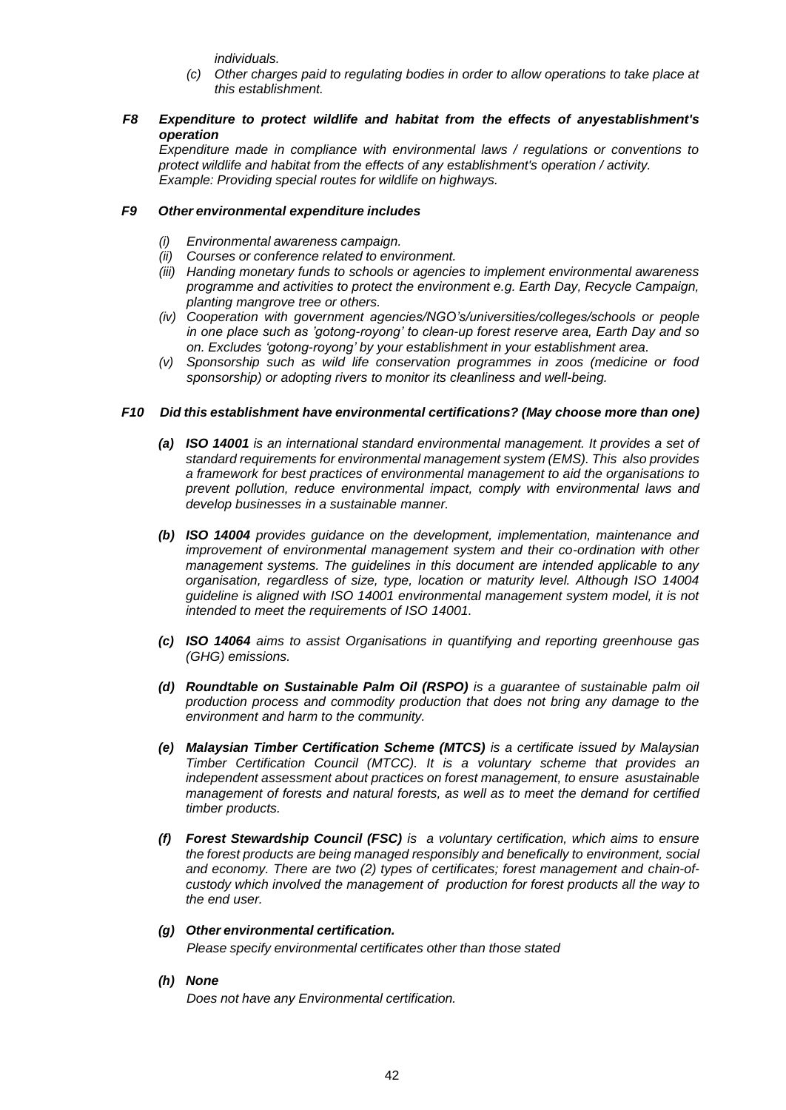*individuals.*

- *(c) Other charges paid to regulating bodies in order to allow operations to take place at this establishment.*
- *F8 Expenditure to protect wildlife and habitat from the effects of anyestablishment's operation*

*Expenditure made in compliance with environmental laws / regulations or conventions to protect wildlife and habitat from the effects of any establishment's operation / activity. Example: Providing special routes for wildlife on highways.*

# *F9 Other environmental expenditure includes*

- *(i) Environmental awareness campaign.*
- *(ii) Courses or conference related to environment.*
- *(iii) Handing monetary funds to schools or agencies to implement environmental awareness programme and activities to protect the environment e.g. Earth Day, Recycle Campaign, planting mangrove tree or others.*
- *(iv) Cooperation with government agencies/NGO's/universities/colleges/schools or people in one place such as 'gotong-royong' to clean-up forest reserve area, Earth Day and so on. Excludes 'gotong-royong' by your establishment in your establishment area.*
- *(v) Sponsorship such as wild life conservation programmes in zoos (medicine or food sponsorship) or adopting rivers to monitor its cleanliness and well-being.*

# *F10 Did this establishment have environmental certifications? (May choose more than one)*

- *(a) ISO 14001 is an international standard environmental management. It provides a set of standard requirements for environmental management system (EMS). This also provides a framework for best practices of environmental management to aid the organisations to prevent pollution, reduce environmental impact, comply with environmental laws and develop businesses in a sustainable manner.*
- *(b) ISO 14004 provides guidance on the development, implementation, maintenance and improvement of environmental management system and their co-ordination with other management systems. The guidelines in this document are intended applicable to any organisation, regardless of size, type, location or maturity level. Although ISO 14004 guideline is aligned with ISO 14001 environmental management system model, it is not intended to meet the requirements of ISO 14001.*
- *(c) ISO 14064 aims to assist Organisations in quantifying and reporting greenhouse gas (GHG) emissions.*
- *(d) Roundtable on Sustainable Palm Oil (RSPO) is a guarantee of sustainable palm oil production process and commodity production that does not bring any damage to the environment and harm to the community.*
- *(e) Malaysian Timber Certification Scheme (MTCS) is a certificate issued by Malaysian Timber Certification Council (MTCC). It is a voluntary scheme that provides an independent assessment about practices on forest management, to ensure asustainable management of forests and natural forests, as well as to meet the demand for certified timber products.*
- *(f) Forest Stewardship Council (FSC) is a voluntary certification, which aims to ensure the forest products are being managed responsibly and benefically to environment, social and economy. There are two (2) types of certificates; forest management and chain-ofcustody which involved the management of production for forest products all the way to the end user.*

# *(g) Other environmental certification.*

*Please specify environmental certificates other than those stated*

*(h) None*

*Does not have any Environmental certification.*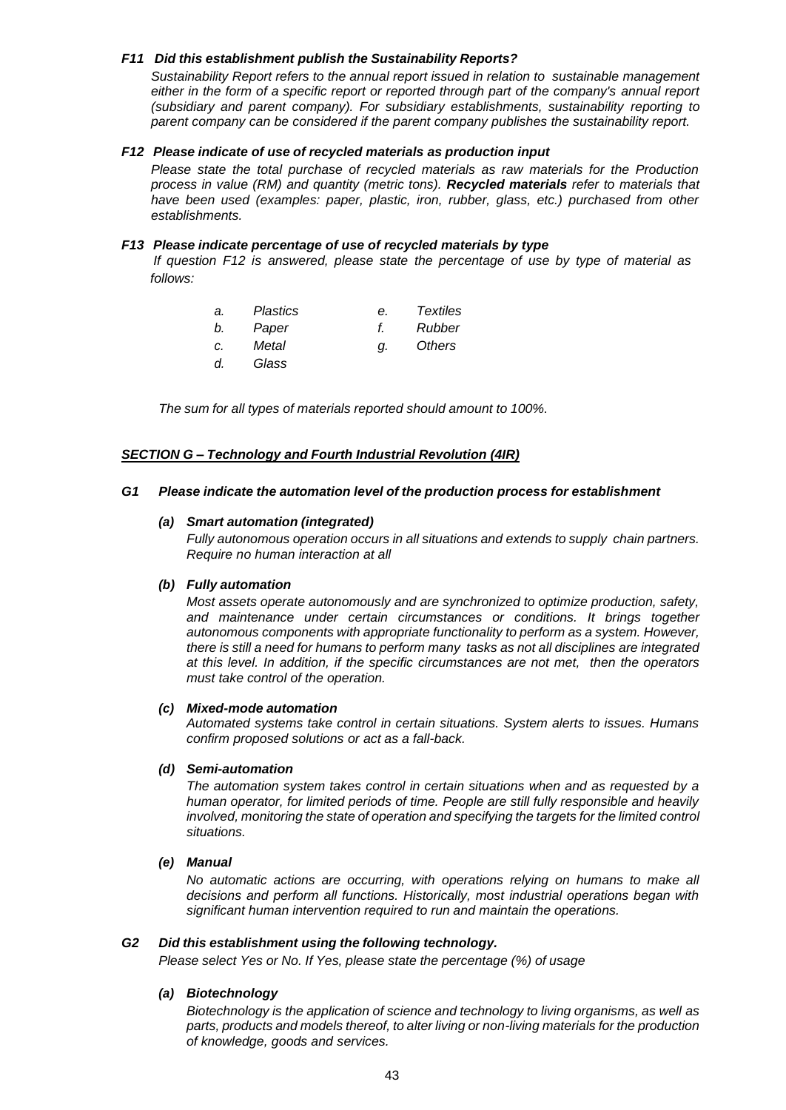# *F11 Did this establishment publish the Sustainability Reports?*

*Sustainability Report refers to the annual report issued in relation to sustainable management either in the form of a specific report or reported through part of the company's annual report (subsidiary and parent company). For subsidiary establishments, sustainability reporting to parent company can be considered if the parent company publishes the sustainability report.*

# *F12 Please indicate of use of recycled materials as production input*

*Please state the total purchase of recycled materials as raw materials for the Production process in value (RM) and quantity (metric tons). Recycled materials refer to materials that have been used (examples: paper, plastic, iron, rubber, glass, etc.) purchased from other establishments.*

# *F13 Please indicate percentage of use of recycled materials by type*

 *If question F12 is answered, please state the percentage of use by type of material as follows:*

| a. | Plastics | е. | <b>Textiles</b> |
|----|----------|----|-----------------|
| b. | Paper    |    | Rubber          |
| C. | Metal    | a. | Others          |
| d. | Glass    |    |                 |

*The sum for all types of materials reported should amount to 100%.*

# *SECTION G – Technology and Fourth Industrial Revolution (4IR)*

#### *G1 Please indicate the automation level of the production process for establishment*

#### *(a) Smart automation (integrated)*

*Fully autonomous operation occurs in all situations and extends to supply chain partners. Require no human interaction at all*

### *(b) Fully automation*

*Most assets operate autonomously and are synchronized to optimize production, safety, and maintenance under certain circumstances or conditions. It brings together autonomous components with appropriate functionality to perform as a system. However, there is still a need for humans to perform many tasks as not all disciplines are integrated at this level. In addition, if the specific circumstances are not met, then the operators must take control of the operation.*

#### *(c) Mixed-mode automation*

*Automated systems take control in certain situations. System alerts to issues. Humans confirm proposed solutions or act as a fall-back.*

#### *(d) Semi-automation*

*The automation system takes control in certain situations when and as requested by a human operator, for limited periods of time. People are still fully responsible and heavily involved, monitoring the state of operation and specifying the targets for the limited control situations.*

# *(e) Manual*

*No automatic actions are occurring, with operations relying on humans to make all decisions and perform all functions. Historically, most industrial operations began with significant human intervention required to run and maintain the operations.*

#### *G2 Did this establishment using the following technology.*

*Please select Yes or No. If Yes, please state the percentage (%) of usage*

#### *(a) Biotechnology*

*Biotechnology is the application of science and technology to living organisms, as well as parts, products and models thereof, to alter living or non-living materials for the production of knowledge, goods and services.*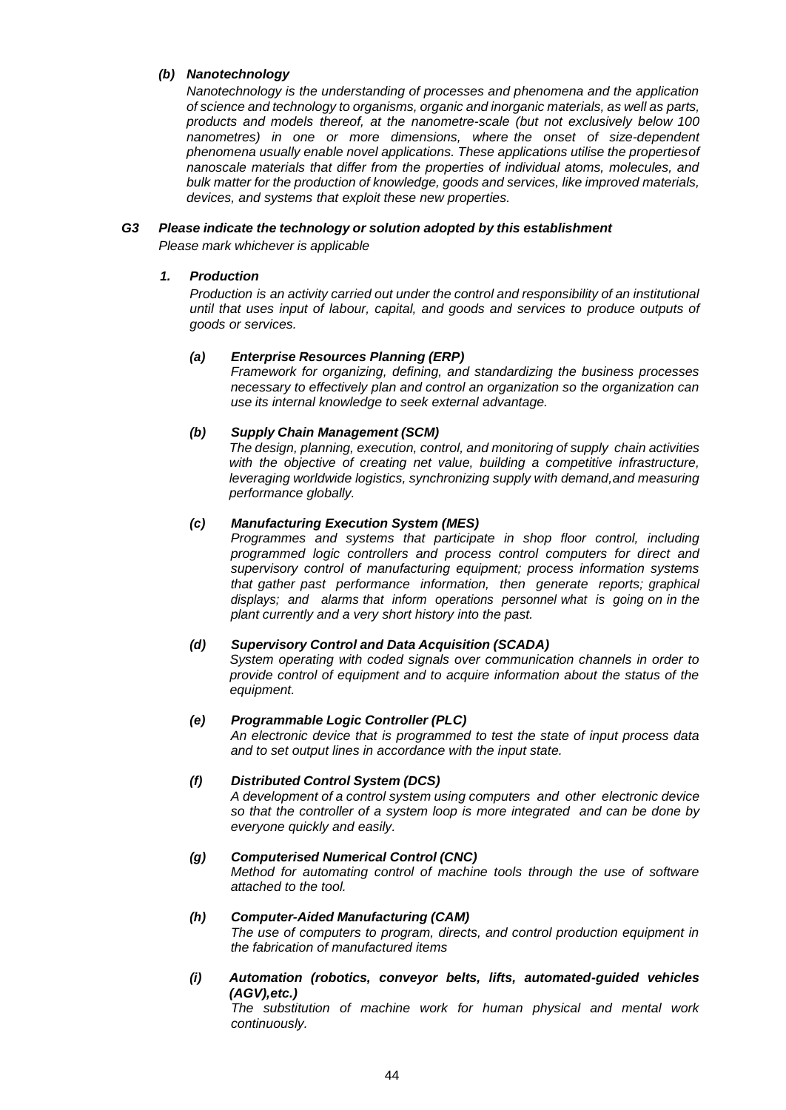# *(b) Nanotechnology*

*Nanotechnology is the understanding of processes and phenomena and the application of science and technology to organisms, organic and inorganic materials, as well as parts, products and models thereof, at the nanometre-scale (but not exclusively below 100 nanometres) in one or more dimensions, where the onset of size-dependent phenomena usually enable novel applications. These applications utilise the propertiesof nanoscale materials that differ from the properties of individual atoms, molecules, and bulk matter for the production of knowledge, goods and services, like improved materials, devices, and systems that exploit these new properties.*

#### *G3 Please indicate the technology or solution adopted by this establishment Please mark whichever is applicable*

# *1. Production*

*Production is an activity carried out under the control and responsibility of an institutional until that uses input of labour, capital, and goods and services to produce outputs of goods or services.*

# *(a) Enterprise Resources Planning (ERP)*

*Framework for organizing, defining, and standardizing the business processes necessary to effectively plan and control an organization so the organization can use its internal knowledge to seek external advantage.*

# *(b) Supply Chain Management (SCM)*

*The design, planning, execution, control, and monitoring of supply chain activities with the objective of creating net value, building a competitive infrastructure, leveraging worldwide logistics, synchronizing supply with demand,and measuring performance globally.*

#### *(c) Manufacturing Execution System (MES)*

*Programmes and systems that participate in shop floor control, including programmed logic controllers and process control computers for direct and supervisory control of manufacturing equipment; process information systems that gather past performance information, then generate reports; graphical displays; and alarms that inform operations personnel what is going on in the plant currently and a very short history into the past.*

# *(d) Supervisory Control and Data Acquisition (SCADA)*

*System operating with coded signals over communication channels in order to provide control of equipment and to acquire information about the status of the equipment.*

#### *(e) Programmable Logic Controller (PLC)*

*An electronic device that is programmed to test the state of input process data and to set output lines in accordance with the input state.*

### *(f) Distributed Control System (DCS)*

*A development of a control system using computers and other electronic device so that the controller of a system loop is more integrated and can be done by everyone quickly and easily.*

#### *(g) Computerised Numerical Control (CNC)*

*Method for automating control of machine tools through the use of software attached to the tool.*

#### *(h) Computer-Aided Manufacturing (CAM)*

*The use of computers to program, directs, and control production equipment in the fabrication of manufactured items*

*(i) Automation (robotics, conveyor belts, lifts, automated-guided vehicles (AGV),etc.)*

*The substitution of machine work for human physical and mental work continuously.*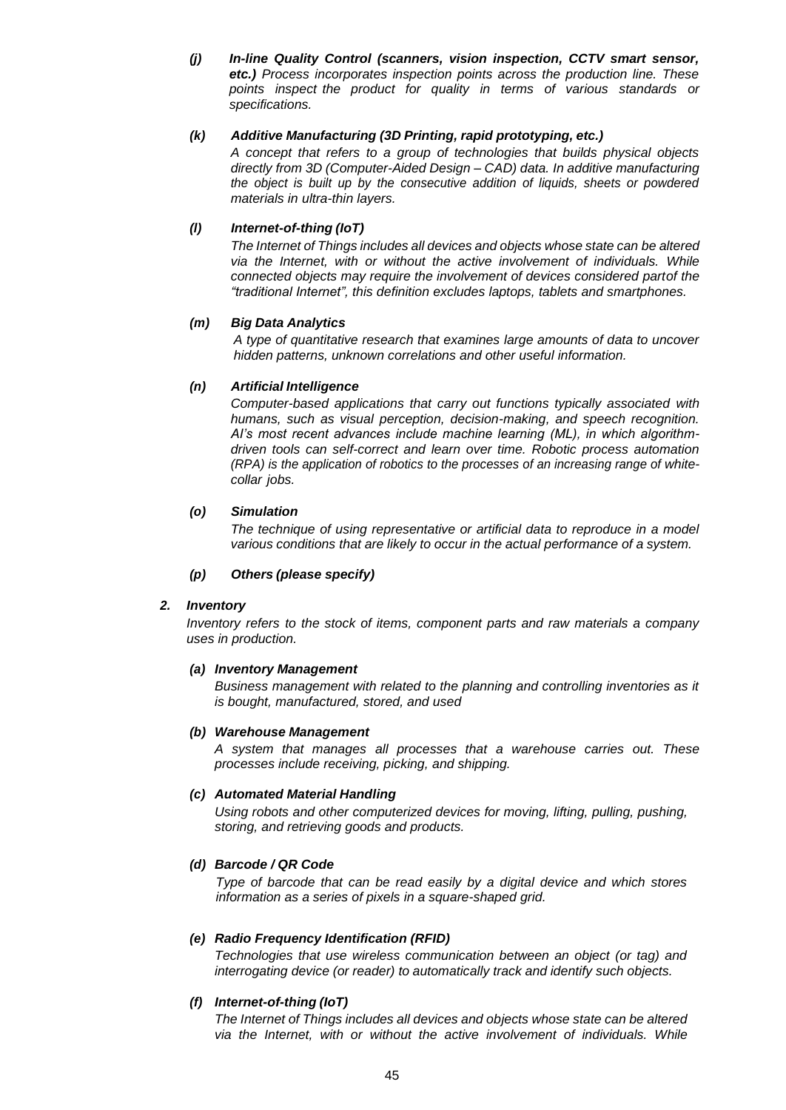*(j) In-line Quality Control (scanners, vision inspection, CCTV smart sensor, etc.) Process incorporates inspection points across the production line. These points inspect the product for quality in terms of various standards or specifications.*

# *(k) Additive Manufacturing (3D Printing, rapid prototyping, etc.)*

*A concept that refers to a group of technologies that builds physical objects directly from 3D (Computer-Aided Design – CAD) data. In additive manufacturing the object is built up by the consecutive addition of liquids, sheets or powdered materials in ultra-thin layers.*

# *(l) Internet-of-thing (IoT)*

*The Internet of Things includes all devices and objects whose state can be altered via the Internet, with or without the active involvement of individuals. While connected objects may require the involvement of devices considered partof the "traditional Internet", this definition excludes laptops, tablets and smartphones.*

# *(m) Big Data Analytics*

*A type of quantitative research that examines large amounts of data to uncover hidden patterns, unknown correlations and other useful information.*

# *(n) Artificial Intelligence*

*Computer-based applications that carry out functions typically associated with humans, such as visual perception, decision-making, and speech recognition. AI's most recent advances include machine learning (ML), in which algorithmdriven tools can self-correct and learn over time. Robotic process automation (RPA) is the application of robotics to the processes of an increasing range of whitecollar jobs.*

# *(o) Simulation*

*The technique of using representative or artificial data to reproduce in a model various conditions that are likely to occur in the actual performance of a system.*

### *(p) Others (please specify)*

#### *2. Inventory*

*Inventory refers to the stock of items, component parts and raw materials a company uses in production.*

#### *(a) Inventory Management*

*Business management with related to the planning and controlling inventories as it is bought, manufactured, stored, and used*

#### *(b) Warehouse Management*

*A system that manages all processes that a warehouse carries out. These processes include receiving, picking, and shipping.*

# *(c) Automated Material Handling*

*Using robots and other computerized devices for moving, lifting, pulling, pushing, storing, and retrieving goods and products.*

#### *(d) Barcode / QR Code*

*Type of barcode that can be read easily by a digital device and which stores information as a series of pixels in a square-shaped grid.*

#### *(e) Radio Frequency Identification (RFID)*

*Technologies that use wireless communication between an object (or tag) and interrogating device (or reader) to automatically track and identify such objects.*

#### *(f) Internet-of-thing (IoT)*

*The Internet of Things includes all devices and objects whose state can be altered via the Internet, with or without the active involvement of individuals. While*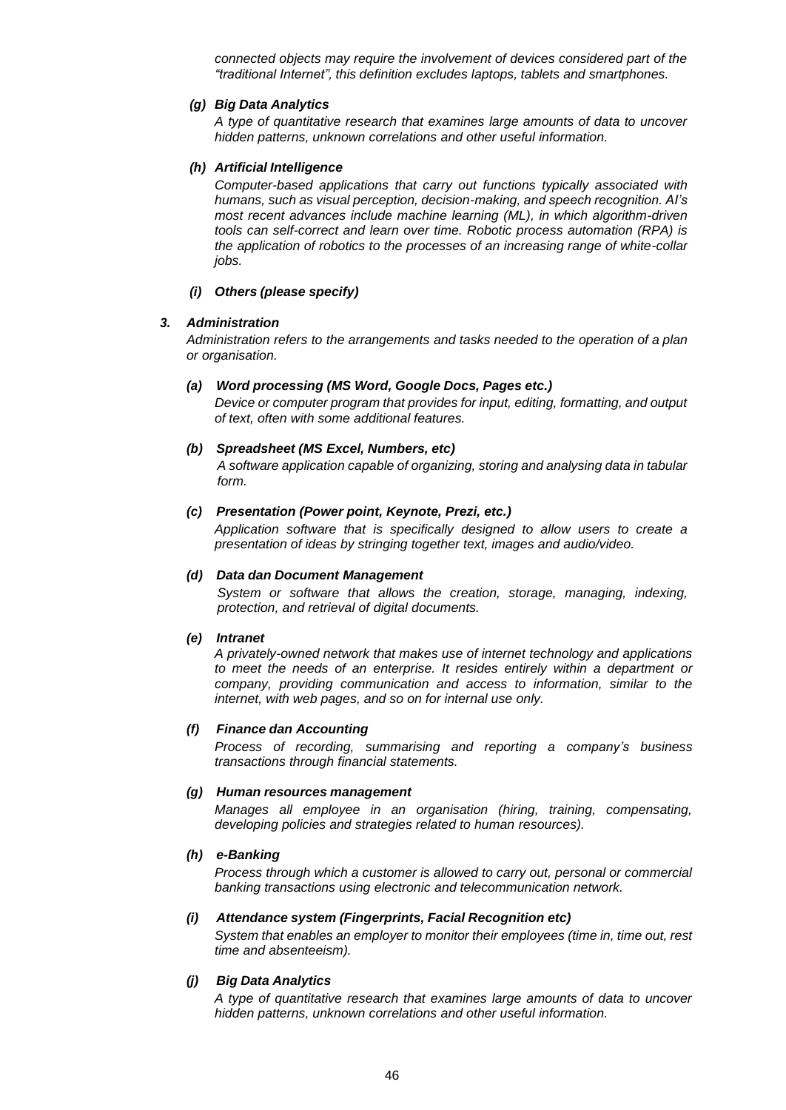*connected objects may require the involvement of devices considered part of the "traditional Internet", this definition excludes laptops, tablets and smartphones.*

# *(g) Big Data Analytics*

*A type of quantitative research that examines large amounts of data to uncover hidden patterns, unknown correlations and other useful information.*

# *(h) Artificial Intelligence*

*Computer-based applications that carry out functions typically associated with humans, such as visual perception, decision-making, and speech recognition. AI's most recent advances include machine learning (ML), in which algorithm-driven tools can self-correct and learn over time. Robotic process automation (RPA) is the application of robotics to the processes of an increasing range of white-collar jobs.*

# *(i) Others (please specify)*

# *3. Administration*

*Administration refers to the arrangements and tasks needed to the operation of a plan or organisation.*

# *(a) Word processing (MS Word, Google Docs, Pages etc.)*

*Device or computer program that provides for input, editing, formatting, and output of text, often with some additional features.*

# *(b) Spreadsheet (MS Excel, Numbers, etc)*

*A software application capable of organizing, storing and analysing data in tabular form.*

# *(c) Presentation (Power point, Keynote, Prezi, etc.)*

*Application software that is specifically designed to allow users to create a presentation of ideas by stringing together text, images and audio/video.*

# *(d) Data dan Document Management*

*System or software that allows the creation, storage, managing, indexing, protection, and retrieval of digital documents.*

#### *(e) Intranet*

*A privately-owned network that makes use of internet technology and applications to meet the needs of an enterprise. It resides entirely within a department or company, providing communication and access to information, similar to the internet, with web pages, and so on for internal use only.*

#### *(f) Finance dan Accounting*

*Process of recording, summarising and reporting a company's business transactions through financial statements.*

#### *(g) Human resources management*

*Manages all employee in an organisation (hiring, training, compensating, developing policies and strategies related to human resources).*

#### *(h) e-Banking*

*Process through which a customer is allowed to carry out, personal or commercial banking transactions using electronic and telecommunication network.*

#### *(i) Attendance system (Fingerprints, Facial Recognition etc)*

*System that enables an employer to monitor their employees (time in, time out, rest time and absenteeism).*

#### *(j) Big Data Analytics*

*A type of quantitative research that examines large amounts of data to uncover hidden patterns, unknown correlations and other useful information.*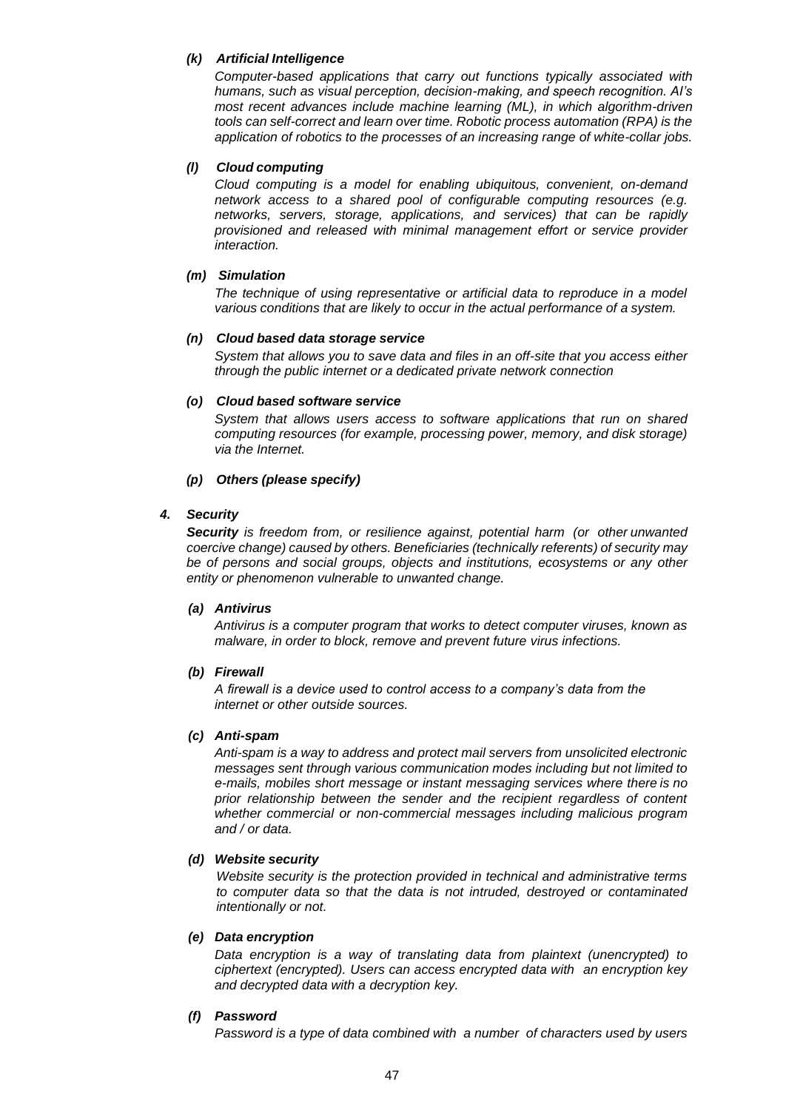# *(k) Artificial Intelligence*

*Computer-based applications that carry out functions typically associated with humans, such as visual perception, decision-making, and speech recognition. AI's most recent advances include machine learning (ML), in which algorithm-driven tools can self-correct and learn over time. Robotic process automation (RPA) is the application of robotics to the processes of an increasing range of white-collar jobs.*

# *(l) Cloud computing*

*Cloud computing is a model for enabling ubiquitous, convenient, on-demand network access to a shared pool of configurable computing resources (e.g. networks, servers, storage, applications, and services) that can be rapidly provisioned and released with minimal management effort or service provider interaction.* 

### *(m) Simulation*

*The technique of using representative or artificial data to reproduce in a model various conditions that are likely to occur in the actual performance of a system.*

#### *(n) Cloud based data storage service*

*System that allows you to save data and files in an off-site that you access either through the public internet or a dedicated private network connection*

# *(o) Cloud based software service*

*System that allows users access to software applications that run on shared computing resources (for example, processing power, memory, and disk storage) via the Internet.*

# *(p) Others (please specify)*

# *4. Security*

*Security is freedom from, or resilience against, [potential](https://en.wikipedia.org/wiki/Potential) harm (or other unwanted [coercive](https://en.wikipedia.org/wiki/Coercion) change) caused by others. Beneficiaries (technically [referents\)](https://en.wikipedia.org/wiki/Referent) of security may be of persons and social groups, objects and institutions, ecosystems or any other entity or phenomenon vulnerable to unwanted change.*

### *(a) Antivirus*

*Antivirus is a computer program that works to detect computer viruses, known as malware, in order to block, remove and prevent future virus infections.*

#### *(b) Firewall*

*A firewall is a device used to control access to a company's data from the internet or other outside sources.*

#### *(c) Anti-spam*

*Anti-spam is a way to address and protect mail servers from unsolicited electronic messages sent through various communication modes including but not limited to e-mails, mobiles short message or instant messaging services where there is no prior relationship between the sender and the recipient regardless of content whether commercial or non-commercial messages including malicious program and / or data.*

### *(d) Website security*

*Website security is the protection provided in technical and administrative terms to computer data so that the data is not intruded, destroyed or contaminated intentionally or not.*

#### *(e) Data encryption*

*Data encryption is a way of translating data from plaintext (unencrypted) to ciphertext (encrypted). Users can access encrypted data with an encryption key and decrypted data with a decryption key.*

# *(f) Password*

*Password is a type of data combined with a number of characters used by users*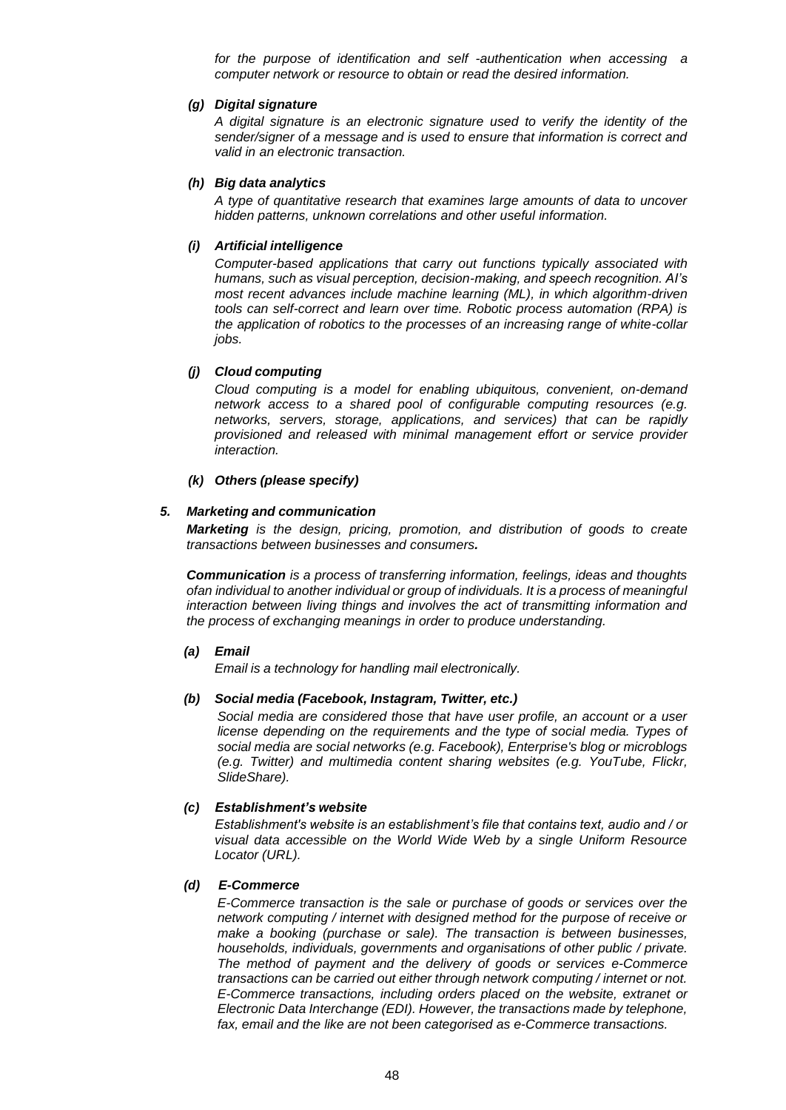*for the purpose of identification and self -authentication when accessing a computer network or resource to obtain or read the desired information.*

#### *(g) Digital signature*

*A digital signature is an electronic signature used to verify the identity of the sender/signer of a message and is used to ensure that information is correct and valid in an electronic transaction.*

#### *(h) Big data analytics*

*A type of quantitative research that examines large amounts of data to uncover hidden patterns, unknown correlations and other useful information.*

#### *(i) Artificial intelligence*

*Computer-based applications that carry out functions typically associated with humans, such as visual perception, decision-making, and speech recognition. AI's most recent advances include machine learning (ML), in which algorithm-driven tools can self-correct and learn over time. Robotic process automation (RPA) is the application of robotics to the processes of an increasing range of white-collar jobs.*

### *(j) Cloud computing*

*Cloud computing is a model for enabling ubiquitous, convenient, on-demand network access to a shared pool of configurable computing resources (e.g. networks, servers, storage, applications, and services) that can be rapidly provisioned and released with minimal management effort or service provider interaction.*

#### *(k) Others (please specify)*

### *5. Marketing and communication*

*Marketing is the design, pricing, promotion, and distribution of goods to create transactions between businesses and consumers.*

*Communication is a process of transferring information, feelings, ideas and thoughts ofan individual to another individual or group of individuals. It is a process of meaningful interaction between living things and involves the act of transmitting information and the process of exchanging meanings in order to produce understanding.*

#### *(a) Email*

*Email is a technology for handling mail electronically.*

#### *(b) Social media (Facebook, Instagram, Twitter, etc.)*

*Social media are considered those that have user profile, an account or a user license depending on the requirements and the type of social media. Types of social media are social networks (e.g. Facebook), Enterprise's blog or microblogs (e.g. Twitter) and multimedia content sharing websites (e.g. YouTube, Flickr, SlideShare).*

#### *(c) Establishment's website*

*Establishment's website is an establishment's file that contains text, audio and / or visual data accessible on the World Wide Web by a single Uniform Resource Locator (URL).*

### *(d) E-Commerce*

*E-Commerce transaction is the sale or purchase of goods or services over the network computing / internet with designed method for the purpose of receive or make a booking (purchase or sale). The transaction is between businesses, households, individuals, governments and organisations of other public / private. The method of payment and the delivery of goods or services e-Commerce transactions can be carried out either through network computing / internet or not. E-Commerce transactions, including orders placed on the website, extranet or Electronic Data Interchange (EDI). However, the transactions made by telephone, fax, email and the like are not been categorised as e-Commerce transactions.*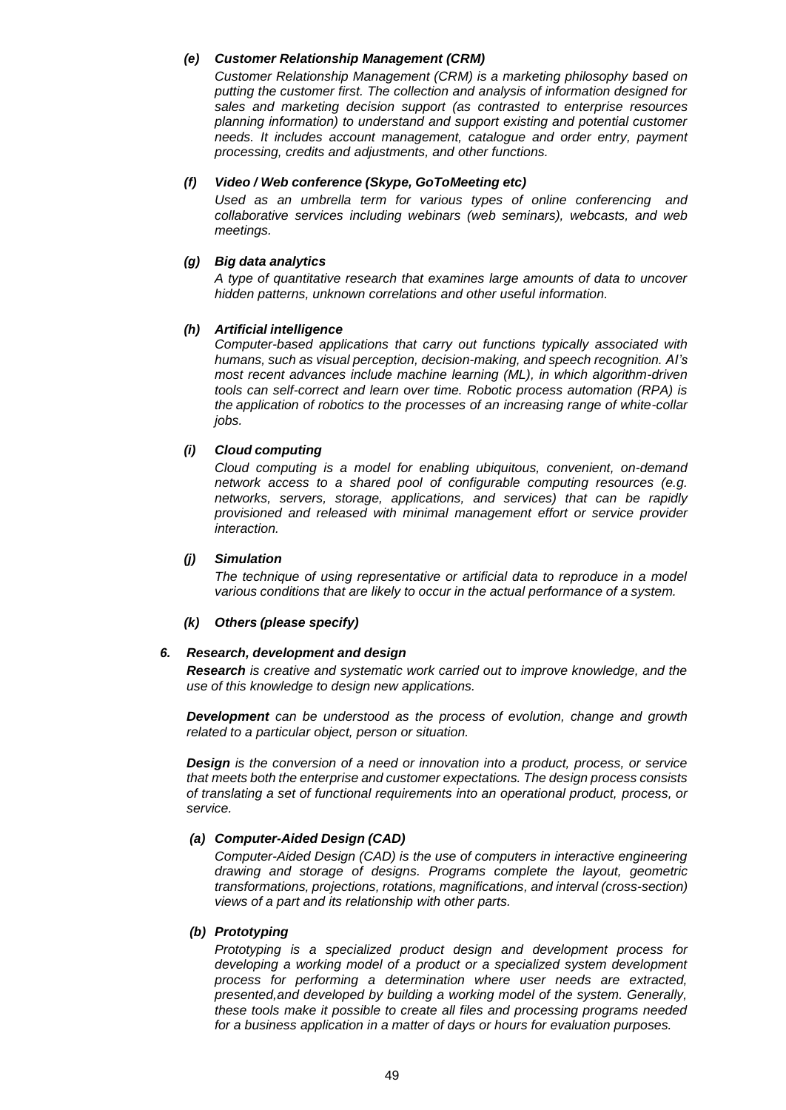### *(e) Customer Relationship Management (CRM)*

*Customer Relationship Management (CRM) is a marketing philosophy based on putting the customer first. The collection and analysis of information designed for sales and marketing decision support (as contrasted to enterprise resources planning information) to understand and support existing and potential customer needs. It includes account management, catalogue and order entry, payment processing, credits and adjustments, and other functions.*

### *(f) Video / Web conference (Skype, GoToMeeting etc)*

*Used as an [umbrella](https://en.wikipedia.org/wiki/Umbrella_term) term for various types of online [conferencing](https://en.wikipedia.org/wiki/Conference) and collaborative services including webinars (web seminars), [webcasts,](https://en.wikipedia.org/wiki/Webcasts) and web meetings.*

# *(g) Big data analytics*

*A type of quantitative research that examines large amounts of data to uncover hidden patterns, unknown correlations and other useful information.*

# *(h) Artificial intelligence*

*Computer-based applications that carry out functions typically associated with humans, such as visual perception, decision-making, and speech recognition. AI's most recent advances include machine learning (ML), in which algorithm-driven tools can self-correct and learn over time. Robotic process automation (RPA) is the application of robotics to the processes of an increasing range of white-collar jobs.*

# *(i) Cloud computing*

*Cloud computing is a model for enabling ubiquitous, convenient, on-demand network access to a shared pool of configurable computing resources (e.g. networks, servers, storage, applications, and services) that can be rapidly provisioned and released with minimal management effort or service provider interaction.*

### *(j) Simulation*

*The technique of using representative or artificial data to reproduce in a model various conditions that are likely to occur in the actual performance of a system.*

# *(k) Others (please specify)*

### *6. Research, development and design*

*Research is creative and systematic work carried out to improve knowledge, and the use of this knowledge to design new applications.*

*Development can be understood as the process of evolution, change and growth related to a particular object, person or situation.*

*Design is the conversion of a need or innovation into a product, process, or service that meets both the enterprise and customer expectations. The design process consists of translating a set of functional requirements into an operational product, process, or service.*

#### *(a) Computer-Aided Design (CAD)*

*Computer-Aided Design (CAD) is the use of computers in interactive engineering drawing and storage of designs. Programs complete the layout, geometric transformations, projections, rotations, magnifications, and interval (cross-section) views of a part and its relationship with other parts.*

# *(b) Prototyping*

*Prototyping is a specialized product design and development process for developing a working model of a product or a specialized system development process for performing a determination where user needs are extracted, presented,and developed by building a working model of the system. Generally, these tools make it possible to create all files and processing programs needed for a business application in a matter of days or hours for evaluation purposes.*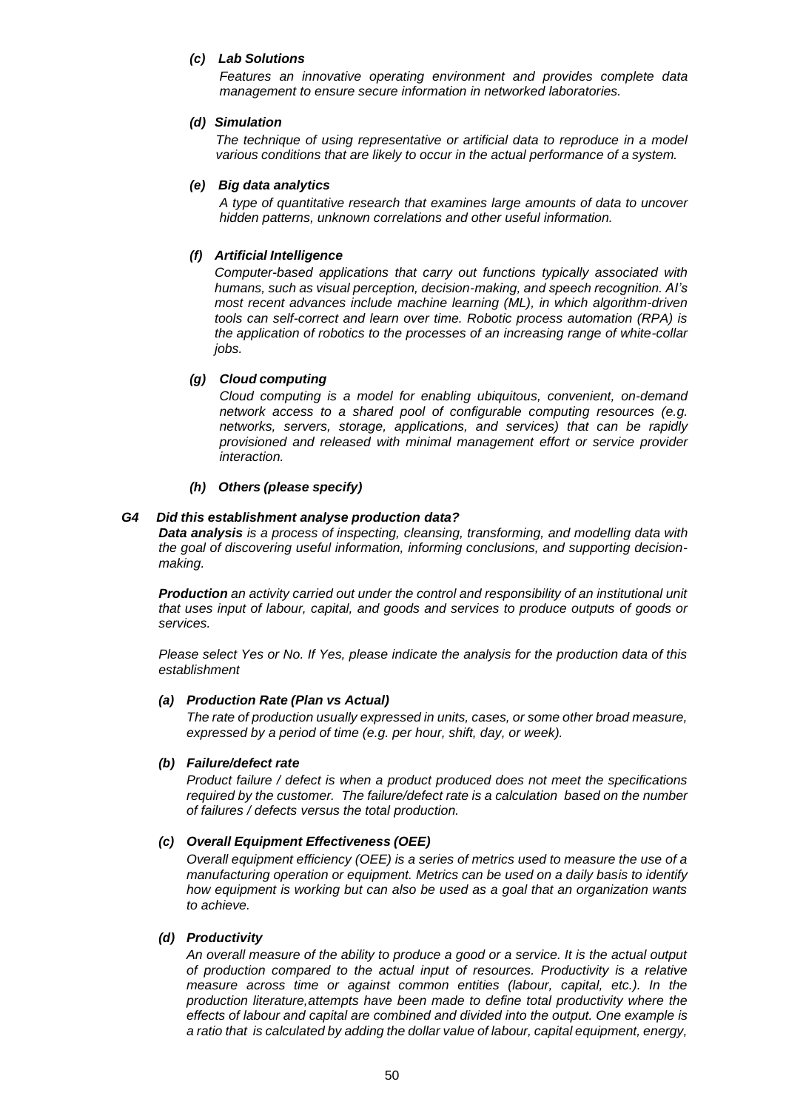#### *(c) Lab Solutions*

*Features an innovative operating environment and provides complete data management to ensure secure information in networked laboratories.*

#### *(d) Simulation*

*The technique of using representative or artificial data to reproduce in a model various conditions that are likely to occur in the actual performance of a system.*

#### *(e) Big data analytics*

*A type of quantitative research that examines large amounts of data to uncover hidden patterns, unknown correlations and other useful information.*

# *(f) Artificial Intelligence*

*Computer-based applications that carry out functions typically associated with humans, such as visual perception, decision-making, and speech recognition. AI's most recent advances include machine learning (ML), in which algorithm-driven tools can self-correct and learn over time. Robotic process automation (RPA) is the application of robotics to the processes of an increasing range of white-collar jobs.*

# *(g) Cloud computing*

*Cloud computing is a model for enabling ubiquitous, convenient, on-demand network access to a shared pool of configurable computing resources (e.g. networks, servers, storage, applications, and services) that can be rapidly provisioned and released with minimal management effort or service provider interaction.* 

#### *(h) Others (please specify)*

#### *G4 Did this establishment analyse production data?*

*Data analysis is a process of inspecting, [cleansing,](https://en.wikipedia.org/wiki/Data_cleansing) [transforming, a](https://en.wikipedia.org/wiki/Data_transformation)nd [modelling](https://en.wikipedia.org/wiki/Data_modeling) [data w](https://en.wikipedia.org/wiki/Data)ith the goal of discovering useful information, informing conclusions, and supporting decisionmaking.*

*Production an activity carried out under the control and responsibility of an institutional unit that uses input of labour, capital, and goods and services to produce outputs of goods or services.*

*Please select Yes or No. If Yes, please indicate the analysis for the production data of this establishment*

#### *(a) Production Rate (Plan vs Actual)*

*The rate of production usually expressed in units, cases, or some other broad measure, expressed by a period of time (e.g. per hour, shift, day, or week).*

#### *(b) Failure/defect rate*

*Product failure / defect is when a product produced does not meet the specifications required by the customer. The failure/defect rate is a calculation based on the number of failures / defects versus the total production.*

#### *(c) Overall Equipment Effectiveness (OEE)*

*Overall equipment efficiency (OEE) is a series of metrics used to measure the use of a manufacturing operation or equipment. Metrics can be used on a daily basis to identify how equipment is working but can also be used as a goal that an organization wants to achieve.*

#### *(d) Productivity*

*An overall measure of the ability to produce a good or a service. It is the actual output of production compared to the actual input of resources. Productivity is a relative measure across time or against common entities (labour, capital, etc.). In the production literature,attempts have been made to define total productivity where the effects of labour and capital are combined and divided into the output. One example is a ratio that is calculated by adding the dollar value of labour, capital equipment, energy,*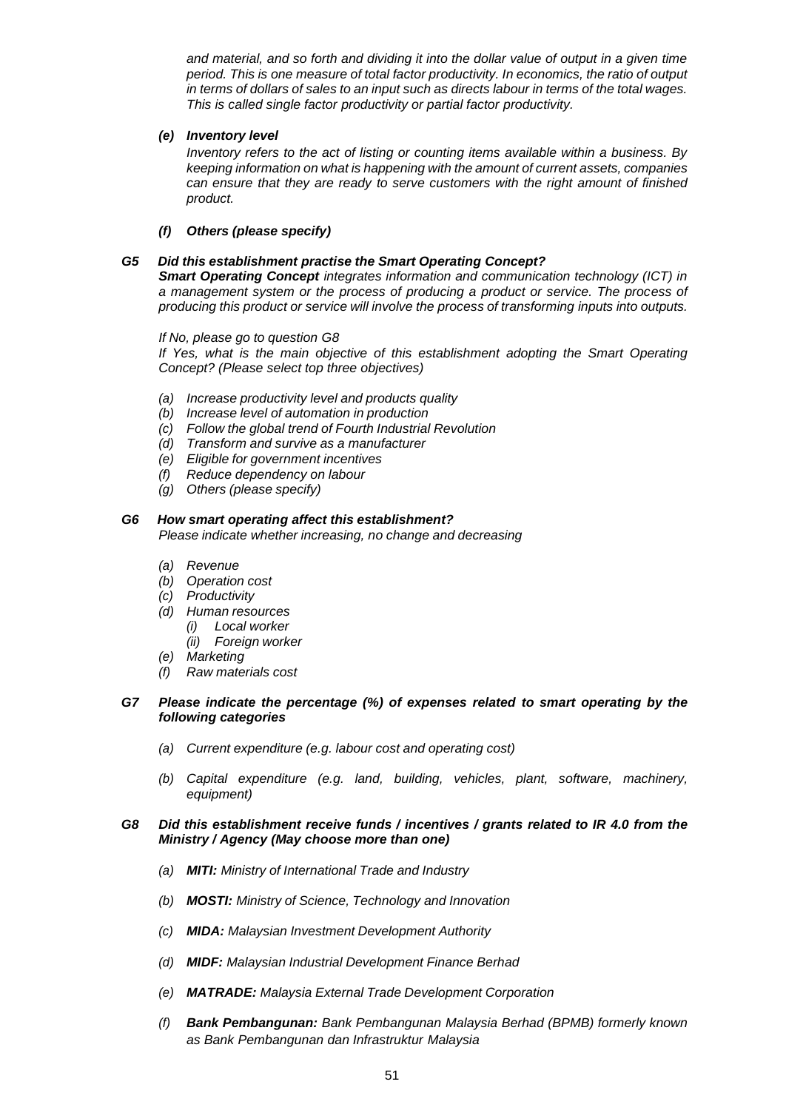*and material, and so forth and dividing it into the dollar value of output in a given time period. This is one measure of total factor productivity. In economics, the ratio of output in terms of dollars of sales to an input such as directs labour in terms of the total wages. This is called single factor productivity or partial factor productivity.*

# *(e) Inventory level*

*Inventory refers to the act of listing or counting items available within a business. By keeping information on what is happening with the amount of current assets, companies can ensure that they are ready to serve customers with the right amount of finished product.*

# *(f) Others (please specify)*

# *G5 Did this establishment practise the Smart Operating Concept?*

*Smart Operating Concept integrates information and communication technology (ICT) in a management system or the process of producing a product or service. The process of producing this product or service will involve the process of transforming inputs into outputs.*

*If No, please go to question G8*

*If Yes, what is the main objective of this establishment adopting the Smart Operating Concept? (Please select top three objectives)*

- *(a) Increase productivity level and products quality*
- *(b) Increase level of automation in production*
- *(c) Follow the global trend of Fourth Industrial Revolution*
- *(d) Transform and survive as a manufacturer*
- *(e) Eligible for government incentives*
- *(f) Reduce dependency on labour*
- *(g) Others (please specify)*

# *G6 How smart operating affect this establishment?*

*Please indicate whether increasing, no change and decreasing*

- *(a) Revenue*
- *(b) Operation cost*
- *(c) Productivity*
- *(d) Human resources*
	- *(i) Local worker*
	- *(ii) Foreign worker*
- *(e) Marketing*
- *(f) Raw materials cost*

# *G7 Please indicate the percentage (%) of expenses related to smart operating by the following categories*

- *(a) Current expenditure (e.g. labour cost and operating cost)*
- *(b) Capital expenditure (e.g. land, building, vehicles, plant, software, machinery, equipment)*

# *G8 Did this establishment receive funds / incentives / grants related to IR 4.0 from the Ministry / Agency (May choose more than one)*

- *(a) MITI: Ministry of International Trade and Industry*
- *(b) MOSTI: Ministry of Science, Technology and Innovation*
- *(c) MIDA: Malaysian Investment Development Authority*
- *(d) MIDF: Malaysian Industrial Development Finance Berhad*
- *(e) MATRADE: Malaysia External Trade Development Corporation*
- *(f) Bank Pembangunan: Bank Pembangunan Malaysia Berhad (BPMB) formerly known as Bank Pembangunan dan Infrastruktur Malaysia*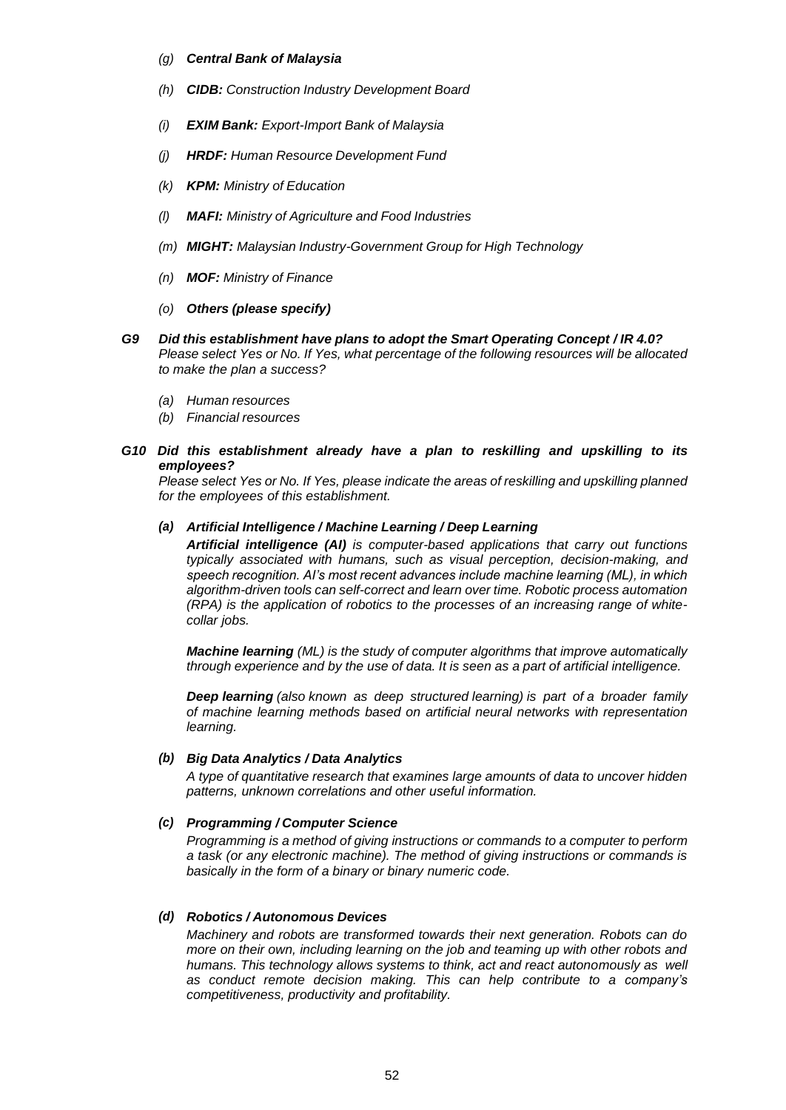#### *(g) Central Bank of Malaysia*

- *(h) CIDB: Construction Industry Development Board*
- *(i) EXIM Bank: Export-Import Bank of Malaysia*
- *(j) HRDF: Human Resource Development Fund*
- *(k) KPM: Ministry of Education*
- *(l) MAFI: Ministry of Agriculture and Food Industries*
- *(m) MIGHT: Malaysian Industry-Government Group for High Technology*
- *(n) MOF: Ministry of Finance*
- *(o) Others (please specify)*
- *G9 Did this establishment have plans to adopt the Smart Operating Concept / IR 4.0? Please select Yes or No. If Yes, what percentage of the following resources will be allocated to make the plan a success?*
	- *(a) Human resources*
	- *(b) Financial resources*

# *G10 Did this establishment already have a plan to reskilling and upskilling to its employees?*

*Please select Yes or No. If Yes, please indicate the areas of reskilling and upskilling planned for the employees of this establishment.*

### *(a) Artificial Intelligence / Machine Learning / Deep Learning*

*Artificial intelligence (AI) is computer-based applications that carry out functions typically associated with humans, such as visual perception, decision-making, and speech recognition. AI's most recent advances include machine learning (ML), in which algorithm-driven tools can self-correct and learn over time. Robotic process automation (RPA) is the application of robotics to the processes of an increasing range of whitecollar jobs.* 

*Machine learning (ML) is the study of computer [algorithms th](https://en.wikipedia.org/wiki/Algorithm)at improve automatically through experience and by the use of data. It is seen as a part of artificial [intelligence.](https://en.wikipedia.org/wiki/Artificial_intelligence)*

*Deep learning (also known as deep structured learning) is part of a broader family of [machine learning](https://en.wikipedia.org/wiki/Machine_learning) methods based on [artificial neural networks](https://en.wikipedia.org/wiki/Artificial_neural_networks) with [representation](https://en.wikipedia.org/wiki/Representation_learning) learning.*

#### *(b) Big Data Analytics / Data Analytics*

*A type of quantitative research that examines large amounts of data to uncover hidden patterns, unknown correlations and other useful information.*

#### *(c) Programming / Computer Science*

*Programming is a method of giving instructions or commands to a computer to perform a task (or any electronic machine). The method of giving instructions or commands is basically in the form of a binary or binary numeric code.*

### *(d) Robotics / Autonomous Devices*

*Machinery and robots are transformed towards their next generation. Robots can do more on their own, including learning on the job and teaming up with other robots and humans. This technology allows systems to think, act and react autonomously as well as conduct remote decision making. This can help contribute to a company's competitiveness, productivity and profitability.*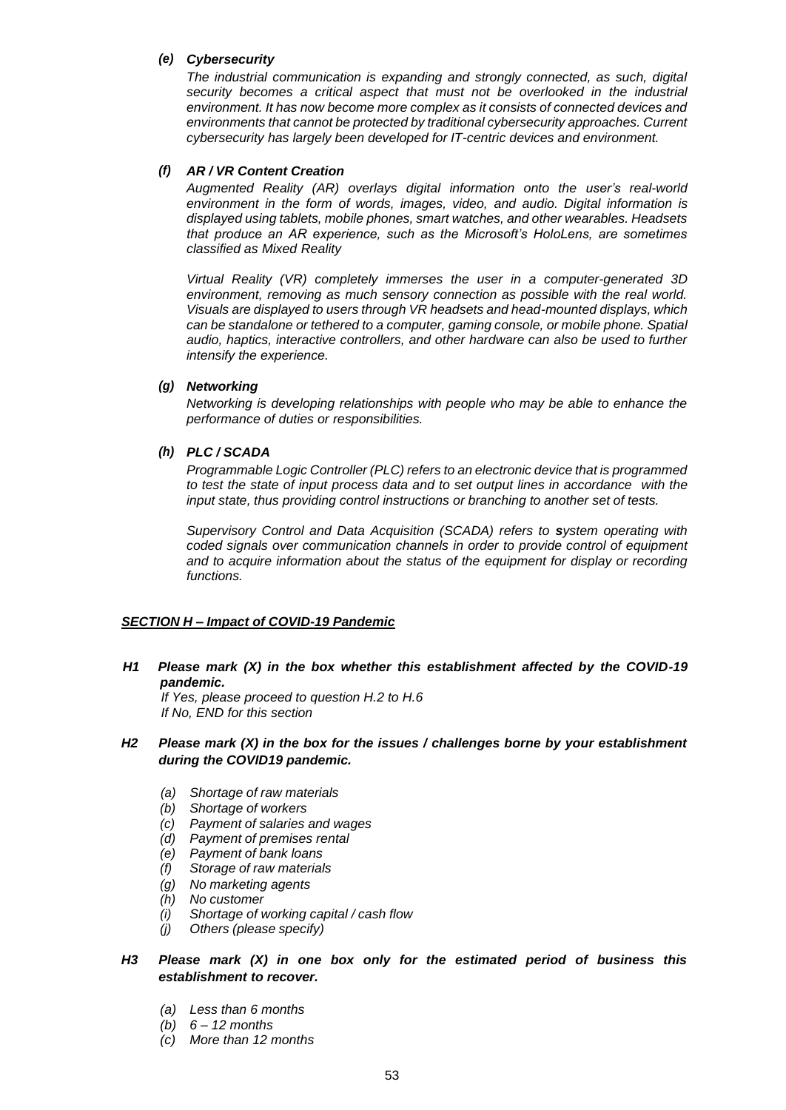# *(e) Cybersecurity*

*The industrial communication is expanding and strongly connected, as such, digital security becomes a critical aspect that must not be overlooked in the industrial environment. It has now become more complex as it consists of connected devices and environments that cannot be protected by traditional cybersecurity approaches. Current cybersecurity has largely been developed for IT-centric devices and environment.*

# *(f) AR / VR Content Creation*

*Augmented Reality (AR) overlays digital information onto the user's real-world environment in the form of words, images, video, and audio. Digital information is displayed using tablets, mobile phones, smart watches, and other wearables. Headsets that produce an AR experience, such as the Microsoft's HoloLens, are sometimes classified as Mixed Reality*

*Virtual Reality (VR) completely immerses the user in a computer-generated 3D environment, removing as much sensory connection as possible with the real world. Visuals are displayed to users through VR headsets and head-mounted displays, which can be standalone or tethered to a computer, gaming console, or mobile phone. Spatial audio, haptics, interactive controllers, and other hardware can also be used to further intensify the experience.*

# *(g) Networking*

*Networking is developing relationships with people who may be able to enhance the performance of duties or responsibilities.*

# *(h) PLC / SCADA*

*Programmable Logic Controller (PLC) refers to an electronic device that is programmed to test the state of input process data and to set output lines in accordance with the input state, thus providing control instructions or branching to another set of tests.*

*Supervisory Control and Data Acquisition (SCADA) refers to system operating with coded signals over communication channels in order to provide control of equipment and to acquire information about the status of the equipment for display or recording functions.*

# *SECTION H – Impact of COVID-19 Pandemic*

*H1 Please mark (X) in the box whether this establishment affected by the COVID-19 pandemic.*

 *If Yes, please proceed to question H.2 to H.6 If No, END for this section*

# *H2 Please mark (X) in the box for the issues / challenges borne by your establishment during the COVID19 pandemic.*

- *(a) Shortage of raw materials*
- *(b) Shortage of workers*
- *(c) Payment of salaries and wages*
- *(d) Payment of premises rental*
- *(e) Payment of bank loans*
- *(f) Storage of raw materials*
- *(g) No marketing agents*
- *(h) No customer*
- *(i) Shortage of working capital / cash flow*
- *(j) Others (please specify)*

# *H3 Please mark (X) in one box only for the estimated period of business this establishment to recover.*

- *(a) Less than 6 months*
- *(b) 6 – 12 months*
- *(c) More than 12 months*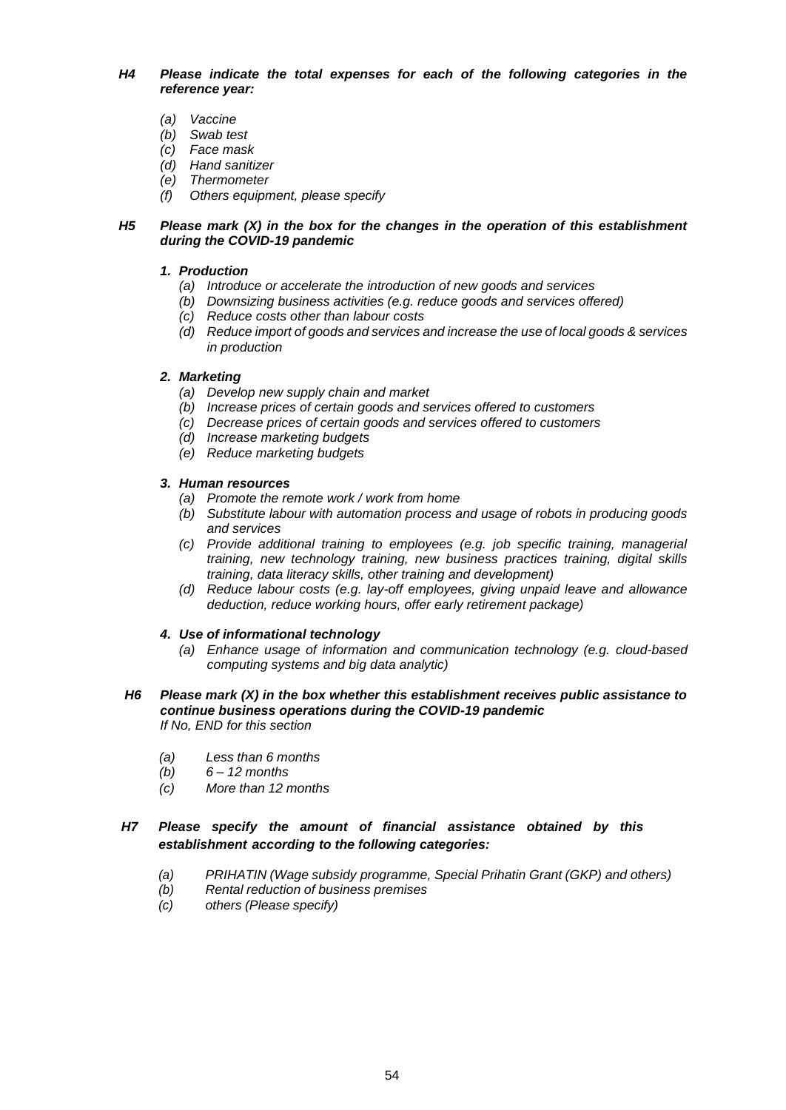*H4 Please indicate the total expenses for each of the following categories in the reference year:*

- *(a) Vaccine*
- *(b) Swab test*
- *(c) Face mask*
- *(d) Hand sanitizer*
- *(e) Thermometer*
- *(f) Others equipment, please specify*

### *H5 Please mark (X) in the box for the changes in the operation of this establishment during the COVID-19 pandemic*

# *1. Production*

- *(a) Introduce or accelerate the introduction of new goods and services*
- *(b) Downsizing business activities (e.g. reduce goods and services offered)*
- *(c) Reduce costs other than labour costs*
- *(d) Reduce import of goods and services and increase the use of local goods & services in production*

# *2. Marketing*

- *(a) Develop new supply chain and market*
- *(b) Increase prices of certain goods and services offered to customers*
- *(c) Decrease prices of certain goods and services offered to customers*
- *(d) Increase marketing budgets*
- *(e) Reduce marketing budgets*

# *3. Human resources*

- *(a) Promote the remote work / work from home*
- *(b) Substitute labour with automation process and usage of robots in producing goods and services*
- *(c) Provide additional training to employees (e.g. job specific training, managerial training, new technology training, new business practices training, digital skills training, data literacy skills, other training and development)*
- *(d) Reduce labour costs (e.g. lay-off employees, giving unpaid leave and allowance deduction, reduce working hours, offer early retirement package)*

# *4. Use of informational technology*

- *(a) Enhance usage of information and communication technology (e.g. cloud-based computing systems and big data analytic)*
- *H6 Please mark (X) in the box whether this establishment receives public assistance to continue business operations during the COVID-19 pandemic If No, END for this section*
	- *(a) Less than 6 months*
	- *(b) 6 – 12 months*
	- *(c) More than 12 months*

# *H7 Please specify the amount of financial assistance obtained by this establishment according to the following categories:*

- *(a) PRIHATIN (Wage subsidy programme, Special Prihatin Grant (GKP) and others)*
- *(b) Rental reduction of business premises*
- *(c) others (Please specify)*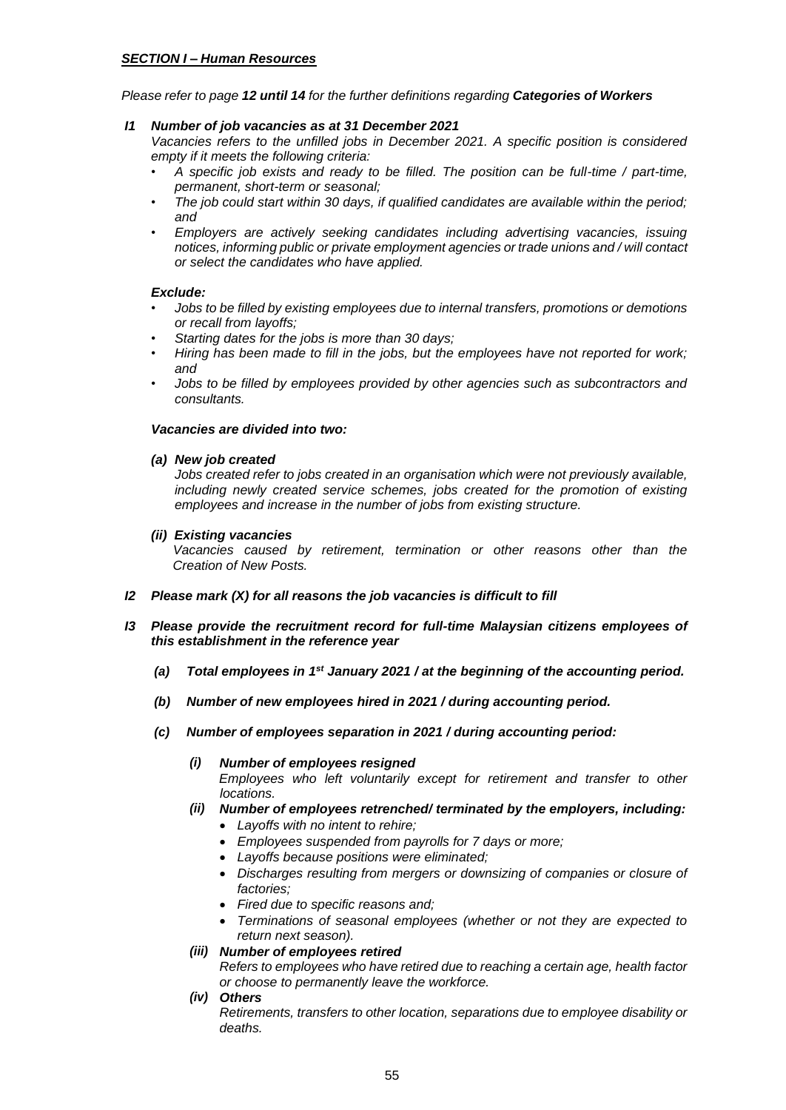# *SECTION I – Human Resources*

*Please refer to page 12 until 14 for the further definitions regarding Categories of Workers*

# *I1 Number of job vacancies as at 31 December 2021*

*Vacancies refers to the unfilled jobs in December 2021. A specific position is considered empty if it meets the following criteria:* 

- *A specific job exists and ready to be filled. The position can be full-time / part-time, permanent, short-term or seasonal;*
- *The job could start within 30 days, if qualified candidates are available within the period; and*
- *Employers are actively seeking candidates including advertising vacancies, issuing notices, informing public or private employment agencies or trade unions and / will contact or select the candidates who have applied.*

# *Exclude:*

- *Jobs to be filled by existing employees due to internal transfers, promotions or demotions or recall from layoffs;*
- *Starting dates for the jobs is more than 30 days;*
- *Hiring has been made to fill in the jobs, but the employees have not reported for work; and*
- *Jobs to be filled by employees provided by other agencies such as subcontractors and consultants.*

# *Vacancies are divided into two:*

*(a) New job created*

*Jobs created refer to jobs created in an organisation which were not previously available, including newly created service schemes, jobs created for the promotion of existing employees and increase in the number of jobs from existing structure.*

# *(ii) Existing vacancies*

 *Vacancies caused by retirement, termination or other reasons other than the Creation of New Posts.*

- *I2 Please mark (X) for all reasons the job vacancies is difficult to fill*
- *I3 Please provide the recruitment record for full-time Malaysian citizens employees of this establishment in the reference year*
	- *(a) Total employees in 1st January 2021 / at the beginning of the accounting period.*
	- *(b) Number of new employees hired in 2021 / during accounting period.*
	- *(c) Number of employees separation in 2021 / during accounting period:* 
		- *(i) Number of employees resigned Employees who left voluntarily except for retirement and transfer to other locations.*
		- *(ii) Number of employees retrenched/ terminated by the employers, including:*
			- *Layoffs with no intent to rehire;*
			- *Employees suspended from payrolls for 7 days or more;*
			- *Layoffs because positions were eliminated;*
			- *Discharges resulting from mergers or downsizing of companies or closure of factories;*
			- *Fired due to specific reasons and;*
			- *Terminations of seasonal employees (whether or not they are expected to return next season).*

# *(iii) Number of employees retired*

*Refers to employees who have retired due to reaching a certain age, health factor or choose to permanently leave the workforce.*

*(iv) Others*

*Retirements, transfers to other location, separations due to employee disability or deaths.*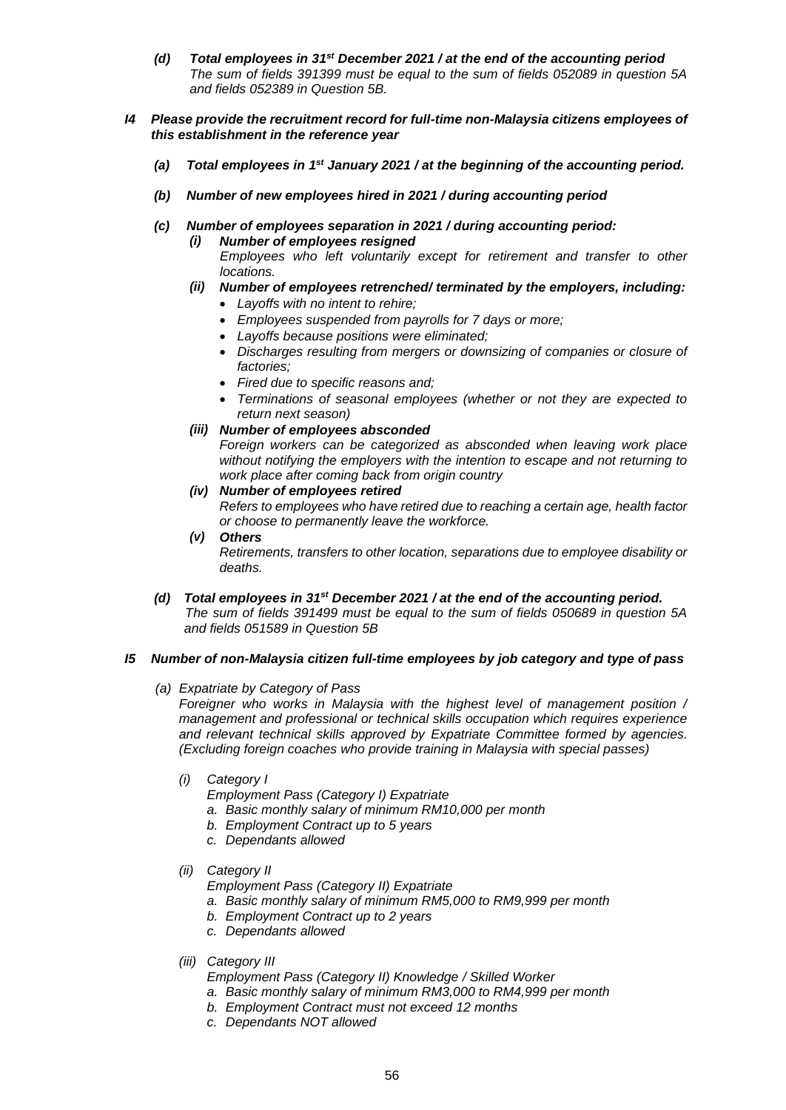- *(d) Total employees in 31st December 2021 / at the end of the accounting period The sum of fields 391399 must be equal to the sum of fields 052089 in question 5A and fields 052389 in Question 5B.*
- *I4 Please provide the recruitment record for full-time non-Malaysia citizens employees of this establishment in the reference year*
	- *(a) Total employees in 1st January 2021 / at the beginning of the accounting period.*
	- *(b) Number of new employees hired in 2021 / during accounting period*
	- *(c) Number of employees separation in 2021 / during accounting period:* 
		- *(i) Number of employees resigned*

 *Employees who left voluntarily except for retirement and transfer to other locations.*

- *(ii) Number of employees retrenched/ terminated by the employers, including:*
	- *Layoffs with no intent to rehire;*
	- *Employees suspended from payrolls for 7 days or more;*
	- *Layoffs because positions were eliminated;*
	- *Discharges resulting from mergers or downsizing of companies or closure of factories;*
	- *Fired due to specific reasons and;*
	- *Terminations of seasonal employees (whether or not they are expected to return next season)*
- *(iii) Number of employees absconded Foreign workers can be categorized as absconded when leaving work place without notifying the employers with the intention to escape and not returning to work place after coming back from origin country*
- *(iv) Number of employees retired Refers to employees who have retired due to reaching a certain age, health factor or choose to permanently leave the workforce.*
- *(v) Others Retirements, transfers to other location, separations due to employee disability or deaths.*
- *(d) Total employees in 31st December 2021 / at the end of the accounting period. The sum of fields 391499 must be equal to the sum of fields 050689 in question 5A and fields 051589 in Question 5B*

# *I5 Number of non-Malaysia citizen full-time employees by job category and type of pass*

*(a) Expatriate by Category of Pass*

*Foreigner who works in Malaysia with the highest level of management position / management and professional or technical skills occupation which requires experience and relevant technical skills approved by Expatriate Committee formed by agencies. (Excluding foreign coaches who provide training in Malaysia with special passes)*

- *(i) Category I*
	- *Employment Pass (Category I) Expatriate*
	- *a. Basic monthly salary of minimum RM10,000 per month*
	- *b. Employment Contract up to 5 years*
	- *c. Dependants allowed*
- *(ii) Category II*

*Employment Pass (Category II) Expatriate*

- *a. Basic monthly salary of minimum RM5,000 to RM9,999 per month*
- *b. Employment Contract up to 2 years*
- *c. Dependants allowed*
- *(iii) Category III*

*Employment Pass (Category II) Knowledge / Skilled Worker*

- *a. Basic monthly salary of minimum RM3,000 to RM4,999 per month*
- *b. Employment Contract must not exceed 12 months*
- *c. Dependants NOT allowed*